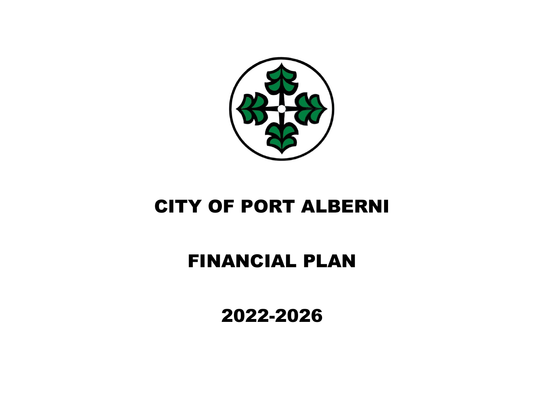

# FINANCIAL PLAN

2022-2026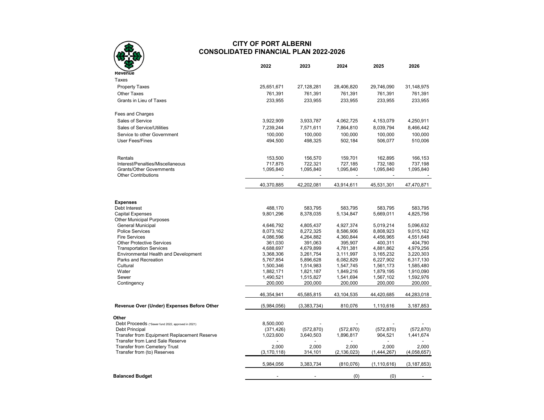## **CITY OF PORT ALBERNI CONSOLIDATED FINANCIAL PLAN 2022-2026**

|                                                                                | 2022                 | 2023                 | 2024                 | 2025                 | 2026                 |
|--------------------------------------------------------------------------------|----------------------|----------------------|----------------------|----------------------|----------------------|
| Revenue                                                                        |                      |                      |                      |                      |                      |
| Taxes                                                                          |                      |                      |                      |                      |                      |
| <b>Property Taxes</b>                                                          | 25,651,671           | 27,128,281           | 28,406,820           | 29,746,090           | 31,148,975           |
| <b>Other Taxes</b>                                                             | 761,391              | 761,391              | 761,391              | 761,391              | 761,391              |
| Grants in Lieu of Taxes                                                        | 233,955              | 233,955              | 233,955              | 233,955              | 233,955              |
| Fees and Charges                                                               |                      |                      |                      |                      |                      |
| Sales of Service                                                               | 3,922,909            | 3,933,787            | 4,062,725            | 4,153,079            | 4,250,911            |
| Sales of Service/Utilities                                                     |                      |                      |                      |                      |                      |
|                                                                                | 7,239,244            | 7,571,611            | 7,864,810            | 8,039,794            | 8,466,442            |
| Service to other Government<br><b>User Fees/Fines</b>                          | 100,000<br>494,500   | 100,000<br>498,325   | 100,000<br>502,184   | 100,000<br>506,077   | 100,000<br>510,006   |
| Rentals                                                                        | 153,500              | 156,570              | 159,701              | 162,895              | 166,153              |
| Interest/Penalties/Miscellaneous                                               | 717,875              | 722,321              | 727,185              | 732,180              | 737,198              |
| <b>Grants/Other Governments</b><br><b>Other Contributions</b>                  | 1,095,840            | 1,095,840            | 1,095,840            | 1,095,840            | 1,095,840            |
|                                                                                | 40.370.885           | 42,202,081           | 43.914.611           | 45.531.301           | 47,470,871           |
|                                                                                |                      |                      |                      |                      |                      |
| <b>Expenses</b><br>Debt Interest                                               | 488,170              | 583,795              | 583,795              | 583,795              | 583,795              |
| <b>Capital Expenses</b>                                                        | 9,801,296            | 8,378,035            | 5.134.847            | 5,669,011            | 4,825,756            |
| <b>Other Municipal Purposes</b>                                                |                      |                      |                      |                      |                      |
| <b>General Municipal</b>                                                       | 4,646,792            | 4,805,437            | 4,927,374            | 5,019,214            | 5,096,632            |
| <b>Police Services</b>                                                         | 8,073,162            | 8,272,325            | 8,586,906            | 8,808,923            | 9,015,162            |
| <b>Fire Services</b>                                                           | 4,086,596            | 4,264,882            | 4,360,844            | 4,456,965            | 4,551,648            |
| <b>Other Protective Services</b>                                               | 361,030              | 391,063              | 395,907              | 400,311              | 404,790              |
| <b>Transportation Services</b>                                                 | 4,688,697            | 4,679,899            | 4,781,381            | 4,881,862            | 4,979,256            |
| Environmental Health and Development                                           | 3,368,306            | 3,261,754            | 3,111,997            | 3,165,232            | 3,220,303            |
| Parks and Recreation                                                           | 5,767,854            | 5,896,628            | 6,082,829            | 6,227,902            | 6,317,130            |
| Cultural                                                                       | 1,500,346            | 1,514,983            | 1,547,745            | 1,561,173            | 1,585,480            |
| Water                                                                          | 1,882,171            | 1,821,187            | 1,849,216            | 1,879,195            | 1,910,090            |
| Sewer<br>Contingency                                                           | 1,490,521<br>200,000 | 1,515,827<br>200,000 | 1,541,694<br>200,000 | 1,567,102<br>200,000 | 1,592,976<br>200,000 |
|                                                                                | 46,354,941           | 45,585,815           | 43,104,535           | 44,420,685           | 44,283,018           |
| Revenue Over (Under) Expenses Before Other                                     | (5,984,056)          | (3,383,734)          | 810,076              | 1,110,616            | 3,187,853            |
| Other                                                                          |                      |                      |                      |                      |                      |
| Debt Proceeds (*Sewer fund 2022, approved in 2021)                             | 8,500,000            |                      |                      |                      |                      |
| Debt Principal                                                                 | (371, 426)           | (572, 870)           | (572, 870)           | (572, 870)           | (572, 870)           |
| Transfer from Equipment Replacement Reserve<br>Transfer from Land Sale Reserve | 1,023,600            | 3,640,503            | 1,896,817            | 904,521              | 1,441,674            |
| <b>Transfer from Cemetery Trust</b>                                            | 2,000                | 2,000                | 2,000                | 2.000                | 2,000                |
| Transfer from (to) Reserves                                                    | (3, 170, 118)        | 314,101              | (2, 136, 023)        | (1,444,267)          | (4,058,657)          |
|                                                                                | 5,984,056            | 3,383,734            | (810, 076)           | (1, 110, 616)        | (3, 187, 853)        |
| <b>Balanced Budget</b>                                                         |                      |                      | (0)                  | (0)                  |                      |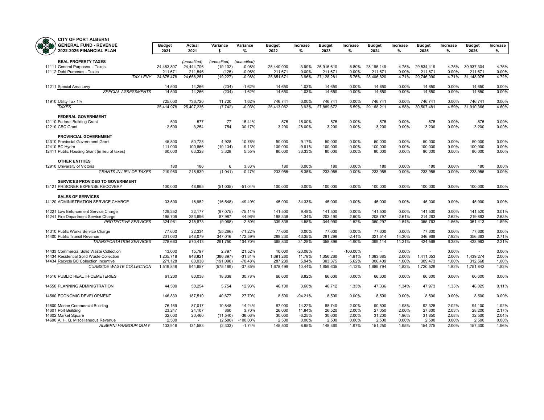

|           | <b>CITY OF PORT ALBERNI</b>                           |                  |                  |                |                      |                       |                |                       |                |                         |                |                       |                |                          |                   |
|-----------|-------------------------------------------------------|------------------|------------------|----------------|----------------------|-----------------------|----------------|-----------------------|----------------|-------------------------|----------------|-----------------------|----------------|--------------------------|-------------------|
| <b>RA</b> | <b>GENERAL FUND - REVENUE</b>                         | <b>Budget</b>    | Actual           | Variance       | Variance             | <b>Budget</b>         | Increase       | <b>Budget</b>         | Increase       | <b>Budget</b>           | Increase       | <b>Budget</b>         | Increase       | <b>Budget</b>            | Increase          |
|           | 2022-2026 FINANCIAL PLAN                              | 2021             | 2021             | \$             | %                    | 2022                  | $\%$           | 2023                  | %              | 2024                    | %              | 2025                  | %              | 2026                     | %                 |
|           | <b>REAL PROPERTY TAXES</b>                            |                  | (unaudited)      | (unaudited)    | (unaudited)          |                       |                |                       |                |                         |                |                       |                |                          |                   |
|           | 11111 General Purposes - Taxes                        | 24,463,807       | 24,444,706       | (19, 102)      | $-0.08%$             | 25,440,000            | 3.99%          | 26,916,610            | 5.80%          | 28, 195, 149            | 4.75%          | 29,534,419            | 4.75%          | 30,937,304               | 4.75%             |
|           | 11112 Debt Purposes - Taxes                           | 211.671          | 211.546          | (125)          | $-0.06%$             | 211,671               | 0.00%          | 211.671               | 0.00%          | 211,671                 | 0.00%          | 211,671               | 0.00%          | 211,671                  | 0.00%             |
|           | <b>TAX LEVY</b>                                       | 24,675,478       | 24,656,251       | (19, 227)      | $-0.08%$             | 25,651,671            | 3.96%          | 27,128,281            | 5.76%          | 28,406,820              | 4.71%          | 29,746,090            | 4.71%          | 31,148,975               | 4.72%             |
|           |                                                       |                  |                  |                |                      |                       |                |                       | $0.00\%$       |                         |                |                       |                |                          |                   |
|           | 11211 Special Area Levy<br><b>SPECIAL ASSESSMENTS</b> | 14.500<br>14,500 | 14.266<br>14,266 | (234)<br>(234) | $-1.62%$<br>$-1.62%$ | 14.650<br>14,650      | 1.03%<br>1.03% | 14.650<br>14,650      | 0.00%          | 14.650<br>14,650        | 0.00%<br>0.00% | 14.650<br>14,650      | 0.00%<br>0.00% | 14.650<br>14,650         | $0.00\%$<br>0.00% |
|           |                                                       |                  |                  |                |                      |                       |                |                       |                |                         |                |                       |                |                          |                   |
|           | 11910 Utility Tax 1%<br><b>TAXES</b>                  | 725,000          | 736,720          | 11,720         | 1.62%<br>$-0.03%$    | 746,741<br>26,413,062 | 3.00%<br>3.93% | 746,741<br>27,889,672 | 0.00%<br>5.59% | 746,741<br>29, 168, 211 | 0.00%<br>4.58% | 746,741<br>30,507,481 | 0.00%<br>4.59% | 746,741<br>31,910,366    | 0.00%<br>4.60%    |
|           |                                                       | 25,414,978       | 25,407,236       | (7, 742)       |                      |                       |                |                       |                |                         |                |                       |                |                          |                   |
|           | <b>FEDERAL GOVERNMENT</b>                             |                  |                  |                |                      |                       |                |                       |                |                         |                |                       |                |                          |                   |
|           | 12110 Federal Building Grant                          | 500              | 577              | 77             | 15.41%               | 575                   | 15.00%         | 575                   | 0.00%          | 575                     | 0.00%          | 575                   | 0.00%          | 575                      | 0.00%             |
|           | 12210 CBC Grant                                       | 2,500            | 3.254            | 754            | 30.17%               | 3,200                 | 28.00%         | 3.200                 | 0.00%          | 3.200                   | 0.00%          | 3,200                 | 0.00%          | 3,200                    | 0.00%             |
|           | <b>PROVINCIAL GOVERNMENT</b>                          |                  |                  |                |                      |                       |                |                       |                |                         |                |                       |                |                          |                   |
|           | 12310 Provincial Government Grant                     | 45.800           | 50.728           | 4.928          | 10.76%               | 50.000                | 9.17%          | 50.000                | 0.00%          | 50,000                  | 0.00%          | 50.000                | 0.00%          | 50.000                   | 0.00%             |
|           | 12410 BC Hydro                                        | 111,000          | 100,866          | (10, 134)      | $-9.13%$             | 100,000               | $-9.91%$       | 100,000               | 0.00%          | 100,000                 | 0.00%          | 100,000               | 0.00%          | 100,000                  | 0.00%             |
|           | 12411 Public Housing Grant (in lieu of taxes)         | 60,000           | 63,328           | 3,328          | 5.55%                | 80,000                | 33.33%         | 80,000                | 0.00%          | 80,000                  | 0.00%          | 80,000                | 0.00%          | 80,000                   | 0.00%             |
|           | <b>OTHER ENTITIES</b>                                 |                  |                  |                |                      |                       |                |                       |                |                         |                |                       |                |                          |                   |
|           | 12910 University of Victoria                          | 180              | 186              | 6              | 3.33%                | 180                   | 0.00%          | 180                   | 0.00%          | 180                     | 0.00%          | 180                   | 0.00%          | 180                      | 0.00%             |
|           | <b>GRANTS IN LIEU OF TAXES</b>                        | 219,980          | 218,939          | (1.041)        | $-0.47%$             | 233,955               | 6.35%          | 233,955               | 0.00%          | 233,955                 | 0.00%          | 233,955               | 0.00%          | 233.955                  | 0.00%             |
|           | <b>SERVICES PROVIDED TO GOVERNMENT</b>                |                  |                  |                |                      |                       |                |                       |                |                         |                |                       |                |                          |                   |
|           | 13121 PRISONER EXPENSE RECOVERY                       | 100,000          | 48,965           | (51, 035)      | $-51.04%$            | 100,000               | 0.00%          | 100,000               | 0.00%          | 100,000                 | 0.00%          | 100,000               | 0.00%          | 100,000                  | 0.00%             |
|           |                                                       |                  |                  |                |                      |                       |                |                       |                |                         |                |                       |                |                          |                   |
|           | <b>SALES OF SERVICES</b>                              |                  |                  |                |                      |                       |                |                       |                |                         |                |                       |                |                          |                   |
|           | 14120 ADMINISTRATION SERVICE CHARGE                   | 33,500           | 16,952           | (16, 548)      | -49.40%              | 45,000                | 34.33%         | 45.000                | 0.00%          | 45,000                  | 0.00%          | 45,000                | 0.00%          | 45,000                   | 0.00%             |
|           | 14221 Law Enforcement Service Charge                  | 129,252          | 32,177           | (97, 075)      | $-75.11%$            | 141.500               | 9.48%          | 141.500               | 0.00%          | 141,500                 | 0.00%          | 141,500               | 0.00%          | 141,520                  | 0.01%             |
|           | 14241 Fire Department Service Charge                  | 195.709          | 283.696          | 87.987         | 44.96%               | 198.338               | 1.34%          | 203.490               | 2.60%          | 208.797                 | 2.61%          | 214.263               | 2.62%          | 219.893                  | 2.63%             |
|           | <b>PROTECTIVE SERVICES</b>                            | 324,961          | 315,873          | (9,088)        | $-2.80%$             | 339,838               | 4.58%          | 344,990               | 1.52%          | 350,297                 | 1.54%          | 355,763               | 1.56%          | 361,413                  | 1.59%             |
|           | 14310 Public Works Service Charge                     | 77,600           | 22,334           | (55, 266)      | $-71.22%$            | 77,600                | 0.00%          | 77,600                | 0.00%          | 77,600                  | 0.00%          | 77,600                | 0.00%          | 77,600                   | 0.00%             |
|           | 14400 Public Transit Revenue                          | 201.063          | 548,079          | 347,016        | 172.59%              | 288,230               | 43.35%         | 281,296               | $-2.41%$       | 321,514                 | 14.30%         | 346,968               | 7.92%          | 356,363                  | 2.71%             |
|           | <b>TRANSPORTATION SERVICES</b>                        | 278,663          | 570,413          | 291,750        | 104.70%              | 365,830               | 31.28%         | 358,896               | $-1.90%$       | 399,114                 | 11.21%         | 424,568               | 6.38%          | 433,963                  | 2.21%             |
|           | 14433 Commercial Solid Waste Collection               | 13,000           | 15,797           | 2,797          | 21.52%               | 10,000                | $-23.08%$      | $\sim$                | $-100.00\%$    | $\sim$                  | 0.00%          | $\sim$                | 0.00%          | $\overline{\phantom{a}}$ | 0.00%             |
|           | 14434 Residential Solid Waste Collection              | 1,235,718        | 848,821          | (386, 897)     | $-31.31%$            | 1,381,260             | 11.78%         | 1,356,260             | $-1.81%$       | 1,383,385               | 2.00%          | 1,411,053             | 2.00%          | 1.439.274                | 2.00%             |
|           | 14434 Recycle BC Collection Incentive                 | 271,128          | 80,038           | (191, 090)     | $-70.48%$            | 287,239               | 5.94%          | 303,375               | 5.62%          | 306,409                 | 1.00%          | 309,473               | 1.00%          | 312.568                  | 1.00%             |
|           | <b>CURBSIDE WASTE COLLECTION</b>                      | 1,519,846        | 944,657          | (575, 189)     | $-37.85%$            | 1,678,499             | 10.44%         | 1,659,635             | $-1.12%$       | 1,689,794               | 1.82%          | 1,720,526             | 1.82%          | 1,751,842                | 1.82%             |
|           | 14516 PUBLIC HEALTH-CEMETERIES                        | 61,200           | 80,038           | 18,838         | 30.78%               | 66,600                | 8.82%          | 66,600                | 0.00%          | 66,600                  | 0.00%          | 66,600                | 0.00%          | 66,600                   | 0.00%             |
|           |                                                       |                  |                  |                |                      |                       |                |                       |                |                         |                |                       |                |                          |                   |
|           | 14550 PLANNING ADMINISTRATION                         | 44,500           | 50,254           | 5,754          | 12.93%               | 46,100                | 3.60%          | 46.712                | 1.33%          | 47,336                  | 1.34%          | 47,973                | 1.35%          | 48,025                   | 0.11%             |
|           | 14560 ECONOMIC DEVELOPMENT                            | 146.833          | 187,510          | 40,677         | 27.70%               | 8.500                 | $-94.21%$      | 8.500                 | 0.00%          | 8.500                   | 0.00%          | 8.500                 | 0.00%          | 8.500                    | 0.00%             |
|           | 14600 Marine Commercial Building                      | 76,169           | 87,017           | 10,848         | 14.24%               | 87,000                | 14.22%         | 88,740                | 2.00%          | 90,500                  | 1.98%          | 92,325                | 2.02%          | 94,100                   | 1.92%             |
|           | 14601 Port Building                                   | 23,247           | 24,107           | 860            | 3.70%                | 26,000                | 11.84%         | 26,520                | 2.00%          | 27,050                  | 2.00%          | 27,600                | 2.03%          | 28,200                   | 2.17%             |
|           | 14602 Market Square                                   | 32,000           | 20,460           | (11,540)       | -36.06%              | 30,000                | $-6.25%$       | 30,600                | 2.00%          | 31,200                  | 1.96%          | 31,850                | 2.08%          | 32,500                   | 2.04%             |
|           | 14690 A. H. Q. Miscellaneous Revenue                  | 2,500            |                  | (2,500)        | -100.00%             | 2,500                 | 0.00%          | 2,500                 | 0.00%          | 2,500                   | 0.00%          | 2,500                 | 0.00%          | 2,500                    | 0.00%             |
|           | <b>ALBERNI HARBOUR QUAY</b>                           | 133.916          | 131,583          | (2, 333)       | $-1.74%$             | 145,500               | 8.65%          | 148.360               | 1.97%          | 151,250                 | 1.95%          | 154,275               | 2.00%          | 157,300                  | 1.96%             |
|           |                                                       |                  |                  |                |                      |                       |                |                       |                |                         |                |                       |                |                          |                   |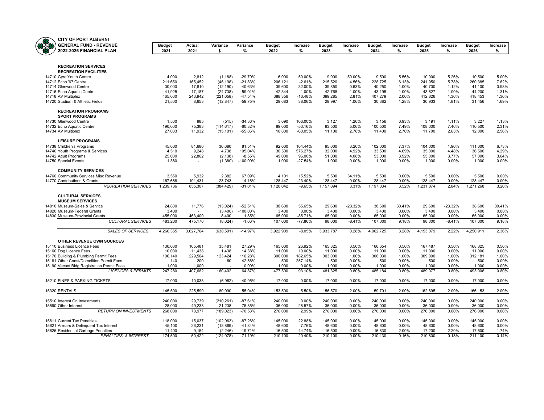

| <b>CITY OF PORT ALBERNI</b>                                    |                       |                  |                         |                        |                       |                     |                       |                |                       |                |                       |                |                       |                 |
|----------------------------------------------------------------|-----------------------|------------------|-------------------------|------------------------|-----------------------|---------------------|-----------------------|----------------|-----------------------|----------------|-----------------------|----------------|-----------------------|-----------------|
| <b>GENERAL FUND - REVENUE</b><br>₩<br>2022-2026 FINANCIAL PLAN | <b>Budget</b><br>2021 | Actual<br>2021   | Variance<br>\$          | Variance<br>$\%$       | <b>Budget</b><br>2022 | Increase<br>%       | <b>Budget</b><br>2023 | Increase<br>%  | <b>Budget</b><br>2024 | Increase<br>%  | <b>Budget</b><br>2025 | Increase<br>%  | <b>Budget</b><br>2026 | Increase<br>%   |
|                                                                |                       |                  |                         |                        |                       |                     |                       |                |                       |                |                       |                |                       |                 |
| <b>RECREATION SERVICES</b>                                     |                       |                  |                         |                        |                       |                     |                       |                |                       |                |                       |                |                       |                 |
| <b>RECREATION FACILITIES</b>                                   |                       |                  |                         |                        |                       |                     |                       |                |                       |                |                       |                |                       |                 |
| 14710 Gyro Youth Centre                                        | 4,000                 | 2,812            | (1, 188)                | $-29.70%$              | 6,000                 | 50.00%              | 9,000                 | 50.00%         | 9,500                 | 5.56%          | 10,000                | 5.26%          | 10,500                | 5.00%           |
| 14712 Echo '67 Centre                                          | 211,650               | 165,452          | (46, 198)               | $-21.83%$              | 206.121               | $-2.61%$            | 215,520               | 4.56%          | 228,725               | 6.13%          | 241.950               | 5.78%          | 260,385               | 7.62%           |
| 14714 Glenwood Centre                                          | 30,000                | 17,810           | (12, 190)               | -40.63%                | 39,600                | 32.00%              | 39,850                | 0.63%          | 40,250                | 1.00%          | 40,700                | 1.12%          | 41,100                | 0.98%           |
| 14716 Echo Aquatic Centre                                      | 41,925                | 17,187           | (24, 738)               | $-59.01%$              | 42,344                | 1.00%               | 42,768                | 1.00%          | 43,195                | 1.00%          | 43,627                | 1.00%          | 44,200                | 1.31%           |
| 14718 AV Multiplex<br>14720 Stadium & Athletic Fields          | 465,000<br>21,500     | 243,942<br>8,653 | (221, 058)<br>(12, 847) | $-47.54%$<br>$-59.75%$ | 388,356<br>29,683     | $-16.48%$<br>38.06% | 399,285<br>29,997     | 2.81%<br>1.06% | 407,279<br>30,382     | 2.00%<br>1.28% | 412,826<br>30,933     | 1.36%<br>1.81% | 418,453<br>31,456     | 1.36%<br>1.69%  |
| <b>RECREATION PROGRAMS</b>                                     |                       |                  |                         |                        |                       |                     |                       |                |                       |                |                       |                |                       |                 |
| <b>SPORT PROGRAMS</b>                                          |                       |                  |                         |                        |                       |                     |                       |                |                       |                |                       |                |                       |                 |
| 14730 Glenwood Centre                                          | 1,500                 | 985              | (515)                   | $-34.36%$              | 3,090                 | 106.00%             | 3,127                 | 1.20%          | 3,156                 | 0.93%          | 3,191                 | 1.11%          | 3.227                 | 1.13%           |
| 14732 Echo Aquatic Centre                                      | 190,000               | 75,383           | (114, 617)              | $-60.32%$              | 89,000                | $-53.16%$           | 93,500                | 5.06%          | 100,500               | 7.49%          | 108,000               | 7.46%          | 110,500               | 2.31%           |
| 14734 AV Multiplex                                             | 27,033                | 11,932           | (15, 101)               | $-55.86%$              | 10,800                | $-60.05%$           | 11,100                | 2.78%          | 11,400                | 2.70%          | 11,700                | 2.63%          | 12,000                | 2.56%           |
| <b>LEISURE PROGRAMS</b>                                        |                       |                  |                         |                        |                       |                     |                       |                |                       |                |                       |                |                       |                 |
| 14738 Children's Programs<br>14740 Youth Programs & Services   | 45,000<br>4,510       | 81,680<br>9,248  | 36,680<br>4,738         | 81.51%<br>105.04%      | 92,000<br>30.500      | 104.44%<br>576.27%  | 95,000<br>32.000      | 3.26%<br>4.92% | 102,000<br>33.500     | 7.37%<br>4.69% | 104,000<br>35.000     | 1.96%<br>4.48% | 111,000<br>36.500     | 6.73%<br>4.29%  |
| 14742 Adult Programs                                           | 25,000                | 22,862           | (2, 138)                | $-8.55%$               | 49,000                | 96.00%              | 51,000                | 4.08%          | 53,000                | 3.92%          | 55,000                | 3.77%          | 57,000                | 3.64%           |
| 14750 Special Events                                           | 1.380                 |                  | (1,380)                 | $-100.00\%$            | 1.000                 | $-27.54%$           | 1,000                 | 0.00%          | 1.000                 | 0.00%          | 1,000                 | 0.00%          | 1.000                 | 0.00%           |
| <b>COMMUNITY SERVICES</b>                                      |                       |                  |                         |                        |                       |                     |                       |                |                       |                |                       |                |                       |                 |
| 14760 Community Services Misc Revenue                          | 3,550                 | 5,932            | 2,382                   | 67.09%                 | 4,101                 | 15.52%              | 5,500                 | 34.11%         | 5,500                 | 0.00%          | 5,500                 | 0.00%          | 5,500                 | 0.00%           |
| 14770 Contributions & Grants                                   | 167,688               | 191,431          | 23,743                  | 14.16%                 | 128,447               | $-23.40%$           | 128,447               | 0.00%          | 128,447               | 0.00%          | 128,447               | 0.00%          | 128,447               | 0.00%           |
| <b>RECREATION SERVICES</b>                                     | 1,239,736             | 855,307          | (384, 429)              | $-31.01%$              | 1,120,042             | $-9.65%$            | 1,157,094             | 3.31%          | 1,197,834             | 3.52%          | 1,231,874             | 2.84%          | 1,271,268             | 3.20%           |
| <b>CULTURAL SERVICES</b>                                       |                       |                  |                         |                        |                       |                     |                       |                |                       |                |                       |                |                       |                 |
| <b>MUSEUM SERVICES</b>                                         |                       |                  |                         |                        |                       |                     |                       |                |                       |                |                       |                |                       |                 |
| 14810 Museum-Sales & Service                                   | 24,800                | 11,776           | (13, 024)               | $-52.51%$              | 38,600                | 55.65%              | 29,600                | $-23.32%$      | 38,600                | 30.41%         | 29,600                | $-23.32%$      | 38,600                | 30.41%<br>0.00% |
| 14820 Museum-Federal Grants<br>14830 Museum-Provincial Grants  | 3,400<br>455,000      | 463,400          | (3,400)<br>8,400        | $-100.00\%$<br>1.85%   | 3,400<br>65,000       | 0.00%<br>$-85.71%$  | 3,400<br>65,000       | 0.00%<br>0.00% | 3,400<br>65,000       | 0.00%<br>0.00% | 3,400<br>65,000       | 0.00%<br>0.00% | 3,400<br>65,000       | 0.00%           |
| <b>CULTURAL SERVICES</b>                                       | 483,200               | 475,176          | (8,024)                 | $-1.66%$               | 107,000               | $-77.86%$           | 98,000                | $-8.41%$       | 107,000               | 9.18%          | 98,000                | $-8.41%$       | 107,000               | 9.18%           |
| <b>SALES OF SERVICES</b>                                       | 4,266,355             | 3,627,764        | (638, 591)              | $-14.97%$              | 3,922,909             | $-8.05%$            | 3,933,787             | 0.28%          | 4,062,725             | 3.28%          | 4,153,079             | 2.22%          | 4,250,911             | 2.36%           |
| OTHER REVENUE OWN SOURCES                                      |                       |                  |                         |                        |                       |                     |                       |                |                       |                |                       |                |                       |                 |
| 15110 Business Licence Fees                                    | 130,000               | 165,481          | 35.481                  | 27.29%                 | 165.000               | 26.92%              | 165,825               | 0.50%          | 166.654               | 0.50%          | 167.487               | 0.50%          | 168,325               | 0.50%           |
| 15160 Dog Licence Fees                                         | 10,000                | 11,438           | 1,438                   | 14.38%                 | 11,000                | 10.00%              | 11,000                | 0.00%          | 11,000                | 0.00%          | 11,000                | 0.00%          | 11,000                | 0.00%           |
| 15170 Building & Plumbing Permit Fees                          | 106,140               | 229,564          | 123,424                 | 116.28%                | 300,000               | 182.65%             | 303,000               | 1.00%          | 306,030               | 1.00%          | 309,090               | 1.00%          | 312,181               | 1.00%           |
| 15181 Other Const/Demolition Permit Fees                       | 140                   | 200              | 60                      | 42.86%                 | 500                   | 257.14%             | 500                   | 0.00%          | 500                   | 0.00%          | 500                   | 0.00%          | 500                   | 0.00%           |
| 15190 Vacant Bldg Registration Permit Fees                     | 1,000                 | 1,000            |                         | 0.00%                  | 1,000                 | 0.00%               | 1,000                 | 0.00%          | 1,000                 | 0.00%          | 1,000                 | 0.00%          | 1,000                 | 0.00%           |
| <b>LICENCES &amp; PERMITS</b>                                  | 247,280               | 407,682          | 160,402                 | 64.87%                 | 477,500               | 93.10%              | 481,325               | 0.80%          | 485,184               | 0.80%          | 489,077               | 0.80%          | 493,006               | 0.80%           |
| 15210 FINES & PARKING TICKETS                                  | 17,000                | 10,038           | (6,962)                 | -40.95%                | 17,000                | 0.00%               | 17,000                | 0.00%          | 17,000                | 0.00%          | 17,000                | 0.00%          | 17,000                | 0.00%           |
| 15320 RENTALS                                                  | 145,500               | 225,590          | 80.090                  | 55.04%                 | 153,500               | 5.50%               | 156,570               | 2.00%          | 159,701               | 2.00%          | 162,895               | 2.00%          | 166,153               | 2.00%           |
| 15510 Interest On Investments                                  | 240,000               | 29,739           | (210, 261)              | $-87.61%$              | 240,000               | 0.00%               | 240,000               | 0.00%          | 240,000               | 0.00%          | 240,000               | 0.00%          | 240,000               | 0.00%           |
| 15590 Other Interest                                           | 28,000                | 49,238           | 21,238                  | 75.85%                 | 36,000                | 28.57%              | 36,000                | 0.00%          | 36,000                | 0.00%          | 36,000                | 0.00%          | 36,000                | 0.00%           |
| <b>RETURN ON INVESTMENTS</b>                                   | 268,000               | 78,977           | (189, 023)              | $-70.53%$              | 276,000               | 2.99%               | 276,000               | 0.00%          | 276,000               | 0.00%          | 276,000               | 0.00%          | 276,000               | 0.00%           |
| <b>15611 Current Tax Penalties</b>                             | 118,000               | 15,037           | (102, 963)              | $-87.26%$              | 145,000               | 22.88%              | 145,000               | 0.00%          | 145,000               | 0.00%          | 145,000               | 0.00%          | 145,000               | 0.00%           |
| 15621 Arrears & Delinquent Tax Interest                        | 45,100                | 26,231           | (18, 869)               | $-41.84%$              | 48,600                | 7.76%               | 48,600                | 0.00%          | 48,600                | 0.00%          | 48,600                | 0.00%          | 48,600                | 0.00%           |
| 15625 Residential Garbage Penalties                            | 11.400                | 9.154            | (2.246)                 | $-19.71%$              | 16.500                | 44.74%              | 16,500                | 0.00%          | 16.830                | 2.00%          | 17,200                | 2.20%          | 17.500                | 1.74%           |
| PENALTIES & INTEREST                                           | 174,500               | 50,422           | (124, 078)              | $-71.10%$              | 210,100               | 20.40%              | 210,100               | 0.00%          | 210,430               | 0.16%          | 210,800               | 0.18%          | 211,100               | 0.14%           |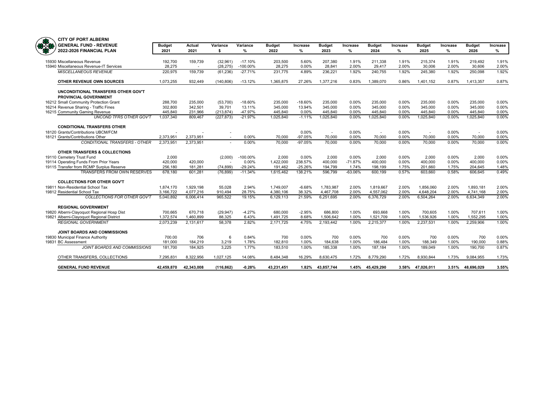

|            | VIII VI FUNI ALDLINII                                                  |                   |                                  |                       |                          |                   |                |                          |                |                   |                 |                   |                |                   |                |
|------------|------------------------------------------------------------------------|-------------------|----------------------------------|-----------------------|--------------------------|-------------------|----------------|--------------------------|----------------|-------------------|-----------------|-------------------|----------------|-------------------|----------------|
| <b>TAB</b> | <b>GENERAL FUND - REVENUE</b>                                          | <b>Budget</b>     | Actual                           | Variance              | Variance                 | <b>Budget</b>     | Increase       | <b>Budget</b>            | Increase       | <b>Budget</b>     | <b>Increase</b> | <b>Budget</b>     | Increase       | <b>Budget</b>     | Increase       |
|            | 2022-2026 FINANCIAL PLAN                                               | 2021              | 2021                             | \$                    | %                        | 2022              | %              | 2023                     | %              | 2024              | ℅               | 2025              | %              | 2026              | ℅              |
|            |                                                                        |                   |                                  |                       |                          |                   |                |                          |                |                   |                 |                   |                |                   |                |
|            | 15930 Miscellaneous Revenue<br>15940 Miscellaneous Revenue-IT Services | 192.700<br>28,275 | 159.739<br>$\tilde{\phantom{a}}$ | (32,961)<br>(28, 275) | $-17.10%$<br>$-100.00\%$ | 203.500<br>28,275 | 5.60%<br>0.00% | 207.380<br>28.841        | 1.91%<br>2.00% | 211.338<br>29.417 | 1.91%<br>2.00%  | 215.374<br>30.006 | 1.91%<br>2.00% | 219.492<br>30,606 | 1.91%<br>2.00% |
|            | <b>MISCELLANEOUS REVENUE</b>                                           | 220,975           | 159,739                          | (61, 236)             | $-27.71%$                | 231,775           | 4.89%          | 236,221                  | 1.92%          | 240,755           | 1.92%           | 245,380           | 1.92%          | 250,098           | 1.92%          |
|            |                                                                        |                   |                                  |                       |                          |                   |                |                          |                |                   |                 |                   |                |                   |                |
|            | OTHER REVENUE OWN SOURCES                                              | 1,073,255         | 932.449                          | (140, 806)            | $-13.12%$                | 1,365,875         | 27.26%         | 1,377,216                | 0.83%          | 1,389,070         | 0.86%           | 1,401,152         | 0.87%          | 1,413,357         | 0.87%          |
|            | UNCONDITIONAL TRANSFERS OTHER GOV'T<br><b>PROVINCIAL GOVERNMENT</b>    |                   |                                  |                       |                          |                   |                |                          |                |                   |                 |                   |                |                   |                |
|            | 16212 Small Community Protection Grant                                 | 288,700           | 235,000                          | (53,700)              | $-18.60%$                | 235,000           | $-18.60%$      | 235,000                  | 0.00%          | 235,000           | 0.00%           | 235,000           | 0.00%          | 235,000           | 0.00%          |
|            | 16214 Revenue Sharing - Traffic Fines                                  | 302,800           | 342.501                          | 39.701                | 13.11%                   | 345.000           | 13.94%         | 345.000                  | 0.00%          | 345.000           | 0.00%           | 345.000           | 0.00%          | 345.000           | 0.00%          |
|            | 16215 Community Gaming Revenue                                         | 445,840           | 231,966                          | (213, 874)            | -47.97%                  | 445,840           | 0.00%          | 445,840                  | 0.00%          | 445,840           | 0.00%           | 445,840           | 0.00%          | 445,840           | 0.00%          |
|            | <b>UNCOND TFRS OTHER GOV'T</b>                                         | 1,037,340         | 809,467                          | (227, 873)            | $-21.97%$                | 1,025,840         | $-1.11%$       | 1,025,840                | 0.00%          | 1,025,840         | 0.00%           | 1,025,840         | 0.00%          | 1,025,840         | 0.00%          |
|            | <b>CONDITIONAL TRANSFERS OTHER</b>                                     |                   |                                  |                       |                          |                   |                |                          |                |                   |                 |                   |                |                   |                |
|            | 18120 Grants/Contributions UBCM/FCM                                    |                   |                                  |                       |                          |                   | 0.00%          | $\overline{\phantom{a}}$ | 0.00%          | $\sim$            | 0.00%           | ٠                 | 0.00%          |                   | 0.00%          |
|            | 18121 Grants/Contributions Other                                       | 2,373,951         | 2,373,951                        |                       | $0.00\%$                 | 70,000            | $-97.05%$      | 70,000                   | 0.00%          | 70,000            | 0.00%           | 70,000            | 0.00%          | 70,000            | 0.00%          |
|            | <b>CONDITIONAL TRANSFERS - OTHER</b>                                   | 2.373.951         | 2.373.951                        |                       | 0.00%                    | 70,000            | $-97.05%$      | 70,000                   | 0.00%          | 70,000            | 0.00%           | 70,000            | 0.00%          | 70,000            | 0.00%          |
|            | OTHER TRANSFERS & COLLECTIONS                                          |                   |                                  |                       |                          |                   |                |                          |                |                   |                 |                   |                |                   |                |
|            | 19110 Cemetery Trust Fund                                              | 2,000             |                                  | (2,000)               | $-100.00\%$              | 2,000             | 0.00%          | 2,000                    | 0.00%          | 2,000             | 0.00%           | 2,000             | 0.00%          | 2,000             | 0.00%          |
|            | 19114 Operating Funds From Prior Years                                 | 420,000           | 420,000                          |                       | 0.00%                    | 1,422,000         | 238.57%        | 400,000                  | $-71.87%$      | 400.000           | 0.00%           | 400.000           | 0.00%          | 400.000           | 0.00%          |
|            | 19115 Transfer from RCMP Surplus Reserve                               | 256,180           | 181,281                          | (74, 899)             | $-29.24%$                | 191,462           | $-25.26%$      | 194,799                  | 1.74%          | 198,199           | 1.75%           | 201,660           | 1.75%          | 204,645           | 1.48%          |
|            | TRANSFERS FROM OWN RESERVES                                            | 678,180           | 601,281                          | (76, 899)             | $-11.34%$                | 1,615,462         | 138.21%        | 596,799                  | $-63.06%$      | 600,199           | 0.57%           | 603.660           | 0.58%          | 606,645           | 0.49%          |
|            | <b>COLLECTIONS FOR OTHER GOV'T</b>                                     |                   |                                  |                       |                          |                   |                |                          |                |                   |                 |                   |                |                   |                |
|            | 19811 Non-Residential School Tax                                       | 1,874,170         | 1.929.198                        | 55,028                | 2.94%                    | 1,749,007         | $-6.68%$       | 1,783,987                | 2.00%          | 1,819,667         | 2.00%           | 1.856.060         | 2.00%          | 1,893,181         | 2.00%          |
|            | 19812 Residential School Tax                                           | 3.166.722         | 4.077.216                        | 910.494               | 28.75%                   | 4.380.106         | 38.32%         | 4.467.708                | 2.00%          | 4.557.062         | 2.00%           | 4.648.204         | 2.00%          | 4.741.168         | 2.00%          |
|            | COLLECTIONS FOR OTHER GOV'T                                            | 5,040,892         | 6,006,414                        | 965,522               | 19.15%                   | 6,129,113         | 21.59%         | 6,251,695                | 2.00%          | 6,376,729         | 2.00%           | 6,504,264         | 2.00%          | 6,634,349         | 2.00%          |
|            | <b>REGIONAL GOVERNMENT</b>                                             |                   |                                  |                       |                          |                   |                |                          |                |                   |                 |                   |                |                   |                |
|            | 19820 Alberni-Clayoquot Regional Hosp Dist                             | 700,665           | 670,718                          | (29, 947)             | $-4.27%$                 | 680,000           | $-2.95%$       | 686,800                  | 1.00%          | 693.668           | 1.00%           | 700,605           | 1.00%          | 707.611           | 1.00%          |
|            | 19821 Alberni-Clayoquot Regional District                              | 1,372,574         | 1.460.899                        | 88.325                | 6.43%                    | 1,491,725         | 8.68%          | 1.506.642                | 1.00%          | 1.521.709         | 1.00%           | 1.536.926         | 1.00%          | 1.552.295         | 1.00%          |
|            | <b>REGIONAL GOVERNMENT</b>                                             | 2,073,239         | 2,131,617                        | 58,378                | 2.82%                    | 2,171,725         | 4.75%          | 2,193,442                | 1.00%          | 2,215,377         | 1.00%           | 2,237,531         | 1.00%          | 2,259,906         | 1.00%          |
|            | JOINT BOARDS AND COMMISSIONS                                           |                   |                                  |                       |                          |                   |                |                          |                |                   |                 |                   |                |                   |                |
|            | 19830 Municipal Finance Authority                                      | 700.00            | 706                              | 6                     | 0.84%                    | 700               | 0.00%          | 700                      | 0.00%          | 700               | 0.00%           | 700               | 0.00%          | 700               | 0.00%          |
|            | 19831 BC Assessment                                                    | 181,000           | 184,219                          | 3,219                 | 1.78%                    | 182,810           | 1.00%          | 184,638                  | 1.00%          | 186,484           | 1.00%           | 188,349           | 1.00%          | 190,000           | 0.88%          |
|            | JOINT BOARDS AND COMMISSIONS                                           | 181.700           | 184.925                          | 3.225                 | 1.77%                    | 183.510           | 1.00%          | 185.338                  | 1.00%          | 187.184           | 1.00%           | 189.049           | 1.00%          | 190.700           | 0.87%          |
|            | OTHER TRANSFERS, COLLECTIONS                                           | 7.295.831         | 8.322.956                        | 1,027,125             | 14.08%                   | 8.484.348         | 16.29%         | 8.630.475                | 1.72%          | 8.779.290         | 1.72%           | 8.930.844         | 1.73%          | 9.084.955         | 1.73%          |
|            | <b>GENERAL FUND REVENUE</b>                                            | 42.459.870        | 42.343.008                       | (116.862)             | $-0.28%$                 | 43.231.451        |                | 1.82% 43.857.744         | 1.45%          | 45.429.290        |                 | 3.58% 47.026.011  |                | 3.51% 48.696.029  | 3.55%          |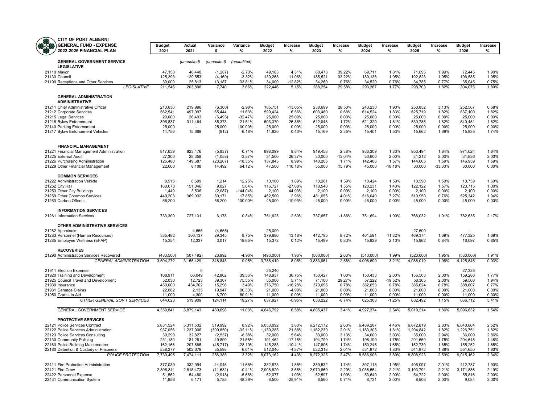| Œ.<br><b>GENERAL FUND - EXPENSE</b><br>2022-2026 FINANCIAL PLAN     | <b>Budget</b><br>2021 | Actual<br>2021    | Variance<br>\$      | Variance<br>%         | <b>Budget</b><br>2022 | Increase<br>%     | <b>Budget</b><br>2023 | Increase<br>%      | <b>Budget</b><br>2024 | Increase<br>%     | <b>Budget</b><br>2025 | Increase<br>%  | <b>Budget</b><br>2026 | Increase<br>%  |
|---------------------------------------------------------------------|-----------------------|-------------------|---------------------|-----------------------|-----------------------|-------------------|-----------------------|--------------------|-----------------------|-------------------|-----------------------|----------------|-----------------------|----------------|
|                                                                     |                       |                   |                     |                       |                       |                   |                       |                    |                       |                   |                       |                |                       |                |
| <b>GENERAL GOVERNMENT SERVICE</b><br><b>LEGISLATIVE</b>             |                       | (unaudited)       | (unaudited)         | (unaudited)           |                       |                   |                       |                    |                       |                   |                       |                |                       |                |
| 21110 Mayor                                                         | 47,153                | 48,440            | (1, 287)            | $-2.73%$              | 49,183                | 4.31%             | 68,473                | 39.22%             | 69,711                | 1.81%             | 71,095                | 1.99%          | 72,445                | 1.90%          |
| 21130 Council                                                       | 125,393               | 129,553           | (4, 160)            | $-3.32%$              | 139,263               | 11.06%            | 185,521               | 33.22%             | 189,136               | 1.95%             | 192,823               | 1.95%          | 196,585               | 1.95%          |
| 21190 Receptions and Other Services                                 | 39,000                | 25,813            | 13,187              | 33.81%                | 34,000                | $-12.82%$         | 34,260                | 0.76%              | 34,520                | 0.76%             | 34,785                | 0.77%          | 35,045                | 0.75%          |
| <b>LEGISLATIVE</b>                                                  | 211,546               | 203,806           | 7,740               | 3.66%                 | 222,446               | 5.15%             | 288,254               | 29.58%             | 293,367               | 1.77%             | 298,703               | 1.82%          | 304,075               | 1.80%          |
| <b>GENERAL ADMINISTRATION</b><br><b>ADMINISTRATIVE</b>              |                       |                   |                     |                       |                       |                   |                       |                    |                       |                   |                       |                |                       |                |
| 21211 Chief Administrative Officer                                  | 213,636               | 219,996           | (6, 360)            | $-2.98%$              | 185,751               | $-13.05%$         | 238,699               | 28.50%             | 243,230               | 1.90%             | 250,852               | 3.13%          | 252,567               | 0.68%          |
| 21212 Corporate Services                                            | 562,541               | 497,097           | 65,444              | 11.63%                | 599,424               | 6.56%             | 603,480               | 0.68%              | 614,524               | 1.83%             | 625,719               | 1.82%          | 637,100               | 1.82%          |
| 21215 Legal Services                                                | 20,000                | 26,493            | (6, 493)            | $-32.47%$             | 25,000                | 25.00%            | 25,000                | 0.00%              | 25,000                | 0.00%             | 25,000                | 0.00%          | 25,000                | 0.00%          |
| 21216 Bylaw Enforcement                                             | 396,837               | 311,464           | 85,373              | 21.51%                | 503,370               | 26.85%            | 512,048               | 1.72%              | 521,320               | 1.81%             | 530,785               | 1.82%          | 540,451               | 1.82%          |
| 22140 Parking Enforcement                                           | 25,000                |                   | 25,000              | 100.00%               | 25,000                | 0.00%             | 25,000                | 0.00%              | 25,000                | 0.00%             | 25,000                | 0.00%          | 25,000                | 0.00%          |
| 21217 Bylaw Enforcement Vehicles                                    | 14,756                | 15,668            | (912)               | $-6.18%$              | 14,820                | 0.43%             | 15,169                | 2.35%              | 15,401                | 1.53%             | 15,662                | 1.69%          | 15,935                | 1.74%          |
| <b>FINANCIAL MANAGEMENT</b>                                         |                       |                   |                     |                       |                       |                   |                       |                    |                       |                   |                       |                |                       |                |
| 21221 Financial Management Administration                           | 817,639               | 823,476           | (5,837)             | $-0.71%$              | 898,099               | 9.84%             | 919,453               | 2.38%              | 936,309               | 1.83%             | 953,494               | 1.84%          | 971,024               | 1.84%          |
| 21225 External Audit                                                | 27,300                | 28,358<br>149,687 | (1,058)             | $-3.87%$<br>$-18.35%$ | 34,500<br>137,845     | 26.37%<br>8.99%   | 30,000<br>140,205     | $-13.04%$<br>1.71% | 30,600<br>142,406     | 2.00%<br>1.57%    | 31,212<br>144,665     | 2.00%<br>1.59% | 31,836<br>146,959     | 2.00%<br>1.59% |
| 21226 Purchasing Administration<br>21229 Other Financial Management | 126,480<br>22,600     | 8,108             | (23, 207)<br>14,492 | 64.12%                | 47,500                | 110.18%           | 55,000                | 15.79%             | 45,000                | $-18.18%$         | 30,000                | $-33.33%$      | 30,000                | 0.00%          |
| <b>COMMON SERVICES</b>                                              |                       |                   |                     |                       |                       |                   |                       |                    |                       |                   |                       |                |                       |                |
| 21222 Administration Vehicle                                        | 9.913                 | 8,699             | 1,214               | 12.25%                | 10,100                | 1.89%             | 10,261                | 1.59%              | 10,424                | 1.59%             | 10,590                | 1.59%          | 10.759                | 1.60%          |
| 21252 City Hall                                                     | 160,073               | 151,046           | 9,027               | 5.64%                 | 116,727               | $-27.08%$         | 118,540               | 1.55%              | 120,231               | 1.43%             | 122,122               | 1.57%          | 123,715               | 1.30%          |
| 21253 Other City Buildings                                          | 1,449                 | 3,536             | (2,087)             | $-144.04%$            | 2,100                 | 44.93%            | 2,100                 | 0.00%              | 2,100                 | 0.00%             | 2,100                 | 0.00%          | 2,100                 | 0.00%          |
| 21259 Other Common Services                                         | 449,203               | 369,032           | 80.171              | 17.85%                | 462,500               | 2.96%             | 481,055               | 4.01%              | 516,040               | 7.27%             | 519,950               | 0.76%          | 525,342               | 1.04%          |
| 21260 Carbon Offsets                                                | 56,200                | $\overline{a}$    | 56,200              | 100.00%               | 45,000                | -19.93%           | 45,000                | 0.00%              | 45,000                | 0.00%             | 45,000                | 0.00%          | 45,000                | 0.00%          |
| <b>INFORMATION SERVICES</b><br>21261 Information Services           | 733,309               | 727,131           | 6,178               | 0.84%                 | 751,625               | 2.50%             | 737,657               | $-1.86%$           | 751,694               | 1.90%             | 766,032               | 1.91%          | 782,635               | 2.17%          |
| OTHER ADMINISTRATIVE SERVICES                                       |                       |                   |                     |                       |                       |                   |                       |                    |                       |                   |                       |                |                       |                |
| 21282 Appraisals                                                    |                       | 4,655             | (4,655)             |                       | 25,000                |                   |                       |                    |                       |                   | 27,500                |                |                       |                |
| 21283 Personnel (Human Resources)                                   | 335,482               | 306,137           | 29,345              | 8.75%                 | 379.686               | 13.18%            | 412.795               | 8.72%              | 461,591               | 11.82%            | 469.374               | 1.69%          | 477,325               | 1.69%          |
| 21285 Employee Wellness (EFAP)                                      | 15,354                | 12,337            | 3,017               | 19.65%                | 15,372                | 0.12%             | 15,499                | 0.83%              | 15,829                | 2.13%             | 15,962                | 0.84%          | 16,097                | 0.85%          |
| <b>RECOVERIES</b>                                                   |                       |                   |                     |                       |                       |                   |                       |                    |                       |                   |                       |                |                       |                |
| 21290 Administration Services Recovered                             | (483.500)             | (507.492)         | 23.992              | $-4.96%$              | (493.000)             | 1.96%             | (503.000)             | 2.03%              | (513.000)             | 1.99%             | (523,000)             | 1.95%          | (533.000)             | 1.91%          |
| <b>GENERAL ADMINISTRATION</b>                                       | 3,504,272             | 3,155,429         | 348,843             | 9.95%                 | 3,786,419             | 8.05%             | 3,883,961             | 2.58%              | 4,008,699             | 3.21%             | 4,088,019             | 1.98%          | 4,125,845             | 0.93%          |
| 21911 Election Expense                                              |                       | $\Omega$          |                     |                       | 25,240                |                   |                       |                    |                       |                   |                       |                | 27,325                |                |
| 21920 Training and Development                                      | 108,911               | 66,049            | 42,862              | 39.36%                | 148,937               | 36.75%            | 150,427               | 1.00%              | 153,433               | 2.00%             | 156,503               | 2.00%          | 159,280               | 1.77%          |
| 21925 Council Travel and Development                                | 52,030                | 12,723            | 39,307              | 75.55%                | 55,000                | 5.71%             | 71,100                | 29.27%             | 57,222                | $-19.52%$         | 58,365                | 2.00%          | 59,500                | 1.94%          |
| 21930 Insurance                                                     | 450,000               | 434,702           | 15,298              | 3.40%                 | 376,750               | $-16.28%$         | 379,695               | 0.78%              | 382,653               | 0.78%             | 385,624               | 0.78%          | 388,607               | 0.77%          |
| 21931 Damage Claims                                                 | 22,082                | 2,135             | 19,947              | 90.33%                | 21,000                | $-4.90%$          | 21,000                | 0.00%              | 21,000                | 0.00%             | 21,000                | 0.00%          | 21,000                | 0.00%          |
| 21950 Grants In Aid<br>OTHER GENERAL GOV'T SERVICES                 | 11,000<br>644,023     | 4,300<br>519,909  | 6,700<br>124,114    | 60.91%<br>19.27%      | 11,000<br>637,927     | 0.00%<br>$-0.95%$ | 11,000<br>633,222     | 0.00%<br>$-0.74%$  | 11,000<br>625,308     | 0.00%<br>$-1.25%$ | 11,000<br>632,492     | 0.00%<br>1.15% | 11,000<br>666,712     | 0.00%<br>5.41% |
| <b>GENERAL GOVERNMENT SERVICE</b>                                   | 4,359,841             | 3,879,143         | 480,698             | 11.03%                | 4,646,792             | 6.58%             | 4,805,437             | 3.41%              | 4,927,374             | 2.54%             | 5,019,214             | 1.86%          | 5,096,632             | 1.54%          |
| <b>PROTECTIVE SERVICES</b>                                          |                       |                   |                     |                       |                       |                   |                       |                    |                       |                   |                       |                |                       |                |
| 22121 Police Services Contract                                      | 5,831,524             | 5,311,532         | 519,992             | 8.92%                 | 6,053,092             | 3.80%             | 6,212,172             | 2.63%              | 6,489,287             | 4.46%             | 6,672,819             | 2.83%          | 6,840,864             | 2.52%          |
| 22122 Police Services Administration                                | 937,056               | 1,237,906         | (300, 850)          | $-32.11%$             | 1,139,285             | 21.58%            | 1,162,230             | 2.01%              | 1,183,303             | 1.81%             | 1,204,842             | 1.82%          | 1,226,751             | 1.82%          |
| 22123 Police Services Consulting                                    | 30,290                | 32,827            | (2,537)             | $-8.38%$              | 32,000                | 5.64%             | 33,000                | 3.13%              | 34,000                | 3.03%             | 35,000                | 2.94%          | 36,000                | 2.86%          |
| 22130 Community Policing                                            | 231,180               | 181,281           | 49,899              | 21.58%                | 191,462               | $-17.18%$         | 194,799               | 1.74%              | 198,199               | 1.75%             | 201,660               | 1.75%          | 204,645               | 1.48%          |
| 22160 Police Building Maintenance                                   | 162,168               | 207,885           | (45, 717)           | $-28.19%$             | 145,283               | $-10.41%$         | 147,806               | 1.74%              | 150,245               | 1.65%             | 152,730               | 1.65%          | 155,252               | 1.65%          |
| 22180 Detention & Custody of Prisoners                              | 538,277               | 502,679           | 35,598              | 6.61%                 | 512,040               | $-4.87%$          | 522,318               | 2.01%              | 531,872               | 1.83%             | 541,872               | 1.88%          | 551,650               | 1.80%          |
| <b>POLICE PROTECTION</b>                                            | 7,730,495             | 7,474,111         | 256,385             | 3.32%                 | 8,073,162             | 4.43%             | 8,272,325             | 2.47%              | 8,586,906             | 3.80%             | 8,808,923             | 2.59%          | 9,015,162             | 2.34%          |
| 22411 Fire Protection Administration                                | 377,039               | 332,994           | 44,045              | 11.68%                | 382,873               | 1.55%             | 389,532               | 1.74%              | 397,115               | 1.95%             | 405,097               | 2.01%          | 412,787               | 1.90%          |
| 22421 Fire Crew                                                     | 2,806,841             | 2,818,473         | (11, 632)           | $-0.41%$              | 2,906,820             | 3.56%             | 2,970,869             | 2.20%              | 3,036,554             | 2.21%             | 3,103,791             | 2.21%          | 3,171,886             | 2.19%          |
| 22422 Personnel Expense                                             | 51.562                | 54.480            | (2,918)             | $-5.66%$              | 52.077                | 1.00%             | 52.597                | 1.00%              | 53.649                | 2.00%             | 54.722                | 2.00%          | 55.816                | 2.00%          |
| 22431 Communication System                                          | 11,956                | 6,171             | 5,785               | 48.39%                | 8,500                 | $-28.91%$         | 8,560                 | 0.71%              | 8,731                 | 2.00%             | 8,906                 | 2.00%          | 9,084                 | 2.00%          |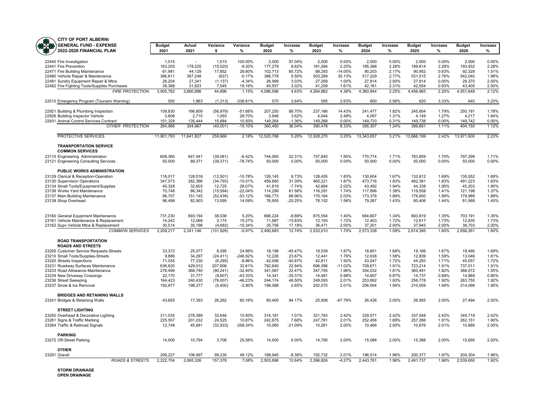

| ᇭ<br><b>UF PURT ALDERNI</b>                                            |                   |                    |                      |                     |                    |                  |                    |                    |                    |                |                    |                |                    |                |
|------------------------------------------------------------------------|-------------------|--------------------|----------------------|---------------------|--------------------|------------------|--------------------|--------------------|--------------------|----------------|--------------------|----------------|--------------------|----------------|
| <b>GENERAL FUND - EXPENSE</b>                                          | <b>Budget</b>     | Actual             | Variance             | Variance            | <b>Budget</b>      | Increase         | <b>Budget</b>      | Increase           | <b>Budget</b>      | Increase       | <b>Budget</b>      | Increase       | <b>Budget</b>      | Increase       |
| 2022-2026 FINANCIAL PLAN                                               | 2021              | 2021               | \$                   | %                   | 2022               | $\%$             | 2023               | %                  | 2024               | $\%$           | 2025               | %              | 2026               | %              |
|                                                                        |                   |                    |                      |                     |                    |                  |                    |                    |                    |                |                    |                |                    |                |
| 22440 Fire Investigation                                               | 1,015             | $\sim$             | 1,015                | 100.00%             | 2,000              | 97.04%           | 2,000              | 0.00%              | 2,000              | 0.00%          | 2,000              | 0.00%          | 2,000              | 0.00%          |
| 22441 Fire Prevention                                                  | 163,205           | 178,225            | (15,020)             | $-9.20%$            | 177,279            | 8.62%            | 181,264            | 2.25%              | 185,388            | 2.28%          | 189.614            | 2.28%          | 193.932            | 2.28%          |
| 22471 Fire Building Maintenance                                        | 61,981            | 44,129             | 17,852               | 28.80%              | 102,713            | 65.72%           | 88,283             | $-14.05%$          | 90,203             | 2.17%          | 90,952             | 0.83%          | 92,328             | 1.51%          |
| 22480 Vehicle Repair & Maintenance                                     | 366,611           | 367,248            | (637)                | $-0.17%$            | 386,778            | 5.50%            | 503,299            | 30.13%             | 517,229            | 2.77%          | 531,515            | 2.76%          | 542.040            | 1.98%          |
| 22481 Sundry Equipment Repair & Mtce                                   | 26,204            | 27,341             | (1, 137)             | $-4.34%$            | 26,999             | 3.03%            | 27,269             | 1.00%              | 27,814             | 2.00%          | 27,814             | 0.00%          | 28,370             | 2.00%          |
| 22482 Fire Fighting Tools/Supplies Purchases                           | 39.368            | 31,823             | 7,545                | 19.16%              | 40,557             | 3.02%            | 41,209             | 1.61%              | 42.161             | 2.31%          | 42.554             | 0.93%          | 43.405             | 2.00%          |
| <b>FIRE PROTECTION</b>                                                 | 3,905,782         | 3,860,886          | 44,896               | 1.15%               | 4,086,596          | 4.63%            | 4,264,882          | 4.36%              | 4,360,844          | 2.25%          | 4,456,965          | 2.20%          | 4,551,648          | 2.12%          |
| 22510 Emergency Program (Tsunami Warning)                              | 550               | 1,863              | (1, 313)             | -238.81%            | 570                | 3.64%            | 585                | 2.63%              | 600                | 2.56%          | 620                | 3.33%          | 640                | 3.23%          |
| 22921 Building & Plumbing Inspection                                   | 109.830           | 166,809            | (56, 979)            | $-51.88%$           | 207,250            | 88.70%           | 237.166            | 14.43%             | 241.477            | 1.82%          | 245,804            | 1.79%          | 250.191            | 1.78%          |
| 22926 Building Inspector Vehicle                                       | 3,808             | 2,715              | 1,093                | 28.70%              | 3,946              | 3.62%            | 4,044              | 2.48%              | 4,097              | 1.31%          | 4,149              | 1.27%          | 4,217              | 1.64%          |
| 22931 Animal Control Services Contract                                 | 151.328           | 135.444            | 15,884               | 10.50%              | 149,264            | $-1.36%$         | 149,268            | 0.00%              | 149,733            | 0.31%          | 149,738            | 0.00%          | 149,742            | 0.00%          |
| <b>OTHER PROTECTION</b>                                                | 264,966           | 304,967            | (40,001)             | $-15.10%$           | 360,460            | 36.04%           | 390,478            | 8.33%              | 395,307            | 1.24%          | 399,691            | 1.11%          | 404,150            | 1.12%          |
| PROTECTIVE SERVICES                                                    | 11,901,793        | 11,641,827         | 259,966              | 2.18%               | 12,520,788         | 5.20%            | 12,928,270         | 3.25%              | 13,343,657         | 3.21%          | 13,666,199         | 2.42%          | 13,971,600         | 2.23%          |
|                                                                        |                   |                    |                      |                     |                    |                  |                    |                    |                    |                |                    |                |                    |                |
| <b>TRANSPORTATION SERVICE</b><br><b>COMMON SERVICES</b>                |                   |                    |                      |                     |                    |                  |                    |                    |                    |                |                    |                |                    |                |
| 23110 Engineering Administration                                       | 608,360           | 647,441            | (39,081)             | $-6.42%$            | 744,065            | 22.31%           | 757,845            | 1.85%              | 770,774            | 1.71%          | 783,859            | 1.70%          | 797,299            | 1.71%          |
| 23121 Engineering Consulting Services                                  | 50,000            | 89,371             | (39, 371)            | $-78.74%$           | 50,000             | 0.00%            | 50,000             | 0.00%              | 50,000             | 0.00%          | 50,000             | 0.00%          | 50,000             | 0.00%          |
| PUBLIC WORKS ADMINISTRATION                                            |                   |                    |                      |                     |                    |                  |                    |                    |                    |                |                    |                |                    |                |
| 23129 Clerical & Reception-Operation                                   | 116,017           | 128,518            | (12, 501)            | $-10.78%$           | 126,145            | 8.73%            | 128,455            | 1.83%              | 130,604            | 1.67%          | 132,812            | 1.69%          | 135,052            | 1.69%          |
| 23130 Supervision Operations                                           | 347,573           | 382,366            | (34, 793)            | $-10.01%$           | 456,660            | 31.39%           | 465,221            | 1.87%              | 473,716            | 1.83%          | 482,391            | 1.83%          | 491,223            | 1.83%          |
| 23134 Small Tools/Equipment/Supplies                                   | 45,328            | 32,603             | 12,725               | 28.07%              | 41,819             | $-7.74%$         | 42,664             | 2.02%              | 43,492             | 1.94%          | 44,338             | 1.95%          | 45,203             | 1.95%          |
| 23136 Works Yard Maintenance                                           | 70,748            | 86,342             | (15, 594)            | $-22.04%$           | 114,299            | 61.56%           | 116,291            | 1.74%              | 117,896            | 1.38%          | 119,558            | 1.41%          | 121,198            | 1.37%          |
| 23137 Main Building Maintenance                                        | 98.707            | 151.145            | (52, 438)            | $-53.12%$           | 166,773            | 68.96%           | 170.164            | 2.03%              | 173,378            | 1.89%          | 176,650            | 1.89%          | 179,989            | 1.89%          |
| 23138 Shop Overhead                                                    | 96,498            | 82,903             | 13,595               | 14.09%              | 76,955             | $-20.25%$        | 78,152             | 1.56%              | 79,267             | 1.43%          | 80,406             | 1.44%          | 81,568             | 1.45%          |
|                                                                        |                   |                    |                      |                     |                    |                  |                    |                    |                    |                |                    |                |                    |                |
|                                                                        |                   |                    |                      |                     |                    |                  |                    |                    |                    |                |                    |                |                    |                |
| 23160 General Equipment Maintenance                                    | 731,230           | 693.194            | 38,036               | 5.20%               | 666,224            | $-8.89%$         | 675,554            | 1.40%              | 684.607            | 1.34%          | 693.819            | 1.35%          | 703.191            | 1.35%          |
| 23161 Vehicle Maintenance & Replacement                                | 14,242            | 12,068             | 2,174                | 15.27%              | 11,987             | $-15.83%$        | 12,193             | 1.72%              | 12,403             | 1.72%          | 12,617             | 1.73%          | 12,835             | 1.73%          |
| 23162 Supv Vehicle Mtce & Replacement                                  | 30.514            | 35.196             | (4.682)              | $-15.34%$           | 35,756             | 17.18%<br>12.74% | 36.471             | 2.00%              | 37.201             | 2.00%          | 37.945             | 2.00%          | 38,703             | 2.00%<br>1.60% |
| <b>COMMON SERVICES</b>                                                 | 2,209,217         | 2,341,146          | (131, 929)           | $-5.97%$            | 2,490,683          |                  | 2,533,010          | 1.70%              | 2,573,338          | 1.59%          | 2,614,395          | 1.60%          | 2,656,261          |                |
| <b>ROAD TRANSPORTATION</b>                                             |                   |                    |                      |                     |                    |                  |                    |                    |                    |                |                    |                |                    |                |
| <b>ROADS AND STREETS</b>                                               |                   |                    |                      |                     |                    |                  |                    |                    |                    |                |                    |                |                    |                |
| 23205 Customer Service Requests-Streets                                | 33,372            | 25,077             | 8,295                | 24.86%              | 18,198             | $-45.47%$        | 18,539             | 1.87%              | 18,851             | 1.68%          | 19,166             | 1.67%          | 19,490             | 1.69%          |
| 23210 Small Tools/Supplies-Streets                                     | 9,886             | 34,297             | (24, 411)            | -246.92%            | 12,226             | 23.67%           | 12,441             | 1.76%              | 12,638             | 1.58%          | 12,839             | 1.59%          | 13,046             | 1.61%          |
| 23220 Streets Inspections                                              | 71,035            | 77,330             | (6, 295)             | $-8.86%$            | 42,006             | -40.87%          | 42,811             | 1.92%              | 43,547             | 1.72%          | 44,293             | 1.71%          | 45,057             | 1.72%          |
| 23231 Roadway Surfaces Maintenance<br>23233 Road Allowance Maintenance | 636,620           | 429,012<br>368,740 | 207,608<br>(90, 241) | 32.61%<br>$-32.40%$ | 782,640<br>341,067 | 22.94%<br>22.47% | 696,396<br>347,755 | $-11.02%$<br>1.96% | 709,671<br>354,032 | 1.91%<br>1.81% | 723,214<br>360,491 | 1.91%<br>1.82% | 737,011<br>366,072 | 1.91%<br>1.55% |
| 23234 New Driveway Crossings                                           | 278,499<br>22,170 | 31,777             | (9,607)              | -43.33%             | 14,341             | $-35.31%$        | 14,481             | 0.98%              | 14,607             | 0.87%          | 14,737             | 0.89%          | 14,869             | 0.90%          |
| 23236 Street Sweeping                                                  | 164,423           | 240,430            | (76,007)             | -46.23%             | 244,174            | 48.50%           | 249,093            | 2.01%              | 253,892            | 1.93%          | 258,778            | 1.92%          | 263,755            | 1.92%          |
| 23237 Snow & Ice Removal                                               | 192,977           | 198,377            | (5,400)              | $-2.80%$            | 198,088            | 2.65%            | 202,075            | 2.01%              | 206,004            | 1.94%          | 210,009            | 1.94%          | 214,098            | 1.95%          |
|                                                                        |                   |                    |                      |                     |                    |                  |                    |                    |                    |                |                    |                |                    |                |
| <b>BRIDGES AND RETAINING WALLS</b>                                     |                   |                    |                      |                     |                    |                  |                    |                    |                    |                |                    |                |                    |                |
| 23241 Bridges & Retaining Walls                                        | 43,655            | 17,393             | 26,262               | 60.16%              | 80.400             | 84.17%           | 25.908             | $-67.78%$          | 26.426             | 2.00%          | 26,955             | 2.00%          | 27.494             | 2.00%          |
| <b>STREET LIGHTING</b>                                                 |                   |                    |                      |                     |                    |                  |                    |                    |                    |                |                    |                |                    |                |
| 23250 Overhead & Decorative Lighting                                   | 311,035           | 278,389            | 32,646               | 10.50%              | 314,181            | 1.01%            | 321,783            | 2.42%              | 329,571            | 2.42%          | 337,548            | 2.42%          | 345,719            | 2.42%          |
| 23261 Signs & Traffic Marking                                          | 225.557           | 201,032            | 24,525               | 10.87%              | 242,875            | 7.68%            | 247,761            | 2.01%              | 252,456            | 1.89%          | 257,266            | 1.91%          | 262,151            | 1.90%          |
| 23264 Traffic & Railroad Signals                                       | 12,748            | 45,681             | (32, 933)            | $-258.34%$          | 10,060             | $-21.09%$        | 10,261             | 2.00%              | 10,466             | 2.00%          | 10,676             | 2.01%          | 10,889             | 2.00%          |
| <b>PARKING</b>                                                         |                   |                    |                      |                     |                    |                  |                    |                    |                    |                |                    |                |                    |                |
| 23272 Off-Street Parking                                               | 14,500            | 10.794             | 3.706                | 25.56%              | 14.500             | 0.00%            | 14.790             | 2.00%              | 15.086             | 2.00%          | 15.388             | 2.00%          | 15.695             | 2.00%          |
|                                                                        |                   |                    |                      |                     |                    |                  |                    |                    |                    |                |                    |                |                    |                |
| <b>OTHER</b>                                                           |                   |                    |                      |                     |                    |                  |                    |                    |                    |                |                    |                |                    |                |
| 23291 Gravel                                                           | 206,227           | 106,997            | 99,230               | 48.12%              | 188.940            | $-8.38%$         | 192.732            | 2.01%              | 196,514            | 1.96%          | 200,377            | 1.97%          | 204,304            | 1.96%          |
| <b>ROADS &amp; STREETS</b>                                             | 2.222.704         | 2,065,326          | 157.378              | 7.08%               | 2,503,696          | 12.64%           | 2.396.826          | $-4.27%$           | 2.443.761          | 1.96%          | 2,491,737          | 1.96%          | 2.539.650          | 1.92%          |
|                                                                        |                   |                    |                      |                     |                    |                  |                    |                    |                    |                |                    |                |                    |                |

**STORM DRAINAGE OPEN DRAINAGE**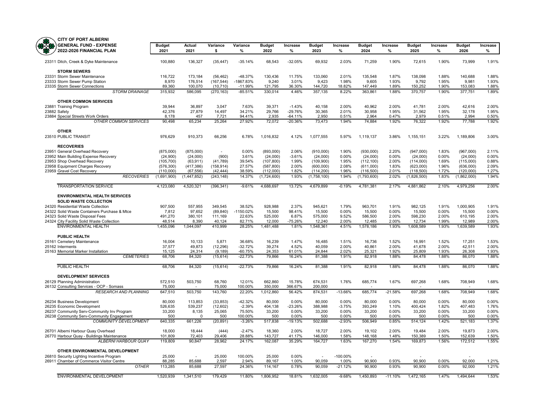| <b>GENERAL FUND - EXPENSE</b>                                                   | <b>Budget</b>     | Actual              | Variance                 | Variance               | <b>Budget</b>      | Increase           | <b>Budget</b>      | Increase           | <b>Budget</b>      | Increase       | <b>Budget</b>      | Increase       | <b>Budget</b>      | Increase       |
|---------------------------------------------------------------------------------|-------------------|---------------------|--------------------------|------------------------|--------------------|--------------------|--------------------|--------------------|--------------------|----------------|--------------------|----------------|--------------------|----------------|
| 2022-2026 FINANCIAL PLAN                                                        | 2021              | 2021                | \$                       | %                      | 2022               | %                  | 2023               | %                  | 2024               | $\%$           | 2025               | %              | 2026               | %              |
| 23311 Ditch, Creek & Dyke Maintenance                                           | 100,880           | 136,327             | (35, 447)                | $-35.14%$              | 68,543             | $-32.05%$          | 69,932             | 2.03%              | 71,259             | 1.90%          | 72,615             | 1.90%          | 73,999             | 1.91%          |
| <b>STORM SEWERS</b>                                                             |                   |                     |                          |                        |                    |                    |                    |                    |                    |                |                    |                |                    |                |
| 23331 Storm Sewer Maintenance                                                   | 116,722           | 173,184             | (56, 462)                | -48.37%                | 130,436            | 11.75%             | 133,060            | 2.01%              | 135,548            | 1.87%          | 138,098            | 1.88%          | 140,688            | 1.88%          |
| 23333 Storm Sewer Pump Station                                                  | 8,970             | 176,514             | (167, 544)               | -1867.83%              | 9,240              | 3.01%              | 9,423              | 1.98%              | 9,605              | 1.93%          | 9,792              | 1.95%          | 9,981              | 1.93%          |
| 23335 Storm Sewer Connections<br><b>STORM DRAINAGE</b>                          | 89,360<br>315,932 | 100,070<br>586,095  | (10, 710)<br>(270, 163)  | $-11.99%$<br>$-85.51%$ | 121,795<br>330,014 | 36.30%<br>4.46%    | 144,720<br>357,135 | 18.82%<br>8.22%    | 147,449<br>363,861 | 1.89%<br>1.88% | 150,252<br>370,757 | 1.90%<br>1.90% | 153,083<br>377,751 | 1.88%<br>1.89% |
| <b>OTHER COMMON SERVICES</b>                                                    |                   |                     |                          |                        |                    |                    |                    |                    |                    |                |                    |                |                    |                |
| 23881 Training Program                                                          | 39,944            | 36,897              | 3,047                    | 7.63%                  | 39,371             | $-1.43%$           | 40,158             | 2.00%              | 40,962             | 2.00%          | 41,781             | 2.00%          | 42,616             | 2.00%          |
| 23882 Safety                                                                    | 42,376            | 27,879              | 14,497                   | 34.21%                 | 29,766             | $-29.76%$          | 30,365             | 2.01%              | 30,958             | 1.95%          | 31,562             | 1.95%          | 32,178             | 1.95%          |
| 23884 Special Streets Work Orders                                               | 8,178             | 457                 | 7,721                    | 94.41%                 | 2,935              | $-64.11%$          | 2,950              | 0.51%              | 2,964              | 0.47%          | 2,979              | 0.51%          | 2,994              | 0.50%          |
| <b>OTHER COMMON SERVICES</b>                                                    | 90,498            | 65,234              | 25,264                   | 27.92%                 | 72,072             | $-20.36%$          | 73,473             | 1.94%              | 74,884             | 1.92%          | 76,322             | 1.92%          | 77,788             | 1.92%          |
| <b>OTHER</b>                                                                    |                   |                     |                          |                        |                    |                    |                    |                    |                    |                |                    |                |                    |                |
| 23510 PUBLIC TRANSIT                                                            | 976,629           | 910,373             | 66,256                   | 6.78%                  | 1,016,832          | 4.12%              | 1,077,555          | 5.97%              | 1,119,137          | 3.86%          | 1,155,151          | 3.22%          | 1,189,806          | 3.00%          |
| <b>RECOVERIES</b><br>23951 General Overhead Recovery                            | (875,000)         | (875,000)           | $\overline{\phantom{a}}$ | 0.00%                  | (893,000)          | 2.06%              | (910,000)          | 1.90%              | (930,000)          | 2.20%          | (947,000)          | 1.83%          | (967,000)          | 2.11%          |
| 23952 Main Building Expense Recovery                                            | (24,900)          | (24,000)            | (900)                    | 3.61%                  | (24,000)           | $-3.61%$           | (24,000)           | 0.00%              | (24,000)           | 0.00%          | (24,000)           | 0.00%          | (24,000)           | 0.00%          |
| 23953 Shop Overhead Recovery                                                    | (105, 700)        | (63, 911)           | (41,789)                 | 39.54%                 | (107, 800)         | 1.99%              | (109,900)          | 1.95%              | (112, 100)         | 2.00%          | (114,000)          | 1.69%          | (115,000)          | 0.88%          |
| 23958 Equipment Charges Recovery                                                | (576, 300)        | (417, 386)          | (158, 914)               | 27.57%                 | (587, 800)         | 2.00%              | (600,000)          | 2.08%              | (611,000)          | 1.83%          | (623,000)          | 1.96%          | (636,000)          | 2.09%          |
| 23959 Gravel Cost Recovery                                                      | (110,000)         | (67, 556)           | (42, 444)                | 38.59%                 | (112,000)          | 1.82%              | (114, 200)         | 1.96%              | (116, 500)         | 2.01%          | (118, 500)         | 1.72%          | (120,000)          | 1.27%          |
| <b>RECOVERIES</b>                                                               | (1,691,900)       | (1,447,852)         | (243, 148)               | 14.37%                 | (1,724,600)        | 1.93%              | (1,758,100)        | 1.94%              | (1,793,600)        | 2.02%          | (1,826,500)        | 1.83%          | (1,862,000)        | 1.94%          |
| <b>TRANSPORTATION SERVICE</b>                                                   | 4,123,080         | 4,520,321           | (396, 341)               | $-9.61%$               | 4,688,697          | 13.72%             | 4,679,899          | $-0.19%$           | 4,781,381          | 2.17%          | 4,881,862          | 2.10%          | 4,979,256          | 2.00%          |
| <b>ENVIRONMENTAL HEALTH SERVICES</b>                                            |                   |                     |                          |                        |                    |                    |                    |                    |                    |                |                    |                |                    |                |
| <b>SOLID WASTE COLLECTION</b>                                                   |                   |                     |                          |                        |                    |                    |                    |                    |                    |                |                    |                |                    |                |
| 24320 Residential Waste Collection                                              | 907,500           | 557,955             | 349,545                  | 38.52%                 | 928,988            | 2.37%              | 945,621            | 1.79%              | 963,701            | 1.91%          | 982,125            | 1.91%          | 1,000,905          | 1.91%          |
| 24322 Solid Waste Containers Purchase & Mtce<br>24323 Solid Waste Disposal Fees | 7,812<br>491,270  | 97,652<br>380,101   | (89, 840)<br>111,169     | $-1150.02%$<br>22.63%  | 15,500<br>525,000  | 98.41%<br>6.87%    | 15,500<br>575,000  | 0.00%<br>9.52%     | 15,500<br>586,500  | 0.00%<br>2.00% | 15,500<br>598,230  | 0.00%<br>2.00% | 15,500<br>610,195  | 0.00%<br>2.00% |
| 24324 City Facility Solid Waste Collection                                      | 48,514            | 8,390               | 40,124                   | 82.71%                 | 12,000             | -75.26%            | 12,240             | 2.00%              | 12,485             | 2.00%          | 12,734             | 1.99%          | 12,989             | 2.00%          |
| <b>ENVIRONMENTAL HEALTH</b>                                                     | 1,455,096         | 1,044,097           | 410,999                  | 28.25%                 | 1,481,488          | 1.81%              | 1,548,361          | 4.51%              | 1,578,186          | 1.93%          | 1,608,589          | 1.93%          | 1,639,589          | 1.93%          |
| PUBLIC HEALTH                                                                   |                   |                     |                          |                        |                    |                    |                    |                    |                    |                |                    |                |                    |                |
| 25161 Cemetery Maintenance                                                      | 16.004            | 10.133              | 5.871                    | 36.68%                 | 16.239             | 1.47%              | 16,485             | 1.51%              | 16,736             | 1.52%          | 16,991             | 1.52%          | 17,251             | 1.53%          |
| 25162 Interments                                                                | 37,577            | 49,873              | (12, 296)                | $-32.72%$              | 39,274             | 4.52%              | 40,059             | 2.00%              | 40,861             | 2.00%          | 41,678             | 2.00%          | 42,511             | 2.00%          |
| 25163 Memorial Marker Installation<br><b>CEMETERIES</b>                         | 15,125<br>68,706  | 24,314<br>84,320    | (9, 189)                 | $-60.75%$<br>$-22.73%$ | 24,353<br>79,866   | 61.01%<br>16.24%   | 24,844<br>81,388   | 2.02%<br>1.91%     | 25,321<br>82,918   | 1.92%<br>1.88% | 25,809<br>84,478   | 1.93%<br>1.88% | 26,308<br>86,070   | 1.93%<br>1.88% |
|                                                                                 |                   |                     | (15, 614)                |                        |                    |                    |                    |                    |                    |                |                    |                |                    |                |
| PUBLIC HEALTH                                                                   | 68,706            | 84,320              | (15, 614)                | $-22.73%$              | 79,866             | 16.24%             | 81,388             | 1.91%              | 82,918             | 1.88%          | 84,478             | 1.88%          | 86,070             | 1.88%          |
| <b>DEVELOPMENT SERVICES</b>                                                     |                   |                     |                          |                        |                    |                    |                    |                    |                    |                |                    |                |                    |                |
| 26129 Planning Administration<br>26132 Consulting Services - OCP - Somass       | 572,510<br>75,000 | 503,750             | 68,760<br>75,000         | 12.01%<br>100.00%      | 662,860<br>350,000 | 15.78%<br>366.67%  | 674,531<br>200,000 | 1.76%              | 685,774            | 1.67%          | 697,268            | 1.68%          | 708,949            | 1.68%          |
| <b>RESEARCH AND PLANNING</b>                                                    | 647,510           | 503,750             | 143,760                  | 22.20%                 | 1,012,860          | 56.42%             | 874,531            | $-13.66%$          | 685,774            | $-21.58%$      | 697,268            | 1.68%          | 708,949            | 1.68%          |
| 26234 Business Development                                                      | 80,000            | 113,853             | (33, 853)                | $-42.32%$              | 80,000             | 0.00%              | 80,000             | 0.00%              | 80,000             | 0.00%          | 80,000             | 0.00%          | 80,000             | 0.00%          |
| 26235 Economic Development                                                      | 526,635           | 539,237             | (12,602)                 | $-2.39%$               | 404,138            | $-23.26%$          | 388,988            | $-3.75%$           | 393,249            | 1.10%          | 400,424            | 1.82%          | 407,483            | 1.76%          |
| 26237 Community Serv-Community Inv Program                                      | 33,200            | 8,135               | 25,065                   | 75.50%                 | 33,200             | 0.00%              | 33,200             | 0.00%              | 33,200             | 0.00%          | 33,200             | 0.00%          | 33,200             | 0.00%          |
| 26238 Community Serv-Community Engagement<br><b>COMMUNITY DEVELOPMENT</b>       | 500<br>640,335    | $\Omega$<br>661,226 | 500<br>(20, 891)         | 100.00%<br>$-3.26%$    | 500<br>517,838     | 0.00%<br>$-19.13%$ | 500<br>502,688     | 0.00%<br>$-2.93%$  | 500<br>506,949     | 0.00%<br>0.85% | 500<br>514,124     | 0.00%<br>1.42% | 500<br>521,183     | 0.00%<br>1.37% |
| 26701 Alberni Harbour Quay Overhead                                             | 18,000            | 18.444              | (444)                    | $-2.47%$               | 18.360             | 2.00%              | 18.727             | 2.00%              | 19.102             | 2.00%          | 19,484             | 2.00%          | 19.873             | 2.00%          |
| 26770 Harbour Quay - Buildings Maintenance                                      | 101,809           | 72,403              | 29,406                   | 28.88%                 | 143,727            | 41.17%             | 146,000            | 1.58%              | 148,168            | 1.48%          | 150,389            | 1.50%          | 152,639            | 1.50%          |
| <b>ALBERNI HARBOUR QUAY</b>                                                     | 119,809           | 90,847              | 28,962                   | 24.17%                 | 162,087            | 35.29%             | 164,727            | 1.63%              | 167,270            | 1.54%          | 169,873            | 1.56%          | 172,512            | 1.55%          |
| OTHER ENVIRONMENTAL DEVELOPMENT                                                 |                   |                     |                          |                        |                    |                    |                    |                    |                    |                |                    |                |                    |                |
| 26810 Security Lighting Incentive Program                                       | 25,000            | ÷.                  | 25,000                   | 100.00%                | 25,000             | 0.00%              | ÷.                 | $-100.00\%$        | ÷                  |                |                    |                |                    |                |
| 26911 Chamber of Commerce Visitor Centre<br><b>OTHER</b>                        | 88,285<br>113,285 | 85,688<br>85,688    | 2,597<br>27,597          | 2.94%<br>24.36%        | 89,167<br>114,167  | 1.00%<br>0.78%     | 90,059<br>90,059   | 1.00%<br>$-21.12%$ | 90,900<br>90,900   | 0.93%<br>0.93% | 90,900<br>90,900   | 0.00%<br>0.00% | 92,000<br>92,000   | 1.21%<br>1.21% |
|                                                                                 |                   |                     |                          |                        |                    |                    |                    |                    |                    |                |                    |                |                    |                |
| ENVIRONMENTAL DEVELOPMENT                                                       | 1,520,939         | 1,341,510           | 179,429                  | 11.80%                 | 1,806,952          | 18.81%             | 1,632,005          | $-9.68%$           | 1,450,893          | $-11.10%$      | 1,472,165          | 1.47%          | 1,494,644          | 1.53%          |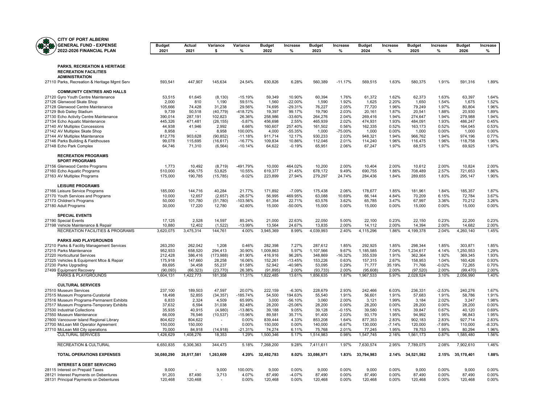

| <b>CITY OF PORT ALBERNI</b>                                                          |                       |                     |                     |                        |                       |                      |                       |                   |                       |                   |                       |                |                       |                |
|--------------------------------------------------------------------------------------|-----------------------|---------------------|---------------------|------------------------|-----------------------|----------------------|-----------------------|-------------------|-----------------------|-------------------|-----------------------|----------------|-----------------------|----------------|
| <b>GENERAL FUND - EXPENSE</b><br>2022-2026 FINANCIAL PLAN                            | <b>Budget</b><br>2021 | Actual<br>2021      | Variance<br>s       | Variance<br>%          | <b>Budget</b><br>2022 | Increase<br>%        | <b>Budget</b><br>2023 | Increase<br>%     | <b>Budget</b><br>2024 | Increase<br>%     | <b>Budget</b><br>2025 | Increase<br>%  | <b>Budget</b><br>2026 | Increase<br>%  |
|                                                                                      |                       |                     |                     |                        |                       |                      |                       |                   |                       |                   |                       |                |                       |                |
| PARKS, RECREATION & HERITAGE                                                         |                       |                     |                     |                        |                       |                      |                       |                   |                       |                   |                       |                |                       |                |
| <b>RECREATION FACILITIES</b><br><b>ADMINISTRATION</b>                                |                       |                     |                     |                        |                       |                      |                       |                   |                       |                   |                       |                |                       |                |
| 27110 Parks, Recreation & Heritage Mgmt Serv                                         | 593,541               | 447,907             | 145,634             | 24.54%                 | 630,826               | 6.28%                | 560,389               | $-11.17%$         | 569,515               | 1.63%             | 580,375               | 1.91%          | 591,316               | 1.89%          |
| <b>COMMUNITY CENTRES AND HALLS</b>                                                   |                       |                     |                     |                        |                       |                      |                       |                   |                       |                   |                       |                |                       |                |
| 27120 Gyro Youth Centre Maintenance                                                  | 53,515                | 61,645              | (8, 130)            | $-15.19%$              | 59,349                | 10.90%               | 60,394                | 1.76%             | 61,372                | 1.62%             | 62,373                | 1.63%          | 63,397                | 1.64%          |
| 27126 Glenwood Skate Shop                                                            | 2,000                 | 810                 | 1,190               | 59.51%                 | 1,560                 | $-22.00%$            | 1,590                 | 1.92%             | 1,625                 | 2.20%             | 1,650                 | 1.54%          | 1,675                 | 1.52%          |
| 27128 Glenwood Centre Maintenance<br>27129 Bob Dailey Stadium                        | 105,666<br>9,739      | 74.428<br>50,518    | 31.238<br>(40, 779) | 29.56%<br>-418.72%     | 74.695<br>19,397      | $-29.31%$<br>99.17%  | 76.227<br>19,790      | 2.05%<br>2.03%    | 77,720<br>20,161      | 1.96%<br>1.87%    | 79,249<br>20,541      | 1.97%<br>1.88% | 80,804<br>20,930      | 1.96%<br>1.89% |
| 27130 Echo Activity Centre Maintenance                                               | 390,014               | 287,191             | 102,823             | 26.36%                 | 258,986               | $-33.60%$            | 264,276               | 2.04%             | 269,416               | 1.94%             | 274,647               | 1.94%          | 279,988               | 1.94%          |
| 27134 Echo Aquatic Maintenance                                                       | 445,326               | 471.481             | (26, 155)           | $-5.87%$               | 456.698               | 2.55%                | 465.939               | 2.02%             | 474,931               | 1.93%             | 484.091               | 1.93%          | 486.247               | 0.45%          |
| 27140 AV Multiplex Concessions                                                       | 44,938                | 41,946              | 2,992               | 6.66%                  | 160,607               | 257.40%              | 161,502               | 0.56%             | 162,335               | 0.52%             | 163,173               | 0.52%          | 164,045               | 0.53%          |
| 27142 AV Multiplex Skate Shop                                                        | 8,958                 |                     | 8,958               | 100.00%                | 4,000                 | $-55.35%$            | 1,000                 | $-75.00%$         | 1,000                 | 0.00%             | 1,000                 | 0.00%          | 1,000                 | 0.00%          |
| 27144 AV Multiplex Maintenance                                                       | 812,776               | 903,628             | (90, 852)           | $-11.18%$              | 911,714               | 12.17%               | 930,233               | 2.03%             | 948,321               | 1.94%             | 966,762               | 1.94%          | 974,196               | 0.77%          |
| 27146 Parks Building & Fieldhouses                                                   | 99,078                | 115,695             | (16, 617)           | $-16.77%$<br>$-10.14%$ | 109,834               | 10.86%<br>$-0.19%$   | 112,046               | 2.01%<br>2.06%    | 114,240               | 1.96%<br>1.97%    | 116,475               | 1.96%<br>1.97% | 118,758               | 1.96%<br>1.97% |
| 27148 Echo Park Complex                                                              | 64,746                | 71,310              | (6, 564)            |                        | 64,622                |                      | 65,951                |                   | 67,247                |                   | 68,575                |                | 69,925                |                |
| <b>RECREATION PROGRAMS</b><br><b>SPORT PROGRAMS</b>                                  |                       |                     |                     |                        |                       |                      |                       |                   |                       |                   |                       |                |                       |                |
| 27156 Glenwood Centre Programs                                                       | 1,773                 | 10,492              | (8,719)             | -491.79%               | 10,000                | 464.02%              | 10,200                | 2.00%             | 10,404                | 2.00%             | 10,612                | 2.00%          | 10,824                | 2.00%          |
| 27160 Echo Aquatic Programs                                                          | 510,000               | 456,175             | 53.825              | 10.55%                 | 619,377               | 21.45%               | 678,172               | 9.49%             | 690,755               | 1.86%             | 708,489               | 2.57%          | 721,653               | 1.86%          |
| 27163 AV Multiplex Programs                                                          | 175,000               | 190,785             | (15, 785)           | $-9.02%$               | 223,899               | 27.94%               | 279,297               | 24.74%            | 284,436               | 1.84%             | 289,655               | 1.83%          | 295,147               | 1.90%          |
| <b>LEISURE PROGRAMS</b>                                                              |                       |                     |                     |                        |                       |                      |                       |                   |                       |                   |                       |                |                       |                |
| 27166 Leisure Service Programs<br>27170 Youth Services and Programs                  | 185,000<br>10,000     | 144,716<br>12,657   | 40,284<br>(2,657)   | 21.77%<br>$-26.57%$    | 171,892<br>56,995     | $-7.09%$<br>469.95%  | 175,438<br>63,088     | 2.06%<br>10.69%   | 178,677<br>66,144     | 1.85%<br>4.84%    | 181,961<br>70,209     | 1.84%<br>6.15% | 185,357<br>72,784     | 1.87%<br>3.67% |
| 27173 Children's Programs                                                            | 50,000                | 101,780             | (51,780)            | -103.56%               | 61,354                | 22.71%               | 63,576                | 3.62%             | 65,785                | 3.47%             | 67,997                | 3.36%          | 70,212                | 3.26%          |
| 27180 Adult Programs                                                                 | 30,000                | 17,220              | 12,780              | 42.60%                 | 15,000                | -50.00%              | 15,000                | 0.00%             | 15,000                | 0.00%             | 15,000                | 0.00%          | 15,000                | 0.00%          |
| <b>SPECIAL EVENTS</b>                                                                |                       |                     |                     |                        |                       |                      |                       |                   |                       |                   |                       |                |                       |                |
| 27190 Special Events                                                                 | 17,125                | 2,528               | 14,597              | 85.24%                 | 21,000                | 22.63%               | 22,050                | 5.00%             | 22,100                | 0.23%             | 22,150                | 0.23%          | 22,200                | 0.23%          |
| 27198 Vehicle Maintenance & Repair<br><b>RECREATION FACILITIES &amp; PROGRAMS</b>    | 10,880<br>3,620,075   | 12,402<br>3,475,314 | (1,522)<br>144.761  | -13.99%<br>4.00%       | 13,564<br>3,945,369   | 24.67%<br>8.99%      | 13,835<br>4,039,993   | 2.00%<br>2.40%    | 14,112<br>4,115,296   | 2.00%<br>1.86%    | 14,394<br>4,199,378   | 2.00%<br>2.04% | 14,682<br>4,260,140   | 2.00%<br>1.45% |
|                                                                                      |                       |                     |                     |                        |                       |                      |                       |                   |                       |                   |                       |                |                       |                |
| <b>PARKS AND PLAYGROUNDS</b><br>27210 Parks & Facility Management Services           | 263.250               | 262.042             | 1.208               | 0.46%                  | 282.398               | 7.27%                | 287.612               | 1.85%             | 292.925               | 1.85%             | 298.344               | 1.85%          | 303.871               | 1.85%          |
| 27215 Parks Maintenance                                                              | 952,933               | 658,520             | 294,413             | 30.90%                 | 1,009,863             | 5.97%                | 1,107,566             | 9.67%             | 1,185,585             | 7.04%             | 1,234,617             | 4.14%          | 1,250,553             | 1.29%          |
| 27220 Horticultural Services                                                         | 212,428               | 386,416             | (173,988)           | $-81.90%$              | 416,916               | 96.26%               | 348,869               | $-16.32%$         | 355,539               | 1.91%             | 362,364               | 1.92%          | 369,345               | 1.93%          |
| 27225 Vehicles & Equipment Mtce & Repair                                             | 175,918               | 147,660             | 28,258              | 16.06%                 | 152,261               | $-13.45%$            | 153,226               | 0.63%             | 157,315               | 2.67%             | 158,953               | 1.04%          | 160,426               | 0.93%          |
| 27230 Parks Upgrading                                                                | 89,695                | 34,458              | 55,237              | 61.58%                 | 52,942                | -40.98%              | 53,095                | 0.29%             | 71,777                | 35.19%            | 71,766                | $-0.02%$       | 72,265                | 0.70%          |
| 27499 Equipment Recovery                                                             | (90,093)              | (66, 323)           | (23, 770)           | 26.38%                 | (91, 895)             | 2.00%                | (93, 733)             | 2.00%             | (95, 608)             | 2.00%             | (97, 520)             | 2.00%          | (99, 470)             | 2.00%          |
| <b>PARKS &amp; PLAYGROUNDS</b>                                                       | 1.604.131             | 1,422,773           | 181,358             | 11.31%                 | 1,822,485             | 13.61%               | 1,856,635             | 1.87%             | 1,967,533             | 5.97%             | 2,028,524             | 3.10%          | 2,056,990             | 1.40%          |
| <b>CULTURAL SERVICES</b>                                                             |                       |                     |                     |                        |                       |                      |                       |                   |                       |                   |                       |                |                       |                |
| 27510 Museum Services                                                                | 237,100               | 189.503             | 47.597              | 20.07%                 | 222.159               | $-6.30%$             | 228,679               | 2.93%             | 242,466               | 6.03%             | 236,331               | $-2.53%$       | 240,276               | 1.67%          |
| 27515 Museum Programs-Curatorial                                                     | 18,498                | 52,855              | (34, 357)           | $-185.74%$<br>65.99%   | 54,500                | 194.63%<br>$-56.10%$ | 55,540                | 1.91%<br>2.00%    | 56,601                | 1.91%             | 57,683                | 1.91%<br>2.02% | 58,786                | 1.91%<br>1.98% |
| 27516 Museum Programs-Permanent Exhibits<br>27517 Museum Programs-Temporary Exhibits | 6,833<br>37,632       | 2,324<br>6,594      | 4,509<br>31,038     | 82.48%                 | 3,000<br>28,200       | $-25.06%$            | 3,060<br>28,200       | 0.00%             | 3,121<br>28,200       | 1.99%<br>0.00%    | 3,184<br>28,200       | 0.00%          | 3,247<br>28,200       | 0.00%          |
| 27530 Industrial Collections                                                         | 35,935                | 40,915              | (4,980)             | -13.86%                | 39.188                | 9.05%                | 39,128                | $-0.15%$          | 39,580                | 1.16%             | 39,847                | 0.67%          | 40.120                | 0.69%          |
| 27550 Museum Maintenance                                                             | 66,009                | 76,546              | (10, 537)           | -15.96%                | 89,581                | 35.71%               | 91,400                | 2.03%             | 93,179                | 1.95%             | 94,992                | 1.95%          | 96,843                | 1.95%          |
| 27600 Vancouver Island Regional Library                                              | 804,622               | 804,622             |                     | 0.00%                  | 839,444               | 4.33%                | 853,208               | 1.64%             | 877,353               | 2.83%             | 902,183               | 2.83%          | 927,714               | 2.83%          |
| 27700 McLean Mill Operator Agreement                                                 | 150,000               | 150,000             | ÷.                  | 0.00%                  | 150,000               | 0.00%                | 140,000               | $-6.67%$          | 130,000               | $-7.14%$          | 120,000               | $-7.69%$       | 110,000               | $-8.33%$       |
| 27710 McLean Mill City operations                                                    | 70,000                | 84.918              | (14, 918)           | $-21.31%$              | 74,274                | 6.11%                | 75,768                | 2.01%             | 77,245                | 1.95%             | 78,753                | 1.95%          | 80,294                | 1.96%          |
| <b>CULTURAL SERVICES</b>                                                             | 1,426,629             | 1,408,276           | 18,353              | 1.29%                  | 1,500,346             | 5.17%                | 1,514,983             | 0.98%             | 1,547,745             | 2.16%             | 1,561,173             | 0.87%          | 1,585,480             | 1.56%          |
| <b>RECREATION &amp; CULTURAL</b>                                                     | 6,650,835             | 6,306,363           | 344,473             | 5.18%                  | 7,268,200             | 9.28%                | 7,411,611             | 1.97%             | 7,630,574             | 2.95%             | 7,789,075             | 2.08%          | 7,902,610             | 1.46%          |
| <b>TOTAL OPERATIONS EXPENSES</b>                                                     | 30,080,290            | 28,817,581          | 1,263,609           | 4.20%                  | 32,492,783            | $8.02\%$             | 33,086,971            | 1.83%             | 33,794,983            | 2.14%             | 34,521,582            | 2.15%          | 35,170,401            | 1.88%          |
| <b>INTEREST &amp; DEBT SERVICING</b>                                                 |                       |                     |                     |                        |                       |                      |                       |                   |                       |                   |                       |                |                       |                |
| 28115 Interest on Prepaid Taxes                                                      | 9.000                 |                     | 9.000               | 100.00%                | 9.000                 | 0.00%                | 9,000                 | 0.00%             | 9,000                 | 0.00%             | 9.000                 | 0.00%          | 9.000                 | 0.00%          |
| 28121 Interest Payments on Debentures<br>28131 Principal Payments on Debentures      | 91,203<br>120,468     | 87,490<br>120,468   | 3,713               | 4.07%<br>$0.00\%$      | 87,490<br>120,468     | $-4.07%$<br>0.00%    | 87,490<br>120,468     | 0.00%<br>$0.00\%$ | 87,490<br>120,468     | 0.00%<br>$0.00\%$ | 87,490<br>120,468     | 0.00%<br>0.00% | 87,490<br>120,468     | 0.00%<br>0.00% |
|                                                                                      |                       |                     |                     |                        |                       |                      |                       |                   |                       |                   |                       |                |                       |                |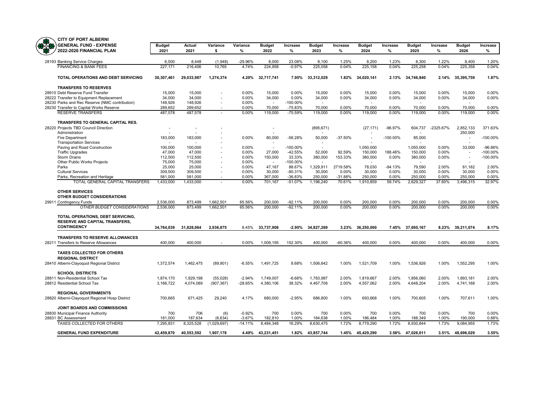| æ | <b>CITY OF PORT ALBERNI</b>                    |            |                          |             |           |                          |             |                          |           |                          |           |                          |           |               |             |
|---|------------------------------------------------|------------|--------------------------|-------------|-----------|--------------------------|-------------|--------------------------|-----------|--------------------------|-----------|--------------------------|-----------|---------------|-------------|
|   | <b>GENERAL FUND - EXPENSE</b>                  | Budget     | Actual                   | Variance    | Variance  | <b>Budget</b>            | Increase    | <b>Budget</b>            | Increase  | <b>Budget</b>            | Increase  | <b>Budget</b>            | Increase  | <b>Budget</b> | Increase    |
|   | 2022-2026 FINANCIAL PLAN                       | 2021       | 2021                     | \$          | %         | 2022                     | %           | 2023                     | %         | 2024                     | %         | 2025                     | %         | 2026          | %           |
|   | 28193 Banking Service Charges                  | 6.500      | 8.448                    | (1,948)     | -29.96%   | 8,000                    | 23.08%      | 8,100                    | 1.25%     | 8.200                    | 1.23%     | 8,300                    | 1.22%     | 8.400         | 1.20%       |
|   | <b>FINANCING &amp; BANK FEES</b>               | 227.171    | 216,406                  | 10.765      | 4.74%     | 224.958                  | $-0.97%$    | 225,058                  | 0.04%     | 225,158                  | 0.04%     | 225.258                  | 0.04%     | 225.358       | 0.04%       |
|   | TOTAL OPERATIONS AND DEBT SERVICING            | 30,307,461 | 29,033,987               | 1,274,374   | 4.20%     | 32,717,741               | 7.95%       | 33,312,029               | 1.82%     | 34,020,141               | 2.13%     | 34,746,840               | 2.14%     | 35,395,759    | 1.87%       |
|   | <b>TRANSFERS TO RESERVES</b>                   |            |                          |             |           |                          |             |                          |           |                          |           |                          |           |               |             |
|   | 28910 Debt Reserve Fund Transfer               | 15,000     | 15,000                   |             | 0.00%     | 15,000                   | 0.00%       | 15,000                   | 0.00%     | 15,000                   | 0.00%     | 15,000                   | 0.00%     | 15,000        | 0.00%       |
|   | 28222 Transfer to Equipment Replacement        | 34,000     | 34,000                   |             | 0.00%     | 34,000                   | $0.00\%$    | 34,000                   | 0.00%     | 34,000                   | 0.00%     | 34,000                   | 0.00%     | 34,000        | 0.00%       |
|   | 28230 Parks and Rec Reserve (NMC contribution) | 148,926    | 148,926                  |             | 0.00%     |                          | $-100.00\%$ | $\overline{\phantom{a}}$ |           | $\overline{\phantom{a}}$ |           | $\overline{\phantom{a}}$ |           | $\sim$        |             |
|   | 28230 Transfer to Capital Works Reserve        | 289,652    | 289,652                  |             | 0.00%     | 70,000                   | $-75.83%$   | 70,000                   | 0.00%     | 70,000                   | 0.00%     | 70,000                   | 0.00%     | 70,000        | 0.00%       |
|   | <b>RESERVE TRANSFERS</b>                       | 487,578    | 487,578                  |             | 0.00%     | 119,000                  | $-75.59%$   | 119,000                  | 0.00%     | 119,000                  | $0.00\%$  | 119,000                  | 0.00%     | 119,000       | 0.00%       |
|   | TRANSFERS TO GENERAL CAPITAL RES.              |            |                          |             |           |                          |             |                          |           |                          |           |                          |           |               |             |
|   | 28220 Projects TBD Council Direction           |            | $\overline{\phantom{a}}$ |             |           | L,                       |             | (895, 671)               |           | (27, 171)                | $-96.97%$ | 604,737                  | -2325.67% | 2,852,133     | 371.63%     |
|   | Administration                                 |            |                          |             |           |                          |             |                          |           |                          |           | $\overline{\phantom{a}}$ |           | 250,000       |             |
|   | Fire Department                                | 183,000    | 183,000                  |             | 0.00%     | 80,000                   | $-56.28%$   | 50,000                   | -37.50%   |                          | -100.00%  | 85,000                   |           |               | $-100.00\%$ |
|   | <b>Transportation Services</b>                 | $\sim$     | $\sim$                   |             |           | ÷                        |             | $\overline{\phantom{a}}$ |           |                          |           | - 11                     |           | $\sim$        |             |
|   | Paving and Road Construction                   | 100,000    | 100,000                  |             | 0.00%     | $\overline{\phantom{a}}$ | $-100.00\%$ |                          |           | 1,050,000                |           | 1,050,000                | 0.00%     | 33,000        | -96.86%     |
|   | <b>Traffic Upgrades</b>                        | 47,000     | 47,000                   |             | 0.00%     | 27,000                   | $-42.55%$   | 52,000                   | 92.59%    | 150,000                  | 188.46%   | 150,000                  | 0.00%     | $\sim$        | $-100.00%$  |
|   | <b>Storm Drains</b>                            | 112,500    | 112,500                  |             | 0.00%     | 150,000                  | 33.33%      | 380,000                  | 153.33%   | 380,000                  | 0.00%     | 380,000                  | 0.00%     |               | -100.00%    |
|   | Other Public Works Projects                    | 75,000     | 75,000                   |             | 0.00%     | $\sim$                   | $-100.00\%$ | $\overline{\phantom{a}}$ |           |                          |           |                          |           |               |             |
|   | Parks                                          | 25,000     | 25,000                   |             | 0.00%     | 47,167                   | 88.67%      | 1,329,911                | 2719.58%  | 78,030                   | $-94.13%$ | 79.590                   | 2.00%     | 81.182        | 2.00%       |
|   | <b>Cultural Services</b>                       | 309.500    | 309.500                  |             | $0.00\%$  | 30,000                   | $-90.31%$   | 30,000                   | 0.00%     | 30,000                   | $0.00\%$  | 30,000                   | $0.00\%$  | 30,000        | 0.00%       |
|   | Parks, Recreation and Heritage                 | 581,000    | 581,000                  | $\sim$      | 0.00%     | 367,000                  | $-36.83%$   | 250,000                  | $-31.88%$ | 250,000                  | 0.00%     | 250,000                  | 0.00%     | 250,000       | 0.00%       |
|   | TOTAL GENERAL CAPITAL TRANSFERS                | 1,433,000  | 1,433,000                |             | $0.00\%$  | 701,167                  | $-51.07%$   | 1,196,240                | 70.61%    | 1,910,859                | 59.74%    | 2,629,327                | 37.60%    | 3,496,315     | 32.97%      |
|   | <b>OTHER SERVICES</b>                          |            |                          |             |           |                          |             |                          |           |                          |           |                          |           |               |             |
|   | OTHER BUDGET CONSIDERATIONS                    |            |                          |             |           |                          |             |                          |           |                          |           |                          |           |               |             |
|   | 29911 Contingency Funds                        | 2,536,000  | 873,499                  | 1,662,501   | 65.56%    | 200.000                  | $-92.11%$   | 200.000                  | 0.00%     | 200.000                  | 0.00%     | 200.000                  | 0.00%     | 200.000       | 0.00%       |
|   | OTHER BUDGET CONSIDERATIONS                    | 2,536,000  | 873.499                  | 1.662.501   | 65.56%    | 200.000                  | $-92.11%$   | 200.000                  | 0.00%     | 200.000                  | 0.00%     | 200.000                  | 0.00%     | 200.000       | 0.00%       |
|   | TOTAL OPERATIONS, DEBT SERVICING,              |            |                          |             |           |                          |             |                          |           |                          |           |                          |           |               |             |
|   | <b>RESERVE AND CAPITAL TRANSFERS,</b>          |            |                          |             |           |                          |             |                          |           |                          |           |                          |           |               |             |
|   | <b>CONTINGENCY</b>                             | 34,764,039 | 31,828,064               | 2,936,875   | 8.45%     | 33,737,908               | $-2.95%$    | 34,827,269               | 3.23%     | 36,250,000               | 7.45%     | 37,695,167               | 8.23%     | 39,211,074    | 8.17%       |
|   | <b>TRANSFERS TO RESERVE ALLOWANCES</b>         |            |                          |             |           |                          |             |                          |           |                          |           |                          |           |               |             |
|   | 28211 Transfers to Reserve Allowances          | 400,000    | 400,000                  |             | 0.00%     | 1,009,195                | 152.30%     | 400,000                  | $-60.36%$ | 400,000                  | 0.00%     | 400,000                  | 0.00%     | 400,000       | 0.00%       |
|   | <b>TAXES COLLECTED FOR OTHERS</b>              |            |                          |             |           |                          |             |                          |           |                          |           |                          |           |               |             |
|   | <b>REGIONAL DISTRICT</b>                       |            |                          |             |           |                          |             |                          |           |                          |           |                          |           |               |             |
|   | 28410 Alberni-Clayoquot Regional District      | 1,372,574  | 1,462,475                | (89, 901)   | $-6.55%$  | 1,491,725                | 8.68%       | 1,506,642                | 1.00%     | 1,521,709                | 1.00%     | 1,536,926                | 1.00%     | 1,552,295     | 1.00%       |
|   | <b>SCHOOL DISTRICTS</b>                        |            |                          |             |           |                          |             |                          |           |                          |           |                          |           |               |             |
|   | 28811 Non-Residential School Tax               | 1,874,170  | 1,929,198                | (55,028)    | $-2.94%$  | 1,749,007                | $-6.68%$    | 1,783,987                | 2.00%     | 1,819,667                | 2.00%     | 1,856,060                | 2.00%     | 1,893,181     | 2.00%       |
|   | 28812 Residential School Tax                   | 3,166,722  | 4,074,089                | (907, 367)  | -28.65%   | 4,380,106                | 38.32%      | 4,467,708                | 2.00%     | 4,557,062                | 2.00%     | 4,648,204                | 2.00%     | 4,741,168     | 2.00%       |
|   | <b>REGIONAL GOVERNMENTS</b>                    |            |                          |             |           |                          |             |                          |           |                          |           |                          |           |               |             |
|   | 28820 Alberni-Clayoquot Regional Hosp District | 700,665    | 671,425                  | 29,240      | 4.17%     | 680,000                  | $-2.95%$    | 686,800                  | 1.00%     | 693,668                  | 1.00%     | 700,605                  | 1.00%     | 707,611       | 1.00%       |
|   | JOINT BOARDS AND COMMISSIONS                   |            |                          |             |           |                          |             |                          |           |                          |           |                          |           |               |             |
|   | 28830 Municipal Finance Authority              | 700        | 706                      | (6)         | $-0.92%$  | 700                      | 0.00%       | 700                      | 0.00%     | 700                      | 0.00%     | 700                      | $0.00\%$  | 700           | 0.00%       |
|   | 28831 BC Assessment                            | 181.000    | 187,634                  | (6,634)     | $-3.67%$  | 182,810                  | 1.00%       | 184,638                  | 1.00%     | 186.484                  | 1.00%     | 188,349                  | 1.00%     | 190,000       | 0.88%       |
|   | TAXES COLLECTED FOR OTHERS                     | 7,295,831  | 8,325,528                | (1,029,697) | $-14.11%$ | 8,484,348                | 16.29%      | 8,630,475                | 1.72%     | 8,779,290                | 1.72%     | 8,930,844                | 1.73%     | 9,084,955     | 1.73%       |
|   | <b>GENERAL FUND EXPENDITURE</b>                | 42.459.870 | 40,553,592               | 1,907,178   | 4.49%     | 43,231,451               | 1.82%       | 43,857,744               | 1.45%     | 45.429.290               | 3.58%     | 47,026,011               | 3.51%     | 48,696,029    | 3.55%       |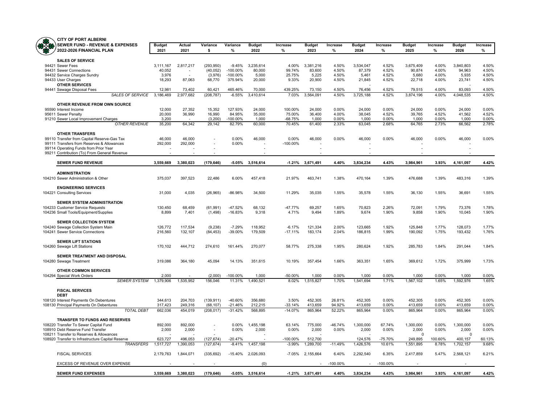

| <b>CITY OF PORT ALBERNI</b>                                               |                       |                          |                      |                      |                       |                  |                       |                |                       |                |                       |                |                       |                |
|---------------------------------------------------------------------------|-----------------------|--------------------------|----------------------|----------------------|-----------------------|------------------|-----------------------|----------------|-----------------------|----------------|-----------------------|----------------|-----------------------|----------------|
| <b>SEWER FUND - REVENUE &amp; EXPENSES</b><br>2022-2026 FINANCIAL PLAN    | <b>Budget</b><br>2021 | Actual<br>2021           | Variance<br>\$       | Variance<br>%        | <b>Budget</b><br>2022 | Increase<br>%    | <b>Budget</b><br>2023 | Increase<br>%  | <b>Budget</b><br>2024 | Increase<br>%  | <b>Budget</b><br>2025 | Increase<br>%  | <b>Budget</b><br>2026 | Increase<br>%  |
| <b>SALES OF SERVICE</b>                                                   |                       |                          |                      |                      |                       |                  |                       |                |                       |                |                       |                |                       |                |
| 94421 Sewer Fees                                                          | 3,111,167             | 2,817,217                | (293, 950)           | $-9.45%$             | 3,235,614             | 4.00%            | 3,381,216             | 4.50%          | 3,534,047             | 4.52%          | 3,675,409             | 4.00%          | 3,840,803             | 4.50%          |
| 94431 Sewer Connections                                                   | 40,052                |                          | (40, 052)            | $-100.00%$           | 80,000                | 99.74%           | 83,600                | 4.50%          | 87,379                | 4.52%          | 90,874                | 4.00%          | 94,963                | 4.50%          |
| 94432 Service Charges Sundry                                              | 3,976                 |                          | (3,976)              | $-100.00\%$          | 5,000                 | 25.75%           | 5,225                 | 4.50%          | 5,461                 | 4.52%          | 5,680                 | 4.00%          | 5,935                 | 4.50%          |
| 94433 User Charges                                                        | 18,293                | 87,063                   | 68,770               | 375.94%              | 20,000                | 9.33%            | 20,900                | 4.50%          | 21,845                | 4.52%          | 22,718                | 4.00%          | 23,741                | 4.50%          |
| <b>OTHER SERVICES</b>                                                     |                       |                          |                      |                      |                       |                  |                       |                |                       |                |                       |                |                       |                |
| 94441 Sewage Disposal Fees                                                | 12.981                | 73,402                   | 60,421               | 465.46%              | 70,000                | 439.25%          | 73,150                | 4.50%          | 76,456                | 4.52%          | 79,515                | 4.00%          | 83.093                | 4.50%          |
| <b>SALES OF SERVICE</b>                                                   | 3.186.469             | 2.977.682                | (208, 787)           | $-6.55%$             | 3,410,614             | 7.03%            | 3.564.091             | 4.50%          | 3,725,188             | 4.52%          | 3,874,196             | 4.00%          | 4,048,535             | 4.50%          |
| OTHER REVENUE FROM OWN SOURCE                                             |                       |                          |                      |                      |                       |                  |                       |                |                       |                |                       |                |                       |                |
| 95590 Interest Income                                                     | 12,000                | 27,352                   | 15.352               | 127.93%              | 24.000                | 100.00%          | 24.000                | 0.00%          | 24,000                | 0.00%          | 24,000                | 0.00%          | 24.000                | 0.00%          |
| 95611 Sewer Penalty                                                       | 20.000                | 36,990                   | 16.990               | 84.95%               | 35.000                | 75.00%           | 36.400                | 4.00%          | 38.045                | 4.52%          | 39.765                | 4.52%          | 41.562                | 4.52%          |
| 91210 Sewer Local Improvement Charges                                     | 3,200                 | $\overline{\phantom{a}}$ | (3,200)              | $-100.00%$           | 1,000                 | $-68.75%$        | 1,000                 | 0.00%          | 1,000                 | 0.00%          | 1,000                 | 0.00%          | 1,000                 | 0.00%          |
| <b>OTHER REVENUE</b>                                                      | 35,200                | 64,342                   | 29,142               | 82.79%               | 60,000                | 70.45%           | 61,400                | 2.33%          | 63,045                | 2.68%          | 64,765                | 2.73%          | 66,562                | 2.78%          |
| <b>OTHER TRANSFERS</b>                                                    |                       |                          |                      |                      |                       |                  |                       |                |                       |                |                       |                |                       |                |
| 99110 Transfer from Capital Reserve-Gas Tax                               | 46,000                | 46,000                   | $\overline{a}$       | 0.00%                | 46,000                | 0.00%            | 46,000                | 0.00%          | 46,000                | 0.00%          | 46,000                | 0.00%          | 46,000                | 0.00%          |
| 99111 Transfers from Reserves & Allowances                                | 292,000               | 292,000                  |                      | 0.00%                |                       | $-100.00\%$      |                       |                |                       |                |                       |                |                       |                |
| 99114 Operating Funds from Prior Year                                     |                       |                          |                      |                      |                       |                  |                       |                |                       |                |                       |                |                       |                |
| 99211 Contribution (To) From General Revenue                              |                       |                          |                      |                      |                       |                  |                       |                |                       |                |                       |                |                       |                |
| <b>SEWER FUND REVENUE</b>                                                 | 3,559,669             | 3,380,023                | (179, 646)           | $-5.05%$             | 3,516,614             |                  | $-1.21\%$ 3,671,491   | 4.40%          | 3,834,234             | 4.43%          | 3,984,961             | 3.93%          | 4,161,097             | 4.42%          |
| <b>ADMINISTRATION</b>                                                     |                       |                          |                      |                      |                       |                  |                       |                |                       |                |                       |                |                       |                |
| 104210 Sewer Administration & Other                                       | 375,037               | 397,523                  | 22,486               | 6.00%                | 457,418               | 21.97%           | 463,741               | 1.38%          | 470,164               | 1.39%          | 476,688               | 1.39%          | 483,316               | 1.39%          |
|                                                                           |                       |                          |                      |                      |                       |                  |                       |                |                       |                |                       |                |                       |                |
| <b>ENGINEERING SERVICES</b>                                               |                       |                          |                      |                      |                       |                  |                       |                |                       |                |                       |                |                       |                |
| 104221 Consulting Services                                                | 31,000                | 4,035                    | (26, 965)            | $-86.98%$            | 34,500                | 11.29%           | 35,035                | 1.55%          | 35,578                | 1.55%          | 36,130                | 1.55%          | 36,691                | 1.55%          |
|                                                                           |                       |                          |                      |                      |                       |                  |                       |                |                       |                |                       |                |                       |                |
| <b>SEWER SYSTEM ADMINISTRATION</b>                                        |                       |                          |                      |                      |                       |                  |                       |                |                       |                |                       |                |                       |                |
| 104233 Customer Service Requests<br>104236 Small Tools/Equipment/Supplies | 130,450<br>8,899      | 68,459<br>7,401          | (61, 991)<br>(1,498) | -47.52%<br>$-16.83%$ | 68,132<br>9,318       | -47.77%<br>4.71% | 69,257<br>9,494       | 1.65%<br>1.89% | 70,823<br>9,674       | 2.26%<br>1.90% | 72,091<br>9,858       | 1.79%<br>1.90% | 73,376<br>10,045      | 1.78%<br>1.90% |
|                                                                           |                       |                          |                      |                      |                       |                  |                       |                |                       |                |                       |                |                       |                |
| SEWER COLLECTION SYSTEM                                                   |                       |                          |                      |                      |                       |                  |                       |                |                       |                |                       |                |                       |                |
| 104240 Sewage Collection System Main                                      | 126,772               | 117,534                  | (9, 238)             | $-7.29%$             | 118,952               | $-6.17%$         | 121,334               | 2.00%          | 123,665               | 1.92%          | 125,848               | 1.77%          | 128,073               | 1.77%          |
| 104241 Sewer Service Connections                                          | 216,560               | 132,107                  | (84, 453)            | -39.00%              | 179.509               | $-17.11%$        | 183.174               | 2.04%          | 186.815               | 1.99%          | 190.092               | 1.75%          | 193,432               | 1.76%          |
| <b>SEWER LIFT STATIONS</b>                                                |                       |                          |                      |                      |                       |                  |                       |                |                       |                |                       |                |                       |                |
| 104260 Sewage Lift Stations                                               | 170,102               | 444,712                  | 274,610              | 161.44%              | 270,077               | 58.77%           | 275,338               | 1.95%          | 280,624               | 1.92%          | 285,783               | 1.84%          | 291,044               | 1.84%          |
|                                                                           |                       |                          |                      |                      |                       |                  |                       |                |                       |                |                       |                |                       |                |
| SEWER TREATMENT AND DISPOSAL                                              |                       |                          |                      |                      |                       |                  |                       |                |                       |                |                       |                |                       |                |
| 104280 Sewage Treatment                                                   | 319,086               | 364,180                  | 45,094               | 14.13%               | 351,615               | 10.19%           | 357,454               | 1.66%          | 363,351               | 1.65%          | 369,612               | 1.72%          | 375,999               | 1.73%          |
|                                                                           |                       |                          |                      |                      |                       |                  |                       |                |                       |                |                       |                |                       |                |
| <b>OTHER COMMON SERVICES</b>                                              |                       |                          |                      |                      |                       |                  |                       |                |                       |                |                       |                |                       |                |
| 104294 Special Work Orders<br><b>SEWER SYSTEM</b>                         | 2,000<br>1,379,906    | 1,535,952                | (2,000)<br>156,046   | -100.00%<br>11.31%   | 1,000<br>1,490,521    | -50.00%<br>8.02% | 1,000<br>1,515,827    | 0.00%<br>1.70% | 1,000<br>1,541,694    | 0.00%<br>1.71% | 1,000<br>1,567,102    | 0.00%<br>1.65% | 1,000<br>1,592,976    | 0.00%<br>1.65% |
|                                                                           |                       |                          |                      |                      |                       |                  |                       |                |                       |                |                       |                |                       |                |
| <b>FISCAL SERVICES</b><br><b>DEBT</b>                                     |                       |                          |                      |                      |                       |                  |                       |                |                       |                |                       |                |                       |                |
| 108120 Interest Payments On Debentures                                    | 344,613               | 204,703                  | (139, 911)           | -40.60%              | 356,680               | 3.50%            | 452,305               | 26.81%         | 452,305               | 0.00%          | 452,305               | 0.00%          | 452,305               | 0.00%          |
| 108130 Principal Payments On Debentures                                   | 317,423               | 249,316                  | (68, 107)            | $-21.46%$            | 212,215               | $-33.14%$        | 413,659               | 94.92%         | 413,659               | 0.00%          | 413,659               | 0.00%          | 413,659               | 0.00%          |
| <b>TOTAL DEBT</b>                                                         | 662,036               | 454,019                  | (208, 017)           | $-31.42%$            | 568,895               | $-14.07%$        | 865,964               | 52.22%         | 865,964               | 0.00%          | 865,964               | 0.00%          | 865,964               | 0.00%          |
| TRANSFER TO FUNDS AND RESERVES                                            |                       |                          |                      |                      |                       |                  |                       |                |                       |                |                       |                |                       |                |
| 108220 Transfer To Sewer Capital Fund                                     | 892,000               | 892,000                  |                      | 0.00%                | 1,455,198             | 63.14%           | 775,000               | -46.74%        | 1,300,000             | 67.74%         | 1,300,000             | 0.00%          | 1,300,000             | 0.00%          |
| 108910 Debt Reserve Fund Transfer                                         | 2,000                 | 2,000                    | L.                   | 0.00%                | 2,000                 | 0.00%            | 2,000                 | 0.00%          | 2,000                 | 0.00%          | 2,000                 | 0.00%          | 2,000                 | 0.00%          |
| 108211 Transfer to Reserves & Allowances                                  |                       |                          |                      |                      |                       |                  |                       |                |                       |                | $\mathbf 0$           |                | $\Omega$              |                |
| 108920 Transfer to Infrastructure Capital Reserve                         | 623,727               | 496,053                  | (127, 674)           | $-20.47%$            |                       | -100.00%         | 512,700               |                | 124,576               | $-75.70%$      | 249,895               | 100.60%        | 400,157               | 60.13%         |
| <b>TRANSFERS</b>                                                          | 1,517,727             | 1,390,053                | (127, 674)           | $-8.41%$             | 1,457,198             | $-3.99%$         | 1,289,700             | $-11.49%$      | 1,426,576             | 10.61%         | 1,551,895             | 8.78%          | 1,702,157             | 9.68%          |
| <b>FISCAL SERVICES</b>                                                    | 2,179,763             | 1,844,071                | (335, 692)           | $-15.40%$            | 2,026,093             | $-7.05%$         | 2,155,664             | 6.40%          | 2,292,540             | 6.35%          | 2,417,859             | 5.47%          | 2,568,121             | 6.21%          |
| EXCESS OF REVENUE OVER EXPENSE                                            |                       |                          |                      |                      | (0)                   |                  |                       | $-100.00\%$    |                       | $-100.00\%$    |                       |                |                       |                |
|                                                                           |                       |                          |                      |                      |                       |                  |                       |                |                       |                |                       |                |                       |                |
| <b>SEWER FUND EXPENSES</b>                                                | 3.559.669             | 3.380.023                | (179, 646)           | -5.05%               | 3.516.614             |                  | $-1.21\%$ 3,671,491   | 4.40%          | 3.834.234             | 4.43%          | 3,984,961             | 3.93%          | 4.161.097             | 4.42%          |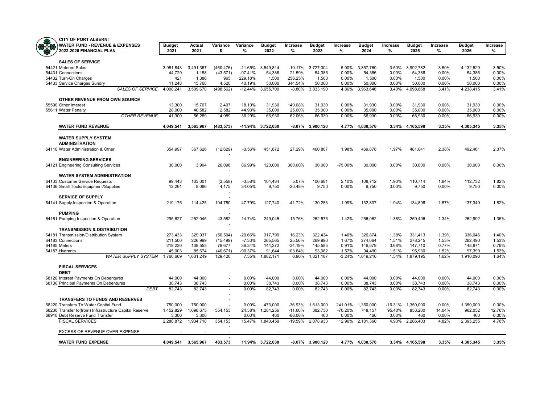

| <b>CITY OF PORT ALBERNI</b>                                            |                |                |                |               |                       |               |                       |               |                       |               |                       |               |                       |               |
|------------------------------------------------------------------------|----------------|----------------|----------------|---------------|-----------------------|---------------|-----------------------|---------------|-----------------------|---------------|-----------------------|---------------|-----------------------|---------------|
| <b>WATER FUND - REVENUE &amp; EXPENSES</b><br>2022-2026 FINANCIAL PLAN | Budget<br>2021 | Actual<br>2021 | Variance<br>\$ | Variance<br>% | <b>Budget</b><br>2022 | Increase<br>% | <b>Budget</b><br>2023 | Increase<br>% | <b>Budget</b><br>2024 | Increase<br>% | <b>Budget</b><br>2025 | Increase<br>% | <b>Budget</b><br>2026 | Increase<br>% |
|                                                                        |                |                |                |               |                       |               |                       |               |                       |               |                       |               |                       |               |
| <b>SALES OF SERVICE</b><br>54421 Metered Sales                         | 3,951,843      | 3,491,367      | (460, 476)     | $-11.65%$     | 3,549,814             | $-10.17%$     | 3,727,304             | 5.00%         | 3,857,760             | 3.50%         | 3,992,782             | 3.50%         | 4,132,529             | 3.50%         |
| 54431 Connections                                                      | 44,729         | 1,158          | (43, 571)      | $-97.41%$     | 54,386                | 21.59%        | 54,386                | 0.00%         | 54,386                | 0.00%         | 54,386                | 0.00%         | 54,386                | 0.00%         |
| 54432 Turn-On Charges                                                  | 421            | 1,386          | 965            | 229.18%       | 1,500                 | 256.25%       | 1,500                 | 0.00%         | 1,500                 | 0.00%         | 1,500                 | 0.00%         | 1,500                 | 0.00%         |
| 54433 Service Charges Sundry                                           | 11,248         | 15,768         | 4,520          | 40.19%        | 50,000                | 344.54%       | 50,000                | 0.00%         | 50,000                | 0.00%         | 50,000                | 0.00%         | 50,000                | 0.00%         |
| <b>SALES OF SERVICE</b>                                                | 4,008,241      | 3,509,678      | (498, 562)     | $-12.44%$     | 3,655,700             | $-8.80%$      | 3,833,190             | 4.86%         | 3,963,646             | 3.40%         | 4,098,668             | 3.41%         | 4,238,415             | 3.41%         |
| OTHER REVENUE FROM OWN SOURCE                                          |                |                |                |               |                       |               |                       |               |                       |               |                       |               |                       |               |
| 55590 Other Interest                                                   | 13,300         | 15,707         | 2,407          | 18.10%        | 31,930                | 140.08%       | 31.930                | 0.00%         | 31,930                | 0.00%         | 31,930                | 0.00%         | 31,930                | 0.00%         |
| 55611 Water Penalty                                                    | 28,000         | 40,582         | 12,582         | 44.93%        | 35,000                | 25.00%        | 35,000                | 0.00%         | 35,000                | 0.00%         | 35,000                | 0.00%         | 35,000                | 0.00%         |
| <b>OTHER REVENUE</b>                                                   | 41,300         | 56,289         | 14,989         | 36.29%        | 66,930                | 62.06%        | 66,930                | 0.00%         | 66,930                | 0.00%         | 66,930                | 0.00%         | 66,930                | 0.00%         |
| <b>WATER FUND REVENUE</b>                                              | 4,049,541      | 3,565,967      | (483,573)      |               | -11.94% 3,722,630     | -8.07%        | 3,900,120             | 4.77%         | 4,030,576             |               | 3.34% 4,165,598       | 3.35%         | 4,305,345             | 3.35%         |
| <b>WATER SUPPLY SYSTEM</b>                                             |                |                |                |               |                       |               |                       |               |                       |               |                       |               |                       |               |
| <b>ADMINISTRATION</b>                                                  |                |                |                |               |                       |               |                       |               |                       |               |                       |               |                       |               |
| 64110 Water Administration & Other                                     | 354,997        | 367,626        | (12, 629)      | $-3.56%$      | 451,872               | 27.29%        | 460,807               | 1.98%         | 469,878               | 1.97%         | 481,041               | 2.38%         | 492,461               | 2.37%         |
| <b>ENGINEERING SERVICES</b>                                            |                |                |                |               |                       |               |                       |               |                       |               |                       |               |                       |               |
| 64121 Engineering Consulting Services                                  | 30,000         | 3,904          | 26,096         | 86.99%        | 120,000               | 300.00%       | 30.000                | $-75.00%$     | 30.000                | 0.00%         | 30,000                | 0.00%         | 30,000                | 0.00%         |
| <b>WATER SYSTEM ADMINISTRATION</b>                                     |                |                |                |               |                       |               |                       |               |                       |               |                       |               |                       |               |
| 64133 Customer Service Requests                                        | 99.443         | 103,001        | (3, 558)       | $-3.58%$      | 104,484               | 5.07%         | 106,681               | 2.10%         | 108,712               | 1.90%         | 110,714               | 1.84%         | 112,732               | 1.82%         |
| 64136 Small Tools/Equipment/Supplies                                   | 12,261         | 8.086          | 4,175          | 34.05%        | 9.750                 | $-20.48%$     | 9.750                 | 0.00%         | 9.750                 | 0.00%         | 9.750                 | 0.00%         | 9.750                 | 0.00%         |
| <b>SERVICE OF SUPPLY</b>                                               |                |                |                |               |                       |               |                       |               |                       |               |                       |               |                       |               |
| 64141 Supply Inspection & Operation                                    | 219,175        | 114,425        | 104,750        | 47.79%        | 127,740               | $-41.72%$     | 130,283               | 1.99%         | 132,807               | 1.94%         | 134,896               | 1.57%         | 137,349               | 1.82%         |
| <b>PUMPING</b>                                                         |                |                |                |               |                       |               |                       |               |                       |               |                       |               |                       |               |
| 64161 Pumping Inspection & Operation                                   | 295,627        | 252,045        | 43,582         | 14.74%        | 249,045               | $-15.76%$     | 252,575               | 1.42%         | 256,062               | 1.38%         | 259,496               | 1.34%         | 262,992               | 1.35%         |
| <b>TRANSMISSION &amp; DISTRIBUTION</b>                                 |                |                |                |               |                       |               |                       |               |                       |               |                       |               |                       |               |
| 64181 Transmission/Distribution System                                 | 273,433        | 329,937        | (56, 504)      | -20.66%       | 317,799               | 16.23%        | 322,434               | 1.46%         | 326,874               | 1.38%         | 331,413               | 1.39%         | 336,046               | 1.40%         |
| 64183 Connections                                                      | 211,500        | 226,999        | (15, 499)      | $-7.33%$      | 265,565               | 25.56%        | 269.990               | 1.67%         | 274,064               | 1.51%         | 278,245               | 1.53%         | 282,490               | 1.53%         |
| 64185 Meters                                                           | 219,230        | 139,553        | 79,677         | 36.34%        | 144,272               | $-34.19%$     | 145,585               | 0.91%         | 146,579               | 0.68%         | 147,710               | 0.77%         | 148,871               | 0.79%         |
| 64187 Hydrants                                                         | 45,003         | 85,674         | (40, 671)      | -90.37%       | 91,644                | 103.64%       | 93,082                | 1.57%         | 94,490                | 1.51%         | 95,930                | 1.52%         | 97,399                | 1.53%         |
| <b>WATER SUPPLY SYSTEM</b>                                             | 1,760,669      | 1,631,249      | 129.420        | 7.35%         | 1,882,171             | 6.90%         | 1,821,187             | $-3.24%$      | 1,849,216             | 1.54%         | 1,879,195             | 1.62%         | 1,910,090             | 1.64%         |
| <b>FISCAL SERVICES</b><br><b>DEBT</b>                                  |                |                |                |               |                       |               |                       |               |                       |               |                       |               |                       |               |
| 68120 Interest Payments On Debentures                                  | 44,000         | 44,000         |                | 0.00%         | 44,000                | 0.00%         | 44,000                | 0.00%         | 44,000                | 0.00%         | 44,000                | 0.00%         | 44,000                | 0.00%         |
| 68130 Principal Payments On Debentures                                 | 38,743         | 38,743         | $\sim$         | 0.00%         | 38,743                | 0.00%         | 38,743                | 0.00%         | 38,743                | 0.00%         | 38,743                | 0.00%         | 38,743                | 0.00%         |
| <b>DEBT</b>                                                            | 82.743         | 82.743         |                | 0.00%         | 82.743                | 0.00%         | 82.743                | 0.00%         | 82.743                | 0.00%         | 82.743                | 0.00%         | 82.743                | 0.00%         |
| <b>TRANSFERS TO FUNDS AND RESERVES</b>                                 |                |                |                |               |                       |               |                       |               |                       |               |                       |               |                       |               |
| 68220 Transfers To Water Capital Fund                                  | 750,000        | 750,000        | ÷.             | 0.00%         | 473,000               |               | -36.93% 1,613,000     |               | 241.01% 1,350,000     |               | -16.31% 1,350,000     | 0.00%         | 1,350,000             | 0.00%         |
| 68230 Transfer to(from) Infrastructure Capital Reserve                 | 1.452.829      | 1.098.675      | 354.153        | 24.38%        | 1.284.256             | $-11.60%$     | 382.730               | $-70.20%$     | 748.157               | 95.48%        | 853.200               | 14.04%        | 962.052               | 12.76%        |
| 68910 Debt Reserve Fund Transfer                                       | 3,300          | 3,300          |                | 0.00%         | 460                   | $-86.06%$     | 460                   | 0.00%         | 460                   | 0.00%         | 460                   | 0.00%         | 460                   | 0.00%         |
| <b>FISCAL SERVICES</b>                                                 | 2,288,872      | 1,934,718      | 354,153        | 15.47%        | 1,840,459             | $-19.59%$     | 2,078,933             | 12.96%        | 2,181,360             | 4.93%         | 2,286,403             | 4.82%         | 2,395,255             | 4.76%         |
| EXCESS OF REVENUE OVER EXPENSE                                         |                |                |                |               |                       |               |                       |               |                       |               |                       |               |                       |               |
| <b>WATER FUND EXPENSE</b>                                              | 4.049.541      | 3.565.967      | 483.573        |               | 11.94% 3.722.630      | 8.07%         | 3.900.120             |               | 4.77% 4.030.576       |               | 3.34% 4.165.598       | 3.35%         | 4.305.345             | 3.35%         |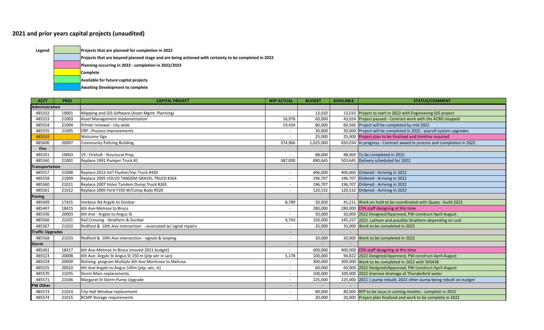## **2021 and prior years capital projects (unaudited)**

**Legend Projects that are planned for completion in 2022**

**Projects that are beyond planned stage and are being actioned with certainty to be completed in 2022**

**Planning occurring in 2022 ‐ completion in 2022/2023**

**Complete**

**Available for future capital projects**

**Awaiting Development to complete**

| <b>ACCT</b>             | <b>PROJ</b> | <b>CAPITAL PROJECT</b>                                         | <b>WIP ACTUAL</b>        | <b>BUDGET</b> | <b>AVAILABLE</b> | <b>STATUS/COMMENT</b>                                                  |
|-------------------------|-------------|----------------------------------------------------------------|--------------------------|---------------|------------------|------------------------------------------------------------------------|
| <b>Administration</b>   |             |                                                                |                          |               |                  |                                                                        |
| 485332                  | 19001       | Mapping and GIS Software (Asset Mgmt. Planning)                |                          | 13,010        |                  | 13,010 Project to start in 2022 with Engineering GIS project           |
| 485553                  | 21003       | Asset Management implementation                                | 16,976                   | 60,000        |                  | 43,024 Project paused - Contract work with the ACRD stopped            |
| 485554                  | 21004       | Printer renewal - city wide                                    | 19,434                   | 80,000        |                  | 60,566 Project will be completed by mid 2022                           |
| 485555                  | 21005       | <b>ERP</b> - Process improvements                              | $\overline{\phantom{0}}$ | 30,000        |                  | 30,000 Project will be completed in 2022 - payroll system upgrades     |
| 485532                  |             | Welcome Sign                                                   |                          | 25,000        | 25,000           | Project plan to be finalized and timeline required                     |
| 485600                  | 20097       | <b>Community Policing Building</b>                             | 374,966                  | 1,025,000     |                  | 650,034 In progress - Contract award in process and completion in 2022 |
| <b>Fire</b>             |             |                                                                |                          |               |                  |                                                                        |
| 485351                  | 19003       | 19 - Firehall - Structural Prep                                |                          | 88,000        |                  | 88,000 To be completed in 2022                                         |
| 485340                  | 21001       | Replace 1991 Pumper Truck #1                                   | 387,000                  | 890,645       |                  | 503,645 Delivery scheduled for 2022                                    |
| <b>Transportation</b>   |             |                                                                |                          |               |                  |                                                                        |
| 485557                  | 21008       | Replace 2012 Int'l Flusher/Vac Truck #435                      |                          | 406,000       |                  | 406,000 Ordered - Arriving in 2022                                     |
| 485558                  | 21009       | Replace 2005 VOLVO TANDEM GRAVEL TRUCK #264                    |                          | 196,707       |                  | 196,707 Ordered - Arriving in 2022                                     |
| 485560                  | 21011       | Replace 2007 Volvo Tandem Dump Truck #265                      |                          | 196,707       |                  | 196,707 Ordered - Arriving in 2022                                     |
| 485561                  | 21012       | Replace 2005 Ford F350 W/Comp Body #520                        |                          | 120,532       |                  | 120,532 Ordered - Arriving in 2022                                     |
| <b>Paving</b>           |             |                                                                |                          |               |                  |                                                                        |
| 485409                  | 17415       | Harbour Rd Argyle to Dunbar                                    | 8,789                    | 50,000        |                  | 41,211 Work on hold to be coordinated with Quays - build 2022          |
| 485447                  | 18415       | 6th Ave-Melrose to Bruce                                       |                          | 280,000       |                  | 280,000 CPA staff designing at this time                               |
| 485336                  | 20003       | 6th Ave - Argyle to Angus St                                   |                          | 50,000        |                  | 50,000 2022 Designed/Approved, PW construct April-August               |
| 485566                  | 21031       | Rail Crossing - Strathern & Dunbar                             | 4,743                    | 150,000       |                  | 145,257 2022 Lathom and possibly Strathern depending on cost           |
| 485567                  | 21032       | Redford & 10th Ave intersection - associated w/ signal repairs |                          | 35,000        |                  | 35,000 Work to be completed in 2022                                    |
| <b>Traffic Upgrades</b> |             |                                                                |                          |               |                  |                                                                        |
| 485568                  | 21033       | Redford & 10th Ave intersection - signals & looping            |                          | 20,000        |                  | 20,000 Work to be completed in 2022                                    |
| <b>Storm</b>            |             |                                                                |                          |               |                  |                                                                        |
| 485361                  | 18417       | 6th Ave-Melrose to Bruce (moved 2021 budget)                   | $\overline{\phantom{a}}$ | 400,000       |                  | 400,000 CPA staff designing at this time                               |
| 485523                  | 20008       | 6th Ave- Argyle St Angus St 150 m (ptp wtr st san)             | 5,178                    | 100,000       |                  | 94,822 2022 Designed/Approved, PW construct April-August               |
| 485524                  | 20009       | Relining program Multiple 6th Ave-Montrose to Melrose          | $\overline{\phantom{a}}$ | 300,000       |                  | 300,000 Work to be completed in 2022 with 565438                       |
| 485525                  | 20010       | 6th Ave-Argyle to Angus 145m (ptp, wtr, st)                    |                          | 60,000        |                  | 60,000 2022 Designed/Approved, PW construct April-August               |
| 485570                  | 21035       | Storm Main replacements                                        |                          | 100,000       |                  | 100,000 2022 improve drainage at Thunderbird water                     |
| 485571                  | 21036       | Margaret St Storm Pump Upgrade                                 | $\sim$                   | 225,000       |                  | 225,000 2021 1 pump rebuilt, 2022 other pump being rebuilt on budget   |
| <b>PW Other</b>         |             |                                                                |                          |               |                  |                                                                        |
| 485573                  | 21014       | City Hall Window replacement                                   |                          | 80,000        |                  | 80,000 RFP to be issue in coming months - complete in 2022             |
| 485574                  | 21015       | <b>RCMP</b> Storage requirements                               |                          | 20,000        |                  | 20,000 Project plan finalized and work to be complete in 2022          |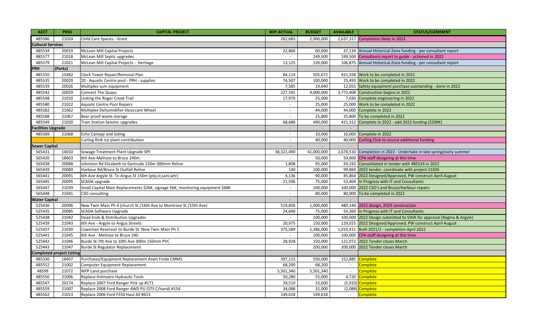| <b>ACCT</b>               | <b>PROJ</b>                      | <b>CAPITAL PROJECT</b>                                                          | <b>WIP ACTUAL</b>        | <b>BUDGET</b>  | <b>AVAILABLE</b> | <b>STATUS/COMMENT</b>                                                |
|---------------------------|----------------------------------|---------------------------------------------------------------------------------|--------------------------|----------------|------------------|----------------------------------------------------------------------|
| 485586                    | 21024                            | Child Care Spaces - Grant                                                       | 262,683                  | 2,900,000      |                  | 2,637,317 Completion likely in 2023                                  |
| <b>Cultural Services</b>  |                                  |                                                                                 |                          |                |                  |                                                                      |
| 485534                    | 20019                            | <b>McLean Mill Capital Projects</b>                                             | 22,866                   | 60,000         |                  | 37,134 Annual Historical Zone funding - per consultant report        |
| 485577                    | 21018                            | McLean Mill Septic upgrades                                                     | $\mathbf{r}$             | 249,500        |                  | 249,500 Consultants report to guide - actioned in 2022               |
| 485579                    | 21021                            | McLean Mill Capital Projects - Heritage                                         | 13,125                   | 120,000        |                  | 106,875 Annual Historical Zone funding - per consultant report       |
| <b>PRH</b>                | (Parks)                          |                                                                                 |                          |                |                  |                                                                      |
| 485310                    | 15482                            | Clock Tower Repair/Removal Plan                                                 | 84,114                   | 505,672        |                  | 421,558 Work to be completed in 2022                                 |
| 485535                    | 20020                            | 20 - Aquatic Centre pool - PRH - supplies                                       | 74,507                   | 100,000        |                  | 25,493 Work to be completed in 2022                                  |
| 485539                    | 20026                            | Multiplex sum equipment                                                         | 7,585                    | 19,640         |                  | 12,055 Safety equipment purchase outstanding - done in 2022          |
| 485542                    | 20029                            | Connect The Quays                                                               | 227,592                  | 4,000,000      |                  | 3,772,408 Construction begins in 2022                                |
| 485548                    | 21010                            | Linking the Roger Creek Trail                                                   | 17,970                   | 25,000         |                  | 7,030 Complete engineering in 2022                                   |
| 485580                    | 21022                            | <b>Aquatic Centre Pool Repairs</b>                                              | $\overline{\phantom{a}}$ | 25,000         |                  | 25,000 Work to be completed in 2022                                  |
| 485582                    | 21062                            | Multiplex Dehumidifier-Desiccant Wheel                                          | $\sim$                   | 44,000         |                  | 44,000 Complete in 2022                                              |
| 485588                    | 21067                            | Bear proof waste storage                                                        | $\overline{\phantom{a}}$ | 25,800         |                  | 25,800 To be completed in 2022                                       |
| 485549                    | 21020                            | Train Station Seismic upgrades                                                  | 68,688                   | 490,000        |                  | 421,312 Complete in 2022 - add 2022 funding (\$200K)                 |
| <b>Facilities Upgrade</b> |                                  |                                                                                 | $\overline{\phantom{a}}$ | $\sim$         | $\sim$           |                                                                      |
| 485589                    | 21068                            | <b>Echo Canopy and Siding</b>                                                   | $\sim$                   | 10,000         |                  | 10,000 Complete in 2022                                              |
|                           |                                  | Curling Rink ice plant contribution                                             |                          | 40,000         |                  | 40,000 Curling Club to source additional funding                     |
| <b>Sewer Capital</b>      |                                  |                                                                                 | $\blacksquare$           | $\overline{a}$ | $\sim$           |                                                                      |
| 565431                    | 14010                            | Sewage Treatment Plant Upgrade SPF                                              | 38,321,490               | 41,000,000     |                  | 2,678,510 Completion in 2022 - Undertake in late spring/early summer |
| 565420                    | 18603                            | 6th Ave-Melrose to Bruce 240m                                                   |                          | 50,000         |                  | 50,000 CPA staff designing at this time                              |
| 565438                    | 20088                            | Johnston Rd Elizabeth to Gertrude 120m 300mm Reline                             | 1,808                    | 95,000         |                  | 93,192 Consolidated in tender with 485524 in 2022                    |
| 565439                    | 20089                            | Harbour Rd/Bruce St Outfall Reline                                              | 140                      | 100,000        |                  | 99,860 2022 tender, coordinate with project 21035                    |
| 565441                    | 20091                            | 6th Ave Argyle St. To Angus St 150m (ptp,st,sani,wtr)                           | 4,136                    | 90,000         |                  | 85,864 2022 Designed/Approved, PW construct April-August             |
| 565445                    | 20095                            | SCADA upgrade                                                                   | 21,596                   | 75,000         |                  | 53,404 In Progress with IT and Consultants                           |
| 565447                    | 21039                            | Small Capital Main Replacements \$26K, signage \$6K, monitoring equipment \$68K | $\sim$                   | 100,000        |                  | 100,000 2022 CSO's and Bruce/Harbour repairs                         |
| 565448                    | 21041                            | CSO consulting                                                                  | $\blacksquare$           | 80,000         |                  | 80,000 To be completed in 2022                                       |
| <b>Water Capital</b>      |                                  |                                                                                 | $\overline{\phantom{a}}$ |                | $\sim$           |                                                                      |
| 525436                    | 20096                            | New Twin Main Ph 4 (church St./16th Ave to Montrose St./15th Ave)               | 519,856                  | 1,000,000      |                  | 480,144 2022 design, 2023 construction                               |
| 525435                    | 20085                            | <b>SCADA Software Upgrade</b>                                                   | 24,640                   | 75,000         |                  | 50,360 In Progress with IT and Consultants                           |
| 525438                    | 21042                            | Dead Ends & Distribution Upgrades                                               |                          | 100,000        |                  | 100,000 2022 Design submitted to VIHA for approval (Regina & Argyle) |
| 525439                    | 21043                            | 6th Ave - Argyle to Angus Streets                                               | 20,975                   | 150,000        |                  | 129,025 2022 Designed/Approved, PW construct April-August            |
| 525437                    | 21030                            | Cowichan Reservoir to Burde St. New Twin Main Ph 5                              | 375,589                  | 1,386,000      |                  | 1,010,411 Built 2021/2 - completion April 2022                       |
| 525441                    | 21045                            | 6th Ave - Melrose to Bruce 240                                                  | $\overline{\phantom{a}}$ | 100,000        |                  | 100,000 CPA staff designing at this time                             |
| 525442                    | 21046                            | Burde St-7th Ave to 10th Ave 300m 150mm PVC                                     | 28,928                   | 150,000        |                  | 121,072 2022 Tender closes March                                     |
| 525443                    | 21047                            | Burde St Regulator Replacement                                                  |                          | 200,000        |                  | 200,000 2022 Tender closes March                                     |
|                           | <b>Completed project Listing</b> |                                                                                 |                          |                |                  |                                                                      |
| 485330                    | 18407                            | Purchases/Equipment Replacement Asset Finda CMMS                                | 397,115                  | 550,000        | 152,885          | <b>Complete</b>                                                      |
| 485552                    | 21002                            | Computer Equipment Replacement                                                  | 68,200                   | 68,200         | $\sim$           | Complete                                                             |
| 48599                     | 21072                            | WFP Land purchase                                                               | 5,501,340                | 5,501,340      | $\mathbb{Z}^2$   | Complete                                                             |
| 485556                    | 21006                            | Replace Holmatro Hydraulic Tools                                                | 50,280                   | 55,000         | 4,720            | Complete                                                             |
| 485547                    | 20174                            | Replace 2007 Ford Ranger Pick up #171                                           | 39,510                   | 33,600         | (5, 910)         | Complete                                                             |
| 485559                    | 21007                            | Replace 2008 Ford Ranger 4WD PU (STS C/hand) #154                               | 34,088                   | 32,000         | (2,088)          | <b>Complete</b>                                                      |
| 485562                    | 21013                            | Replace 2006 Ford F550 Haul All #613                                            | 149,618                  | 149,618        | $\sim$           | Complete                                                             |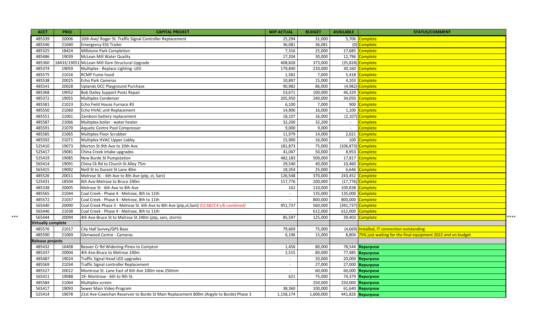| <b>ACCT</b>        | <b>PROJ</b> | <b>CAPITAL PROJECT</b>                                                                    | <b>WIP ACTUAL</b>        | <b>BUDGET</b> | <b>AVAILABLE</b> | <b>STATUS/COMMENT</b>                                       |
|--------------------|-------------|-------------------------------------------------------------------------------------------|--------------------------|---------------|------------------|-------------------------------------------------------------|
| 485339             | 20006       | 10th Ave/ Roger St. Traffic Signal Controller Replacement                                 | 25,294                   | 31,000        |                  | 5,706 Complete                                              |
| 485546             | 21040       | <b>Emergency ESS Trailer</b>                                                              | 36,081                   | 36,081        |                  | (0) Complete                                                |
| 485325             | 18424       | Millstone Park Completion                                                                 | 7,316                    | 25,000        | 17,685           | Complete                                                    |
| 485486             | 19039       | McLean Mill Water Quality                                                                 | 17,204                   | 30,000        |                  | 12,796 Complete                                             |
| 485360             | 18433/1905  | McLean Mill Dam Structural Upgrade                                                        | 408,828                  | 373,000       | (35, 828)        | Complete                                                    |
| 485374             | 19059       | Multiplex - Replace Lighting -LED                                                         | 179,840                  | 210,000       |                  | 30,160 Complete                                             |
| 485575             | 21016       | RCMP Fume hood                                                                            | 1,582                    | 7,000         |                  | 5,418 Complete                                              |
| 485538             | 20025       | <b>Echo Park Cameras</b>                                                                  | 10,897                   | 15,000        | 4,103            | Complete                                                    |
| 485541             | 20028       | <b>Uplands DCC Playground Purchase</b>                                                    | 90,982                   | 86,000        |                  | (4,982) Complete                                            |
| 485368             | 19052       | <b>Bob Dailey Support Posts Repair</b>                                                    | 53,671                   | 100,000       | 46,329           | Complete                                                    |
| 485372             | 19055       | <b>Multiplex Condenser</b>                                                                | 205,950                  | 240,000       | 34,050           | <b>Complete</b>                                             |
| 485581             | 21023       | Echo Field House Furnace #3                                                               | 6,100                    | 7,000         | 900              | Complete                                                    |
| 485550             | 21060       | Echo HVAC unit Replacement                                                                | 14,900                   | 16,000        | 1,100            | <b>Complete</b>                                             |
| 485551             | 21061       | Zamboni battery replacement                                                               | 18,107                   | 16,000        |                  | (2,107) Complete                                            |
| 485587             | 21066       | Multiplex boiler - water heater                                                           | 32,200                   | 32,200        | $\sim$           | Complete                                                    |
| 485591             | 21070       | Aquatic Centre Pool Compressor                                                            | 9,000                    | 9,000         | $\sim$           | Complete                                                    |
| 485585             | 21065       | Multiplex Floor Scrubber                                                                  | 11,979                   | 14,000        | 2,021            | Complete                                                    |
| 485592             | 21071       | Multiplex HVAC Upper Lobby                                                                | 15,900                   | 16,000        |                  | 100 Complete                                                |
| 525410             | 19073       | Morton St-9th Ave to 10th Ave                                                             | 181,873                  | 75,000        |                  | (106,873) Complete                                          |
| 525417             | 19081       | China Creek intake upgrades                                                               | 41,047                   | 50,000        |                  | 8,953 Complete                                              |
| 525419             | 19085       | New Burde St Pumpstation                                                                  | 482,183                  | 500,000       | 17,817           | Complete                                                    |
| 565414             | 19091       | China Ck Rd to Church St Alley 75m                                                        | 29,540                   | 40,000        | 10,460           | Complete                                                    |
| 565415             | 19092       | Neill St to Durant St Lane 40m                                                            | 18,354                   | 25,000        |                  | 6,646 Complete                                              |
| 485526             | 20011       | Melrose St. - 6th Ave to 8th Ave (ptp, st, Sani)                                          | 126,548                  | 370,000       |                  | 243,452 Complete                                            |
| 525431             | 18504       | 6th Ave-Melrose to Bruce 240m                                                             | 117,776                  | 100,000       |                  | (17,776) Complete                                           |
| 485338             | 20005       | Melrose St - 6th Ave to 8th Ave                                                           | 162                      | 110,000       |                  | 109,838 Complete                                            |
| 485565             | 21044       | Coal Creek - Phase 4 - Melrose, 8th to 11th                                               | $\overline{\phantom{a}}$ | 135,000       | 135,000          | Complete                                                    |
| 485572             | 21037       | Coal Creek - Phase 4 - Melrose, 8th to 11th                                               | $\sim$                   | 800,000       | 800,000          | Complete                                                    |
| 565440             | 20090       | Coal Creek Phase 3 - Melrose St. 6th Ave to 8th Ave (ptp,st, Sani) (CC3&CC4 s/b combined) | 951,737                  | 560,000       |                  | (391,737) Complete                                          |
| 565446             | 21038       | Coal Creek - Phase 4 - Melrose, 8th to 11th                                               |                          | 612,000       | 612,000          | Complete                                                    |
| 565444             | 20094       | 4th Ave-Bruce St to Melrose St 240m (ptp, sani, storm)                                    | 85,597                   | 125,000       |                  | ****<br>39,403 Complete                                     |
| Virtually complete |             |                                                                                           |                          |               |                  |                                                             |
| 485576             | 21017       | City Hall Survey/GPS Base                                                                 | 79,669                   | 75,000        |                  | (4,669) Installed, IT connection outstanding                |
| 485590             | 21069       | Glenwood Centre - Cameras                                                                 | 6.196                    | 15,000        | 8.804            | 75% just waiting for the final equipment 2022 and on budget |
| Release projects   |             |                                                                                           |                          |               |                  |                                                             |
| 485432             | 16408       | Beaver Cr Rd Widening-Pineo to Compton                                                    | 1,456                    | 80,000        |                  | 78,544 Repurpose                                            |
| 485337             | 20004       | 4th Ave-Bruce to Melrose 240m                                                             | 2,515                    | 80,000        |                  | 77,485 Repurpose                                            |
| 485487             | 19024       | Traffic Signal Head LED upgrades                                                          | $\sim$                   | 20,000        |                  | 20,000 Repurpose                                            |
| 485569             | 21034       | Traffic Signal controller Replacement                                                     | $\sim$                   | 27,000        |                  | 27,000 Repurpose                                            |
| 485527             | 20012       | Montrose St. Lane East of 6th Ave 100m new 250mm                                          | $\sim$                   | 60,000        |                  | 60,000 Repurpose                                            |
| 565411             | 19088       | 19- Montrose - 6th to 9th St.                                                             | 621                      | 75,000        |                  | 74,379 Repurpose                                            |
| 485584             | 21064       | Multiplex screen                                                                          | $\sim$                   | 250,000       |                  | 250,000 Repurpose                                           |
| 565417             | 19093       | Sewer Main Video Program                                                                  | 38,360                   | 100,000       |                  | 61,640 Repurpose                                            |
| 525414             | 19078       | 21st Ave-Cowichan Reservoir to Burde St Main Replacement 800m (Argyle to Burde) Phase 3   | 1,158,174                | 1,600,000     |                  | 441,826 Repurpose                                           |

\*\*\*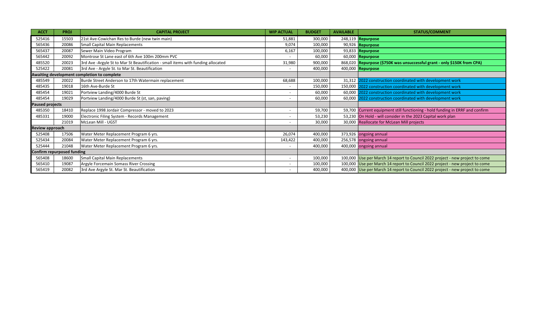| <b>ACCT</b>                | <b>PROJ</b> | <b>CAPITAL PROJECT</b>                                                           | <b>WIP ACTUAL</b>        | <b>BUDGET</b> | <b>AVAILABLE</b> | <b>STATUS/COMMENT</b>                                                         |
|----------------------------|-------------|----------------------------------------------------------------------------------|--------------------------|---------------|------------------|-------------------------------------------------------------------------------|
| 525416                     | 15503       | 21st Ave-Cowichan Res to Burde (new twin main)                                   | 51,881                   | 300,000       |                  | 248,119 Repurpose                                                             |
| 565436                     | 20086       | Small Capital Main Replacements                                                  | 9,074                    | 100,000       |                  | 90,926 Repurpose                                                              |
| 565437                     | 20087       | Sewer Main Video Program                                                         | 6,167                    | 100,000       |                  | 93,833 Repurpose                                                              |
| 565442                     | 20092       | Montrose St Lane east of 6th Ave 100m 200mm PVC                                  |                          | 60,000        |                  | 60,000 Repurpose                                                              |
| 485520                     | 20023       | 3rd Ave -Argyle St to Mar St Beautification - small items with funding allocated | 31,980                   | 900,000       |                  | 868,020 Repurpose (\$750K was unsuccessful grant - only \$150K from CPA)      |
| 525422                     | 20081       | 3rd Ave - Argyle St. to Mar St. Beautification                                   |                          | 400,000       |                  | 400,000 Repurpose                                                             |
|                            |             | Awaiting development completion to complete                                      |                          |               |                  |                                                                               |
| 485549                     | 20022       | Burde Street Anderson to 17th Watermain replacement                              | 68,688                   | 100,000       |                  | 31,312 2022 construction coordinated with development work                    |
| 485435                     | 19018       | 16th Ave-Burde St                                                                |                          | 150,000       |                  | 150,000 2022 construction coordinated with development work                   |
| 485454                     | 19021       | Portview Landing/4000 Burde St                                                   | $\overline{\phantom{0}}$ | 60,000        |                  | 60,000 2022 construction coordinated with development work                    |
| 485454                     | 19029       | Portview Landing/4000 Burde St (st, san, paving)                                 | $\overline{\phantom{0}}$ | 60,000        |                  | 60,000 2022 construction coordinated with development work                    |
| <b>Paused projects</b>     |             |                                                                                  |                          |               |                  |                                                                               |
| 485350                     | 18410       | Replace 1998 Jordair Compressor - moved to 2023                                  | $\overline{\phantom{a}}$ | 59,700        |                  | 59,700 Current equipment still functioning - hold funding in ERRF and confirm |
| 485331                     | 19000       | Electronic Filing System - Records Management                                    |                          | 53,230        |                  | 53,230 On Hold - will consider in the 2023 Capital work plan                  |
|                            | 21019       | McLean Mill - UGST                                                               |                          | 30,000        |                  | 30,000 Reallocate for McLean Mill projects                                    |
| Review approach            |             |                                                                                  |                          |               |                  |                                                                               |
| 525408                     | 17506       | Water Meter Replacement Program 6 yrs.                                           | 26,074                   | 400,000       |                  | 373,926 ongoing annual                                                        |
| 525434                     | 20084       | Water Meter Replacement Program 6 yrs.                                           | 143,422                  | 400,000       |                  | 256,578 ongoing annual                                                        |
| 525444                     | 21048       | Water Meter Replacement Program 6 yrs.                                           |                          | 400,000       |                  | 400,000 ongoing annual                                                        |
| Confirm repurposed funding |             |                                                                                  |                          |               |                  |                                                                               |
| 565408                     | 18600       | Small Capital Main Replacements                                                  | $\overline{\phantom{0}}$ | 100,000       |                  | 100,000 Use per March 14 report to Council 2022 project - new project to come |
| 565410                     | 19087       | Argyle Forcemain Somass River Crossing                                           | $\overline{\phantom{0}}$ | 100,000       |                  | 100,000 Use per March 14 report to Council 2022 project - new project to come |
| 565419                     | 20082       | 3rd Ave Argyle St. Mar St. Beautification                                        |                          | 400,000       |                  | 400,000 Use per March 14 report to Council 2022 project - new project to come |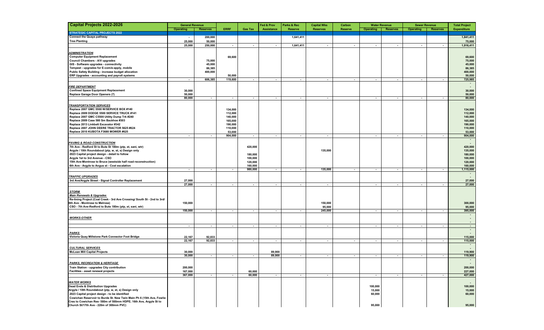| <b>Capital Projects 2022-2026</b>                                                 | <b>General Revenue</b>   |                          |                          |                          | Fed & Prov               | Parks & Rec              | <b>Capital Wks</b>       | Carbon                   | <b>Water Revenue</b>     |                          | <b>Sewer Revenue</b>     |                          | <b>Total Project</b>     |
|-----------------------------------------------------------------------------------|--------------------------|--------------------------|--------------------------|--------------------------|--------------------------|--------------------------|--------------------------|--------------------------|--------------------------|--------------------------|--------------------------|--------------------------|--------------------------|
|                                                                                   | Operating                | <b>Reserves</b>          | <b>ERRF</b>              | <b>Gas Tax</b>           | <b>Assistance</b>        | <b>Reserve</b>           | <b>Reserves</b>          | <b>Reserve</b>           | <b>Operating</b>         | <b>Reserves</b>          | <b>Operating</b>         | <b>Reserves</b>          | <b>Expenditure</b>       |
| <b>STRATEGIC CAPITAL PROJECTS 2022</b>                                            |                          |                          |                          |                          |                          |                          |                          |                          |                          |                          |                          |                          |                          |
| <b>Connect the Quays pathway</b>                                                  | $\overline{\phantom{a}}$ | 200,000                  |                          |                          |                          | 1,641,411                |                          |                          |                          |                          |                          |                          | 1,841,411                |
| <b>Tree Planting</b>                                                              | 25,000                   | 50,000                   |                          |                          |                          |                          |                          |                          |                          |                          |                          |                          | 75,000                   |
|                                                                                   | 25,000                   | 250,000                  | $\overline{\phantom{a}}$ | $\overline{\phantom{a}}$ | $\overline{\phantom{a}}$ | 1,641,411                |                          | $\overline{\phantom{a}}$ | $\overline{\phantom{a}}$ | $\overline{\phantom{a}}$ |                          |                          | 1,916,411                |
| <b>ADMINISTRATION</b>                                                             |                          |                          |                          |                          |                          |                          |                          |                          |                          |                          |                          |                          |                          |
| <b>Computer Equipment Replacement</b>                                             |                          |                          | 69,600                   |                          |                          |                          |                          |                          |                          |                          |                          |                          | 69,600                   |
| Council Chambers - A/V upgrades                                                   |                          | 75,000                   |                          |                          |                          |                          |                          |                          |                          |                          |                          |                          | 75,000                   |
| GIS - Software upgrades - connectivity                                            |                          | 45,000                   |                          |                          |                          |                          |                          |                          |                          |                          |                          |                          | 45,000                   |
| Tempest - upgrades for E-com/e-apply, mobile                                      |                          | 86,385                   |                          |                          |                          |                          |                          |                          |                          |                          |                          |                          | 86,385                   |
| Public Safety Building - increase budget allocation                               |                          | 400,000                  |                          |                          |                          |                          |                          |                          |                          |                          |                          |                          | 400,000                  |
| ERP Upgrades - accounting and payroll systems                                     |                          |                          | 50,000                   |                          |                          |                          |                          |                          |                          |                          |                          |                          | 50,000                   |
|                                                                                   | $\sim$                   | 606,385                  | 119,600                  | $\sim$                   | $\sim$                   | $\sim$                   | $\sim$                   | $\sim$                   | $\sim$                   | $\sim$                   | $\sim$                   | $\overline{\phantom{a}}$ | 725,985                  |
|                                                                                   |                          |                          |                          |                          |                          |                          |                          |                          |                          |                          |                          |                          | $\sim$                   |
| <b>FIRE DEPARTMENT</b>                                                            |                          |                          |                          |                          |                          |                          |                          |                          |                          |                          |                          |                          | $\overline{\phantom{a}}$ |
| <b>Confined Space Equipment Replacement</b>                                       | 30,000                   |                          |                          |                          |                          |                          |                          |                          |                          |                          |                          |                          | 30,000                   |
| Replace Garage Door Openers (7)                                                   | 50,000                   |                          |                          |                          |                          |                          |                          |                          |                          |                          |                          |                          | 50,000                   |
|                                                                                   | 80,000                   | $\sim$                   | $\sim$                   | $\sim$                   | $\sim$                   | $\sim$                   | $\sim$                   |                          | $\sim$                   | $\sim$                   | $\sim$                   | $\sim$                   | 80,000                   |
| <b>TRANSPORTATION SERVICES</b>                                                    |                          |                          |                          |                          |                          |                          |                          |                          |                          |                          |                          |                          |                          |
| Replace 2007 GMC 5500 W/SERVICE BOX #140                                          |                          |                          | 134,000                  |                          |                          |                          |                          |                          |                          |                          |                          |                          | 134,000                  |
| Replace 2009 DODGE 5500 SERVICE TRUCK #141                                        |                          |                          | 112,000                  |                          |                          |                          |                          |                          |                          |                          |                          |                          | 112,000                  |
| Replace 2007 GMC C5500 Utility Dump Trk #240                                      |                          |                          | 140,000                  |                          |                          |                          |                          |                          |                          |                          |                          |                          | 140,000                  |
| Replace 2009 Case 580 Sm Backhoe #303                                             |                          |                          | 165,000                  |                          |                          |                          |                          |                          |                          |                          |                          |                          | 165,000                  |
| Replace 2013 Linkbelt Excavator #342                                              |                          |                          | 190,000                  |                          |                          |                          |                          |                          |                          |                          |                          |                          | 190,000                  |
| Replace 2007 JOHN DEERE TRACTOR 5625 #624                                         |                          |                          | 110,000                  |                          |                          |                          |                          |                          |                          |                          |                          |                          | 110,000                  |
| Replace 2010 KUBOTA F3680 MOWER #625                                              |                          |                          | 53,000                   |                          |                          |                          |                          |                          |                          |                          |                          |                          | 53,000                   |
|                                                                                   | $\sim$                   | $\sim$                   | 904,000                  | $\sim$                   | $\sim$                   | $\sim$                   | $\overline{\phantom{a}}$ |                          | $\overline{\phantom{a}}$ | $\sim$                   | $\overline{\phantom{a}}$ | $\blacksquare$           | 904,000                  |
|                                                                                   |                          |                          |                          |                          |                          |                          |                          |                          |                          |                          |                          |                          | $\sim$                   |
| <b>PAVING &amp; ROAD CONSTRUCTION</b>                                             |                          |                          |                          |                          |                          |                          |                          |                          |                          |                          |                          |                          | $\overline{a}$           |
| 7th Ave - Redford St to Bute St 180m (ptp, st, sani, wtr)                         |                          |                          |                          | 420,000                  |                          |                          |                          |                          |                          |                          |                          |                          | 420,000                  |
| Argyle / 10th Roundabout (ptp, w, st, s) Design only                              |                          |                          |                          |                          |                          |                          | 135,000                  |                          |                          |                          |                          |                          | 135,000                  |
| 2023 Capital project design - detail to follow<br>Argyle 1st to 3rd Avenue - CSO  |                          |                          |                          | 180,000<br>100,000       |                          |                          |                          |                          |                          |                          |                          |                          | 180,000                  |
| 15th Ave-Montrose to Bruce (westside half road reconstruction)                    |                          |                          |                          | 120,000                  |                          |                          |                          |                          |                          |                          |                          |                          | 100,000<br>120,000       |
| 6th Ave - Argyle to Angus st - Cost escalation                                    |                          |                          |                          | 160,000                  |                          |                          |                          |                          |                          |                          |                          |                          | 160,000                  |
|                                                                                   | $\sim$                   | $\sim$                   | $\sim$                   | 980,000                  | $\sim$                   | $\overline{\phantom{a}}$ | 135,000                  | $\sim$                   | $\sim$                   | $\sim$                   | $\sim$                   | $\blacksquare$           | 1,115,000                |
|                                                                                   |                          |                          |                          |                          |                          |                          |                          |                          |                          |                          |                          |                          | $\overline{\phantom{a}}$ |
| <b>TRAFFIC UPGRADES</b>                                                           |                          |                          |                          |                          |                          |                          |                          |                          |                          |                          |                          |                          |                          |
| 3rd Ave/Argyle Street - Signal Controller Replacement                             | 27,000                   |                          |                          |                          |                          |                          |                          |                          |                          |                          |                          |                          | 27,000                   |
|                                                                                   | 27,000                   | $\overline{\phantom{a}}$ | $\sim$                   | $\overline{\phantom{a}}$ | $\blacksquare$           | $\overline{\phantom{a}}$ | $\sim$                   |                          | $\overline{\phantom{a}}$ | $\sim$                   | $\overline{\phantom{a}}$ | $\overline{\phantom{a}}$ | 27,000                   |
|                                                                                   |                          |                          |                          |                          |                          |                          |                          |                          |                          |                          |                          |                          |                          |
| <b>STORM</b>                                                                      |                          |                          |                          |                          |                          |                          |                          |                          |                          |                          |                          |                          |                          |
| <b>Main Renewals &amp; Upgrades</b>                                               |                          |                          |                          |                          |                          |                          |                          |                          |                          |                          |                          |                          |                          |
| Re-lining Project (Coal Creek - 3rd Ave Crossing/ South St - 2nd to 3rd/          |                          |                          |                          |                          |                          |                          |                          |                          |                          |                          |                          |                          |                          |
| 6th Ave - Montrose to Melrose)                                                    | 150,000                  |                          |                          |                          |                          |                          | 150,000                  |                          |                          |                          |                          |                          | 300,000                  |
| CSO - 7th Ave-Redford to Bute 180m (ptp, st, sani, wtr)                           |                          |                          |                          |                          |                          |                          | 95,000                   |                          |                          |                          |                          |                          | 95,000                   |
|                                                                                   | 150,000                  | $\sim$                   | $\sim$                   | $\overline{\phantom{a}}$ | $\overline{\phantom{a}}$ | $\blacksquare$           | 245,000                  |                          | $\overline{\phantom{a}}$ | $\overline{\phantom{a}}$ |                          |                          | 395,000<br>$\sim$        |
| <b>WORKS-OTHER</b>                                                                |                          |                          |                          |                          |                          |                          |                          |                          |                          |                          |                          |                          | $\overline{\phantom{a}}$ |
|                                                                                   |                          |                          |                          |                          |                          |                          |                          |                          |                          |                          |                          |                          |                          |
|                                                                                   | $\sim$                   | $\sim$                   | $\sim$                   | $\sim$                   | $\sim$                   | $\sim$                   | $\sim$                   |                          | $\overline{\phantom{a}}$ | $\sim$                   | $\sim$                   | $\sim$                   | $\sim$                   |
|                                                                                   |                          |                          |                          |                          |                          |                          |                          |                          |                          |                          |                          |                          | $\sim$                   |
| <b>PARKS</b>                                                                      |                          |                          |                          |                          |                          |                          |                          |                          |                          |                          |                          |                          |                          |
| Victoria Quay Millstone Park Connector Foot Bridge                                | 22,167                   | 92,833                   |                          |                          |                          |                          |                          |                          |                          |                          |                          |                          | 115,000                  |
|                                                                                   | 22,167                   | 92,833                   | $\sim$                   | $\sim$                   | $\sim$                   | $\sim$                   | $\sim$                   | $\sim$                   | $\sim$                   | $\sim$                   | $\sim$                   | $\blacksquare$           | 115,000                  |
|                                                                                   |                          |                          |                          |                          |                          |                          |                          |                          |                          |                          |                          |                          | $\sim$                   |
| <b>CULTURAL SERVICES</b>                                                          |                          |                          |                          |                          |                          |                          |                          |                          |                          |                          |                          |                          |                          |
| <b>McLean Mill Capital Projects</b>                                               | 30,000                   |                          |                          |                          | 89,900                   |                          |                          |                          |                          |                          |                          |                          | 119,900                  |
|                                                                                   | 30,000                   | $\sim$                   | $\sim$                   | $\overline{\phantom{a}}$ | 89,900                   | $\sim$                   | $\sim$                   | $\sim$                   | $\overline{\phantom{a}}$ | $\sim$                   | $\overline{\phantom{a}}$ |                          | 119,900                  |
| <b>PARKS. RECREATION &amp; HERITAGE</b>                                           |                          |                          |                          |                          |                          |                          |                          |                          |                          |                          |                          |                          | $\sim$                   |
|                                                                                   |                          |                          |                          |                          |                          |                          |                          |                          |                          |                          |                          |                          |                          |
| Train Station - upgrades City contribution<br>Facilities - asset renewal projects | 200,000<br>167,000       |                          |                          | 60,000                   |                          |                          |                          |                          |                          |                          |                          |                          | 200,000<br>227,000       |
|                                                                                   | 367,000                  | $\sim$                   | $\sim$                   | 60,000                   | $\sim$                   | $\sim$                   | $\sim$                   |                          | $\overline{\phantom{a}}$ | $\sim$                   | $\sim$                   | $\overline{\phantom{a}}$ | 427,000                  |
|                                                                                   |                          |                          |                          |                          |                          |                          |                          |                          |                          |                          |                          |                          |                          |
| <b>WATER WORKS</b>                                                                |                          |                          |                          |                          |                          |                          |                          |                          |                          |                          |                          |                          |                          |
| Dead Ends & Distribution Upgrades                                                 |                          |                          |                          |                          |                          |                          |                          |                          | 100,000                  |                          |                          |                          | 100,000                  |
| Argyle / 10th Roundabout (ptp, w, st, s) Design only                              |                          |                          |                          |                          |                          |                          |                          |                          | 15,000                   |                          |                          |                          | 15,000                   |
| 2023 Capital project design - to be identified                                    |                          |                          |                          |                          |                          |                          |                          |                          | 60,000                   |                          |                          |                          | 60,000                   |
| Cowichan Reservoir to Burde St. New Twin Main Ph 6 (15th Ave, Fowlie              |                          |                          |                          |                          |                          |                          |                          |                          |                          |                          |                          |                          |                          |
| Cres to Cowichan Res- 580m of 500mm HDPE; 16th Ave, Argyle St to                  |                          |                          |                          |                          |                          |                          |                          |                          |                          |                          |                          |                          |                          |
| Church St/17th Ave - 220m of 300mm PVC)                                           |                          |                          |                          |                          |                          |                          |                          |                          | 95,000                   |                          |                          |                          | 95,000                   |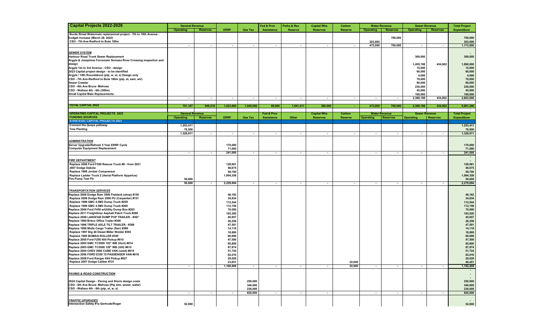| Capital Projects 2022-2026                                                                             | <b>General Revenue</b>   |                          |                    |                          | Fed & Prov               | Parks & Rec              | <b>Capital Wks</b>       | Carbon                   |                          | <b>Water Revenue</b>     | <b>Sewer Revenue</b>     |                          | <b>Total Project</b>                  |
|--------------------------------------------------------------------------------------------------------|--------------------------|--------------------------|--------------------|--------------------------|--------------------------|--------------------------|--------------------------|--------------------------|--------------------------|--------------------------|--------------------------|--------------------------|---------------------------------------|
|                                                                                                        | Operating                | <b>Reserves</b>          | <b>ERRF</b>        | <b>Gas Tax</b>           | Assistance               | <b>Reserve</b>           | <b>Reserves</b>          | <b>Reserve</b>           | Operating                | <b>Reserves</b>          | <b>Operating</b>         | <b>Reserves</b>          | <b>Expenditure</b>                    |
| Burde Street Watermain replacemnet project - 7th to 10th Avenue -                                      |                          |                          |                    |                          |                          |                          |                          |                          |                          |                          |                          |                          |                                       |
| budget increase (March 28, 2022)                                                                       |                          |                          |                    |                          |                          |                          |                          |                          |                          | 700,000                  |                          |                          | 700,000                               |
| CSO - 7th Ave-Redford to Bute 180m                                                                     |                          |                          |                    |                          |                          |                          |                          |                          | 203,000                  |                          |                          |                          | 203,000                               |
|                                                                                                        | $\overline{\phantom{a}}$ | $\sim$                   | $\sim$             | $\overline{\phantom{a}}$ | $\overline{\phantom{a}}$ | $\overline{\phantom{a}}$ | $\overline{\phantom{a}}$ | $\overline{\phantom{a}}$ | 473,000                  | 700,000                  | $\overline{\phantom{a}}$ | $\sim$                   | 1,173,000                             |
|                                                                                                        |                          |                          |                    |                          |                          |                          |                          |                          |                          |                          |                          |                          |                                       |
| <b>SEWER SYSTEM</b>                                                                                    |                          |                          |                    |                          |                          |                          |                          |                          |                          |                          |                          |                          |                                       |
| Harbour Road Trunk Sewer Replacement                                                                   |                          |                          |                    |                          |                          |                          |                          |                          |                          |                          | 300,000                  |                          | 300,000                               |
| Argyle & Josephine Forcemain Somass River Crossing inspection and                                      |                          |                          |                    |                          |                          |                          |                          |                          |                          |                          |                          |                          |                                       |
| design                                                                                                 |                          |                          |                    |                          |                          |                          |                          |                          |                          |                          | 1,455,198                | 434,802                  | 1,890,000                             |
| Argyle 1st to 3rd Avenue - CSO - design                                                                |                          |                          |                    |                          |                          |                          |                          |                          |                          |                          | 15,000                   |                          | 15,000                                |
| 2023 Capital project design - to be identified<br>Argyle / 10th Roundabout (ptp, w, st, s) Design only |                          |                          |                    |                          |                          |                          |                          |                          |                          |                          | 60,000<br>4,000          |                          | 60,000<br>4,000                       |
| CSO - 7th Ave-Redford to Bute 180m (ptp, st, sani, wtr)                                                |                          |                          |                    |                          |                          |                          |                          |                          |                          |                          | 79,000                   |                          | 79,000                                |
| <b>Sewer Crawler</b>                                                                                   |                          |                          |                    |                          |                          |                          |                          |                          |                          |                          | 80,000                   |                          | 80,000                                |
| CSO - 6th Ave Bruce - Melrose                                                                          |                          |                          |                    |                          |                          |                          |                          |                          |                          |                          | 230,000                  |                          | 230,000                               |
| CSO - Wallace 4th - 6th (300m)                                                                         |                          |                          |                    |                          |                          |                          |                          |                          |                          |                          | 45,000                   |                          | 45,000                                |
| <b>Small Capital Main Replacements</b>                                                                 |                          |                          |                    |                          |                          |                          |                          |                          |                          |                          | 100,000                  |                          | 100,000                               |
|                                                                                                        | $\overline{\phantom{a}}$ | $\sim$                   | $\sim$             | $\sim$                   | $\sim$                   | $\overline{\phantom{a}}$ | $\overline{\phantom{a}}$ | $\sim$                   | $\overline{\phantom{a}}$ | $\sim$                   | 2,368,198                | 434,802                  | 2,803,000                             |
|                                                                                                        |                          |                          |                    |                          |                          |                          |                          |                          |                          |                          |                          |                          |                                       |
| <b>TOTAL CAPITAL 2022</b>                                                                              | 701,167                  | 949,218                  | 1,023,600          | 1,040,000                | 89,900                   | 1,641,411                | 380,000                  | ÷.                       | 473,000                  | 700,000                  | 2,368,198                | 434,802                  | 9,801,296                             |
|                                                                                                        |                          |                          |                    |                          |                          |                          |                          |                          |                          |                          |                          |                          |                                       |
| <b>OPERATING CAPITAL PROJECTS 2023</b>                                                                 | <b>General Revenue</b>   |                          |                    |                          | Fed & Prov               |                          | <b>Capital Wks</b>       | Carbon                   |                          | <b>Water Revenue</b>     | <b>Sewer Revenue</b>     |                          | <b>Total Project</b>                  |
| <b>FUNDING SOURCES</b>                                                                                 | <b>Operating</b>         | <b>Reserves</b>          | <b>ERRF</b>        | <b>Gas Tax</b>           | Assistance               | Other                    | <b>Reserves</b>          | <b>Reserve</b>           | <b>Operating</b>         | <b>Reserves</b>          | <b>Operating</b>         | <b>Reserves</b>          | <b>Expenditure</b>                    |
| <b>STRATEGIC CAPITAL PROJECTS 2023</b>                                                                 |                          |                          |                    |                          |                          |                          |                          |                          |                          |                          |                          |                          |                                       |
| <b>Connect the Quays pathway</b>                                                                       | 1,253,411                |                          |                    |                          |                          |                          |                          |                          |                          |                          |                          |                          | 1,253,411                             |
| <b>Tree Planting</b>                                                                                   | 76,500                   |                          |                    |                          |                          |                          |                          |                          |                          |                          |                          |                          | 76,500                                |
|                                                                                                        | 1,329,911                | $\sim$                   | $\sim$             | $\sim$                   | $\overline{\phantom{a}}$ | $\overline{\phantom{a}}$ | $\overline{\phantom{a}}$ | $\sim$                   | $\overline{\phantom{a}}$ | $\sim$                   | $\overline{\phantom{a}}$ | $\overline{\phantom{a}}$ | 1,329,911                             |
| <b>ADMINISTRATION</b>                                                                                  |                          |                          |                    |                          |                          |                          |                          |                          |                          |                          |                          |                          |                                       |
| Server Upgrade/Refresh 5 Year ERRF Cycle                                                               |                          |                          | 170,000            |                          |                          |                          |                          |                          |                          |                          |                          |                          | 170,000                               |
| <b>Computer Equipment Replacement</b>                                                                  |                          |                          | 71,000             |                          |                          |                          |                          |                          |                          |                          |                          |                          | 71,000                                |
|                                                                                                        | $\sim$                   | $\sim$                   | 241,000            | $\sim$                   | $\overline{\phantom{a}}$ | $\overline{\phantom{a}}$ | $\overline{\phantom{a}}$ |                          | $\overline{\phantom{a}}$ | $\overline{\phantom{a}}$ | $\overline{\phantom{a}}$ | $\overline{\phantom{a}}$ | 241,000                               |
|                                                                                                        |                          |                          |                    |                          |                          |                          |                          |                          |                          |                          |                          |                          |                                       |
| <b>FIRE DEPARTMENT</b>                                                                                 |                          |                          |                    |                          |                          |                          |                          |                          |                          |                          |                          |                          |                                       |
| Replace 2006 Ford F550 Rescue Truck #8 - from 2021                                                     |                          |                          | 128,961            |                          |                          |                          |                          |                          |                          |                          |                          |                          | 128,961                               |
| 2007 Dodge Dakota                                                                                      |                          |                          | 46,675             |                          |                          |                          |                          |                          |                          |                          |                          |                          | 46,675                                |
| Replace 1998 Jordair Compressor                                                                        |                          |                          | 59,700             |                          |                          |                          |                          |                          |                          |                          |                          |                          | 59,700                                |
| Replace Ladder Truck 2 (Aerial Platform Appartus)                                                      |                          |                          | 1,994,358          |                          |                          |                          |                          |                          |                          |                          |                          |                          | 1,994,358                             |
| Fire Pump Test Pit                                                                                     | 50,000                   |                          |                    |                          |                          |                          |                          |                          |                          |                          |                          |                          | 50,000                                |
|                                                                                                        | 50,000                   | $\sim$                   | 2,229,694          | $\overline{\phantom{a}}$ | $\sim$                   | $\overline{\phantom{a}}$ | $\sim$                   | $\sim$                   | $\overline{\phantom{a}}$ | $\sim$                   | $\overline{\phantom{a}}$ | $\overline{\phantom{a}}$ | 2,279,694                             |
|                                                                                                        |                          |                          |                    |                          |                          |                          |                          |                          |                          |                          |                          |                          |                                       |
| <b>TRANSPORTATION SERVICES</b>                                                                         |                          |                          |                    |                          |                          |                          |                          |                          |                          |                          |                          |                          |                                       |
| Replace 2008 Dodge Ram 3500 Flatdeck (shop) #150                                                       |                          |                          | 46,182             |                          |                          |                          |                          |                          |                          |                          |                          |                          | 46,182                                |
| Replace 2008 Dodge Ram 2500 PU (Carpenter) #151                                                        |                          |                          | 34,834             |                          |                          |                          |                          |                          |                          |                          |                          |                          | 34,834                                |
| Replace 1998 GMC 4.5M3 Dump Truck #259<br>Replace 1999 GMC 4.5M3 Dump Truck #260                       |                          |                          | 112,544<br>112,156 |                          |                          |                          |                          |                          |                          |                          |                          |                          | 112,544<br>112,156                    |
| Replace 2004 Ford F450 w/Utility Dump Box #263                                                         |                          |                          | 70,000             |                          |                          |                          |                          |                          |                          |                          |                          |                          | 70,000                                |
| Replace 2011 Freightliner Asphalt Patch Truck #266                                                     |                          |                          | 193,200            |                          |                          |                          |                          |                          |                          |                          |                          |                          | 193,200                               |
| Replace 2006 LANGFAB DUMP PUP TRAILER - #367                                                           |                          |                          | 45,657             |                          |                          |                          |                          |                          |                          |                          |                          |                          | 45,657                                |
| Replace 1990 Britco Office Trailer #369                                                                |                          |                          | 26,258             |                          |                          |                          |                          |                          |                          |                          |                          |                          | 26,258                                |
| Replace 1996 TRIPLE AXLE TILT TRAILER - #388                                                           |                          |                          | 47,501             |                          |                          |                          |                          |                          |                          |                          |                          |                          | 47,501                                |
| Replace 1996 Wells Cargo Trailer (Swr) #389                                                            |                          |                          | 14,118             |                          |                          |                          |                          |                          |                          |                          |                          |                          | 14,118                                |
| Replace 1997 Big 40 Diesel Miller Welder #393                                                          |                          |                          | 18,869             |                          |                          |                          |                          |                          |                          |                          |                          |                          | 18,869                                |
| Replace 1995 BOMAG ROLLER #395                                                                         |                          |                          | 60,696             |                          |                          |                          |                          |                          |                          |                          |                          |                          | 60,696                                |
| Replace 2005 Ford F250 4X4 Pickup #610                                                                 |                          |                          | 47,500             |                          |                          |                          |                          |                          |                          |                          |                          |                          | 47,500                                |
| Replace 2005 GMC TC5500 152" WB (Hort) #614                                                            |                          |                          | 85,800             |                          |                          |                          |                          |                          |                          |                          |                          |                          | 85,800                                |
| Replace 2005 GMC TC5500 128" WB (Util) #615                                                            |                          |                          | 87,874             |                          |                          |                          |                          |                          |                          |                          |                          |                          | 87,874                                |
| Replace 2004 CHEV 3500 CUBE VAN (used) #616                                                            |                          |                          | 51,724             |                          |                          |                          |                          |                          |                          |                          |                          |                          | 51,724                                |
| Replace 2006 FORD E350 15 PASSENGER VAN #619<br>Replace 2008 Ford Ranger 4X4 Pickup #627               |                          |                          | 62,016             |                          |                          |                          |                          |                          |                          |                          |                          |                          | 62,016                                |
| Replace 2007 Dodge Caliber #721                                                                        |                          |                          | 29,029<br>23,851   |                          |                          |                          |                          | 22.600                   |                          |                          |                          |                          | 29,029<br>46,451                      |
|                                                                                                        | $\sim$                   | $\overline{\phantom{a}}$ | 1,169,809          | $\sim$                   | $\sim$                   | $\sim$                   | $\sim$                   | 22,600                   | $\sim$                   | $\sim$                   |                          | $\sim$                   |                                       |
|                                                                                                        |                          |                          |                    |                          |                          |                          |                          |                          |                          |                          | $\sim$                   |                          | 1,192,409<br>$\overline{\phantom{a}}$ |
| <b>PAVING &amp; ROAD CONSTRUCTION</b>                                                                  |                          |                          |                    |                          |                          |                          |                          |                          |                          |                          |                          |                          | $\sim$                                |
|                                                                                                        |                          |                          |                    |                          |                          |                          |                          |                          |                          |                          |                          |                          | $\overline{\phantom{a}}$              |
| 2024 Capital Design - Paving and Storm design costs                                                    |                          |                          |                    | 250,000                  |                          |                          |                          |                          |                          |                          |                          |                          | 250,000                               |
| CSO - 6th Ave Bruce -Melrose (Ptp stm, sewer, water)                                                   |                          |                          |                    | 340,000                  |                          |                          |                          |                          |                          |                          |                          |                          | 340,000                               |
| CSO - Wallace 4th - 6th (ptp, st, w, s)                                                                |                          |                          |                    | 230,000                  |                          |                          |                          |                          |                          |                          |                          |                          | 230,000                               |
|                                                                                                        | $\overline{\phantom{a}}$ | $\sim$                   | $\sim$             | 820,000                  | $\sim$                   | $\overline{\phantom{a}}$ | $\sim$                   |                          | $\sim$                   | $\sim$                   | $\blacksquare$           | $\sim$                   | 820,000                               |
|                                                                                                        |                          |                          |                    |                          |                          |                          |                          |                          |                          |                          |                          |                          |                                       |
| <b>TRAFFIC UPGRADES</b><br>Intersection Safety #1a Gertrude/Roger                                      |                          |                          |                    |                          |                          |                          |                          |                          |                          |                          |                          |                          |                                       |
|                                                                                                        | 52,000                   |                          |                    |                          |                          |                          |                          |                          |                          |                          |                          |                          | 52,000                                |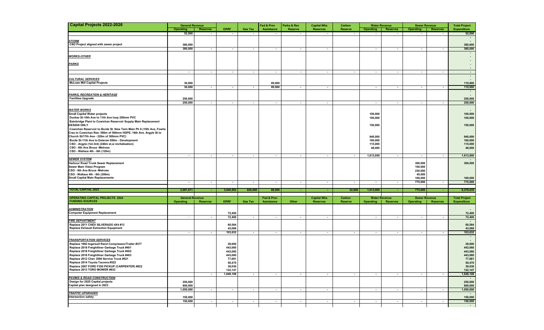| <b>Capital Projects 2022-2026</b>                                                                                                        | <b>General Revenue</b>   |                          |                   |                          | Fed & Prov               | Parks & Rec              | <b>Capital Wks</b>       | Carbon                   | <b>Water Revenue</b><br><b>Sewer Revenue</b> |                          |                          | <b>Total Project</b>     |                          |
|------------------------------------------------------------------------------------------------------------------------------------------|--------------------------|--------------------------|-------------------|--------------------------|--------------------------|--------------------------|--------------------------|--------------------------|----------------------------------------------|--------------------------|--------------------------|--------------------------|--------------------------|
|                                                                                                                                          | <b>Operating</b>         | <b>Reserves</b>          | <b>ERRF</b>       | <b>Gas Tax</b>           | <b>Assistance</b>        | <b>Reserve</b>           | <b>Reserves</b>          | <b>Reserve</b>           | <b>Operating</b>                             | <b>Reserves</b>          | <b>Operating</b>         | <b>Reserves</b>          | <b>Expenditure</b>       |
|                                                                                                                                          | 52,000                   | $\overline{\phantom{a}}$ | $\sim$            | $\blacksquare$           | $\overline{\phantom{a}}$ |                          |                          | $\overline{\phantom{a}}$ | $\overline{\phantom{a}}$                     | $\overline{\phantom{a}}$ | $\overline{\phantom{a}}$ |                          | 52,000                   |
|                                                                                                                                          |                          |                          |                   |                          |                          |                          |                          |                          |                                              |                          |                          |                          | $\sim$                   |
| <b>STORM</b>                                                                                                                             |                          |                          |                   |                          |                          |                          |                          |                          |                                              |                          |                          |                          |                          |
| CSO Project aligned with sewer project                                                                                                   | 380,000                  |                          |                   |                          |                          |                          |                          |                          |                                              |                          |                          |                          | 380,000                  |
|                                                                                                                                          | 380,000                  | $\overline{\phantom{a}}$ | $\sim$            | $\overline{\phantom{a}}$ | $\overline{\phantom{a}}$ | $\overline{\phantom{a}}$ | $\overline{\phantom{a}}$ |                          | $\overline{\phantom{a}}$                     | $\sim$                   | $\overline{\phantom{a}}$ | $\blacksquare$           | 380,000                  |
| <b>WORKS-OTHER</b>                                                                                                                       |                          |                          |                   |                          |                          |                          |                          |                          |                                              |                          |                          |                          |                          |
|                                                                                                                                          |                          |                          |                   |                          |                          |                          |                          |                          |                                              |                          |                          |                          | $\blacksquare$           |
| <u>PARKS</u>                                                                                                                             |                          |                          |                   |                          |                          |                          |                          |                          |                                              |                          |                          |                          |                          |
|                                                                                                                                          |                          |                          |                   |                          |                          |                          |                          |                          |                                              |                          |                          |                          |                          |
|                                                                                                                                          | $\sim$                   | $\sim$                   | $\sim$            | $\sim$                   | $\sim$                   | $\sim$                   | $\sim$                   | $\sim$                   | $\sim$                                       | $\sim$                   | $\sim$                   | $\sim$                   | $\sim$                   |
| <b>CULTURAL SERVICES</b>                                                                                                                 |                          |                          |                   |                          |                          |                          |                          |                          |                                              |                          |                          |                          | $\sim$                   |
| <b>McLean Mill Capital Projects</b>                                                                                                      | 30,000                   |                          |                   |                          | 89,900                   |                          |                          |                          |                                              |                          |                          |                          | 119,900                  |
|                                                                                                                                          | 30,000                   | $\overline{\phantom{a}}$ | $\sim$            | $\overline{\phantom{a}}$ | 89,900                   | $\blacksquare$           | $\sim$                   |                          | $\overline{\phantom{a}}$                     | $\blacksquare$           | $\overline{\phantom{a}}$ |                          | 119,900                  |
|                                                                                                                                          |                          |                          |                   |                          |                          |                          |                          |                          |                                              |                          |                          |                          | $\overline{\phantom{a}}$ |
| <b>PARKS, RECREATION &amp; HERITAGE</b>                                                                                                  |                          |                          |                   |                          |                          |                          |                          |                          |                                              |                          |                          |                          |                          |
| <b>Facilities Upgrade</b>                                                                                                                | 250,000                  |                          |                   |                          |                          |                          |                          |                          |                                              |                          |                          |                          | 250,000                  |
|                                                                                                                                          | 250,000                  | $\overline{\phantom{a}}$ | $\sim$            | $\overline{\phantom{a}}$ | $\sim$                   | $\overline{\phantom{a}}$ | $\overline{\phantom{a}}$ |                          | $\overline{\phantom{a}}$                     | $\sim$                   | $\overline{\phantom{a}}$ | $\blacksquare$           | 250,000                  |
| <b>WATER WORKS</b>                                                                                                                       |                          |                          |                   |                          |                          |                          |                          |                          |                                              |                          |                          |                          |                          |
| Small Capital Water projects                                                                                                             |                          |                          |                   |                          |                          |                          |                          |                          | 100,000                                      |                          |                          |                          | 100,000                  |
| Dunbar St-10th Ave to 11th Ave loop 200mm PVC                                                                                            |                          |                          |                   |                          |                          |                          |                          |                          | 100,000                                      |                          |                          |                          | 100,000                  |
| Bainbridge Plant to Cowichan Reservoir Supply Main Replacement                                                                           |                          |                          |                   |                          |                          |                          |                          |                          |                                              |                          |                          |                          |                          |
| <b>DESIGN ONLY</b>                                                                                                                       |                          |                          |                   |                          |                          |                          |                          |                          | 150,000                                      |                          |                          |                          | 150,000                  |
| Cowichan Reservoir to Burde St. New Twin Main Ph 6 (15th Ave, Fowlie<br>Cres to Cowichan Res- 580m of 500mm HDPE; 16th Ave, Argyle St to |                          |                          |                   |                          |                          |                          |                          |                          |                                              |                          |                          |                          |                          |
| Church St/17th Ave - 220m of 300mm PVC)                                                                                                  |                          |                          |                   |                          |                          |                          |                          |                          | 940,000                                      |                          |                          |                          | 940,000                  |
| Burde St-11th Ave to Estevan 650m - Development                                                                                          |                          |                          |                   |                          |                          |                          |                          |                          | 160,000                                      |                          |                          |                          | 160,000                  |
| CSO - Argyle (1st-3rd) (240m st,w revitalisation)                                                                                        |                          |                          |                   |                          |                          |                          |                          |                          | 115,000                                      |                          |                          |                          | 115,000                  |
| CSO - 6th Ave Bruce - Melrose                                                                                                            |                          |                          |                   |                          |                          |                          |                          |                          | 48,000                                       |                          |                          |                          | 48,000                   |
| CSO - Wallace 4th - 6th (120m)                                                                                                           |                          |                          |                   |                          |                          |                          |                          |                          |                                              |                          |                          |                          |                          |
| <b>SEWER SYSTEM</b>                                                                                                                      | $\sim$                   | $\sim$                   | $\sim$            | $\overline{\phantom{a}}$ | $\sim$                   | $\overline{\phantom{a}}$ | $\sim$                   | $\sim$                   | 1,613,000                                    | $\sim$                   | $\overline{\phantom{a}}$ | $\sim$                   | 1,613,000                |
| Harbour Road Trunk Sewer Replacement                                                                                                     |                          |                          |                   |                          |                          |                          |                          |                          |                                              |                          | 300,000                  |                          | 300,000                  |
| Sewer Main Video Program                                                                                                                 |                          |                          |                   |                          |                          |                          |                          |                          |                                              |                          | 100,000                  |                          |                          |
| CSO - 6th Ave Bruce - Melrose                                                                                                            |                          |                          |                   |                          |                          |                          |                          |                          |                                              |                          | 230,000                  |                          |                          |
| CSO - Wallace 4th - 6th (300m)                                                                                                           |                          |                          |                   |                          |                          |                          |                          |                          |                                              |                          | 45,000                   |                          |                          |
| <b>Small Capital Main Replacements</b>                                                                                                   |                          |                          |                   |                          |                          |                          |                          |                          |                                              |                          | 100,000                  |                          | 100,000                  |
|                                                                                                                                          | $\sim$                   | $\sim$                   | $\sim$            | $\sim$                   | $\sim$                   | $\sim$                   | $\sim$                   | $\sim$                   | $\sim$                                       | $\sim$                   | 775,000                  | $\sim$                   | 775,000                  |
| TOTAL CAPITAL 2023                                                                                                                       | 2,091,911                | <b>A</b>                 | 3,640,503         | 820,000                  | 89,900                   | ٠                        | $\sim$                   | 22,600                   | 1,613,000                                    | ÷                        | 775,000                  |                          | 8,378,035                |
|                                                                                                                                          |                          |                          |                   |                          |                          |                          |                          |                          |                                              |                          |                          |                          |                          |
| <b>OPERATING CAPITAL PROJECTS 2024</b>                                                                                                   | <b>General Revenue</b>   |                          |                   |                          | Fed & Prov               |                          | <b>Capital Wks</b>       | Carbon                   |                                              | <b>Water Revenue</b>     | <b>Sewer Revenue</b>     |                          | <b>Total Project</b>     |
| <b>FUNDING SOURCES</b>                                                                                                                   | <b>Operating</b>         | <b>Reserves</b>          | <b>ERRF</b>       | <b>Gas Tax</b>           | Assistance               | Other                    | <b>Reserves</b>          | <b>Reserve</b>           | <b>Operating</b>                             | <b>Reserves</b>          | <b>Operating</b>         | <b>Reserves</b>          | <b>Expenditure</b>       |
| <b>ADMINISTRATION</b>                                                                                                                    |                          |                          |                   |                          |                          |                          |                          |                          |                                              |                          |                          |                          |                          |
| <b>Computer Equipment Replacement</b>                                                                                                    |                          |                          | 72,400            |                          |                          |                          |                          |                          |                                              |                          |                          |                          | 72,400                   |
|                                                                                                                                          | $\sim$                   | $\sim$                   | 72,400            | $\overline{\phantom{a}}$ | $\sim$                   | $\overline{\phantom{a}}$ | $\overline{\phantom{a}}$ |                          | $\overline{\phantom{a}}$                     | $\sim$                   | $\overline{\phantom{a}}$ | $\overline{\phantom{a}}$ | 72,400                   |
| <b>FIRE DEPARTMENT</b>                                                                                                                   |                          |                          |                   |                          |                          |                          |                          |                          |                                              |                          |                          |                          |                          |
| Replace 2011 CHEV SILVERADO 4X4 #13                                                                                                      |                          |                          | 60,564            |                          |                          |                          |                          |                          |                                              |                          |                          |                          | 60,564                   |
| <b>Replace Exhaust Extraction Equipment</b>                                                                                              |                          |                          | 43,068            |                          |                          |                          |                          |                          |                                              |                          |                          |                          | 43,068                   |
|                                                                                                                                          | $\overline{\phantom{a}}$ | $\sim$                   | 103,632           | $\sim$                   | $\overline{\phantom{a}}$ | $\sim$                   | $\overline{\phantom{a}}$ | $\overline{\phantom{a}}$ | $\overline{\phantom{a}}$                     | $\sim$                   | $\overline{\phantom{a}}$ | $\blacksquare$           | 103,632                  |
| <b>TRANSPORTATION SERVICES</b>                                                                                                           |                          |                          |                   |                          |                          |                          |                          |                          |                                              |                          |                          |                          | $\overline{\phantom{a}}$ |
| Replace 1992 Ingersoll Rand Compressor/Trailer #377                                                                                      |                          |                          | 29,600            |                          |                          |                          |                          |                          |                                              |                          |                          |                          | 29,600                   |
| Replace 2018 Freightliner Garbage Truck #401                                                                                             |                          |                          | 443,060           |                          |                          |                          |                          |                          |                                              |                          |                          |                          | 443,060                  |
| Replace 2018 Freightliner Garbage Truck #402                                                                                             |                          |                          | 443,060           |                          |                          |                          |                          |                          |                                              |                          |                          |                          | 443,060                  |
| Replace 2018 Freightliner Garbage Truck #403                                                                                             |                          |                          | 443,060           |                          |                          |                          |                          |                          |                                              |                          |                          |                          | 443,060                  |
| Replace 2012 Chev 3500 Service Truck #521                                                                                                |                          |                          | 77,681            |                          |                          |                          |                          |                          |                                              |                          |                          |                          | 77,681                   |
| Replace 2014 Toyota Tacoma #522                                                                                                          |                          |                          | 50.470            |                          |                          |                          |                          |                          |                                              |                          |                          |                          | 50,470                   |
| Replace 2007 FORD F350 PICKUP (CARPENTER) #622<br>Replace 2013 TORO MOWER #633                                                           |                          |                          | 39,030<br>122,147 |                          |                          |                          |                          |                          |                                              |                          |                          |                          | 39,030<br>122,147        |
|                                                                                                                                          |                          | $\overline{\phantom{a}}$ | 1,648,108         | $\overline{\phantom{a}}$ | $\sim$                   | $\sim$                   | $\sim$                   | $\sim$                   | $\overline{\phantom{a}}$                     | $\sim$                   | $\sim$                   | $\overline{\phantom{a}}$ | 1,648,108                |
| <b>PAVING &amp; ROAD CONSTRUCTION</b>                                                                                                    |                          |                          |                   |                          |                          |                          |                          |                          |                                              |                          |                          |                          | $\sim$                   |
| Design for 2025 Capital projects                                                                                                         | 250,000                  |                          |                   |                          |                          |                          |                          |                          |                                              |                          |                          |                          | 250,000                  |
| Capital plan designed in 2023                                                                                                            | 800,000                  |                          |                   |                          |                          |                          |                          |                          |                                              |                          |                          |                          | 800,000                  |
|                                                                                                                                          | 1,050,000                | $\sim$                   | $\sim$            | $\overline{\phantom{a}}$ | $\sim$                   | $\overline{\phantom{a}}$ | $\overline{\phantom{a}}$ |                          | $\sim$                                       | $\sim$                   | $\overline{\phantom{a}}$ | $\blacksquare$           | 1,050,000                |
| <b>TRAFFIC UPGRADES</b><br>Intersection safety                                                                                           | 150,000                  |                          |                   |                          |                          |                          |                          |                          |                                              |                          |                          |                          | $\sim$<br>150,000        |
|                                                                                                                                          | 150,000                  | $\sim$                   | $\sim$            | $\overline{\phantom{a}}$ | $\sim$                   | $\overline{\phantom{a}}$ | $\sim$                   | $\sim$                   | $\cdot$                                      | $\sim$                   | $\overline{\phantom{a}}$ | $\overline{\phantom{a}}$ | 150,000                  |
|                                                                                                                                          |                          |                          |                   |                          |                          |                          |                          |                          |                                              |                          |                          |                          | $\sim$                   |
|                                                                                                                                          |                          |                          |                   |                          |                          |                          |                          |                          |                                              |                          |                          |                          |                          |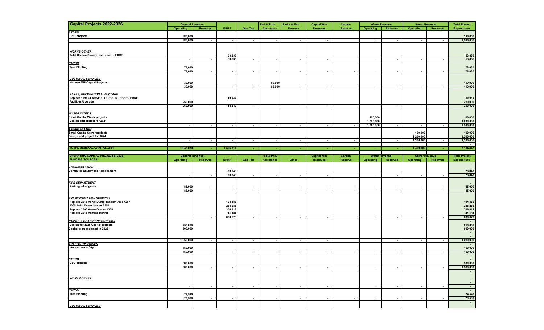| <b>Capital Projects 2022-2026</b>                             | <b>General Revenue</b> |                          |                          |                                    | Fed & Prov               | Parks & Rec              | <b>Capital Wks</b>       | Carbon                   |                          | <b>Water Revenue</b>     | <b>Sewer Revenue</b>     |                          | <b>Total Project</b>     |
|---------------------------------------------------------------|------------------------|--------------------------|--------------------------|------------------------------------|--------------------------|--------------------------|--------------------------|--------------------------|--------------------------|--------------------------|--------------------------|--------------------------|--------------------------|
|                                                               | Operating              | <b>Reserves</b>          | <b>ERRF</b>              | <b>Gas Tax</b>                     | <b>Assistance</b>        | <b>Reserve</b>           | <b>Reserves</b>          | <b>Reserve</b>           | <b>Operating</b>         | <b>Reserves</b>          | <b>Operating</b>         | <b>Reserves</b>          | <b>Expenditure</b>       |
| <b>STORM</b>                                                  |                        |                          |                          |                                    |                          |                          |                          |                          |                          |                          |                          |                          |                          |
| CSO projects                                                  | 380,000                |                          |                          |                                    |                          |                          |                          |                          |                          |                          |                          |                          | 380,000                  |
|                                                               | 380,000                | $\overline{\phantom{a}}$ | $\sim$                   | $\sim$                             | $\sim$                   | $\overline{\phantom{a}}$ | $\sim$                   |                          | $\sim$                   | $\sim$                   | $\overline{\phantom{a}}$ | $\overline{\phantom{a}}$ | 1,580,000                |
|                                                               |                        |                          |                          |                                    |                          |                          |                          |                          |                          |                          |                          |                          |                          |
| <b>WORKS-OTHER</b>                                            |                        |                          |                          |                                    |                          |                          |                          |                          |                          |                          |                          |                          |                          |
| <b>Total Station Survey Instrument - ERRF</b>                 |                        |                          | 53,835                   |                                    |                          |                          |                          |                          |                          |                          |                          |                          | 53,835                   |
|                                                               | $\sim$                 | $\overline{\phantom{a}}$ | 53,835                   | $\sim$                             | $\sim$                   | $\sim$                   | $\sim$                   |                          | $\sim$                   | $\sim$                   | $\overline{\phantom{a}}$ | $\overline{\phantom{a}}$ | 53,835                   |
| <b>PARKS</b>                                                  |                        |                          |                          |                                    |                          |                          |                          |                          |                          |                          |                          |                          |                          |
| <b>Tree Planting</b>                                          | 78,030                 |                          |                          |                                    |                          |                          |                          |                          |                          |                          |                          |                          | 78,030                   |
|                                                               | 78,030                 | $\sim$                   | $\sim$                   | $\sim$                             | $\sim$                   | $\sim$                   | $\sim$                   | $\sim$                   | $\overline{\phantom{a}}$ | $\sim$                   | $\sim$                   | $\sim$                   | 78,030                   |
|                                                               |                        |                          |                          |                                    |                          |                          |                          |                          |                          |                          |                          |                          |                          |
| <b>CULTURAL SERVICES</b>                                      |                        |                          |                          |                                    |                          |                          |                          |                          |                          |                          |                          |                          |                          |
| <b>McLean Mill Capital Projects</b>                           | 30,000                 |                          |                          |                                    | 89,900                   |                          |                          |                          |                          |                          |                          |                          | 119,900                  |
|                                                               | 30,000                 |                          | $\sim$                   | $\overline{\phantom{a}}$           | 89,900                   | $\blacksquare$           | $\sim$                   |                          | $\overline{\phantom{a}}$ | $\sim$                   | $\overline{\phantom{a}}$ | $\blacksquare$           | 119,900                  |
| <b>PARKS, RECREATION &amp; HERITAGE</b>                       |                        |                          |                          |                                    |                          |                          |                          |                          |                          |                          |                          |                          |                          |
| Replace 1997 CLARKE FLOOR SCRUBBER - ERRF                     |                        |                          | 18,842                   |                                    |                          |                          |                          |                          |                          |                          |                          |                          | 18,842                   |
| <b>Facilities Upgrade</b>                                     | 250,000                |                          |                          |                                    |                          |                          |                          |                          |                          |                          |                          |                          | 250,000                  |
|                                                               | 250,000                | $\sim$                   | 18,842                   | $\sim$                             | $\sim$                   | $\sim$                   | $\sim$                   |                          | $\sim$                   | $\sim$                   | $\overline{\phantom{a}}$ | $\blacksquare$           | 250,000                  |
|                                                               |                        |                          |                          |                                    |                          |                          |                          |                          |                          |                          |                          |                          |                          |
| <b>WATER WORKS</b>                                            |                        |                          |                          |                                    |                          |                          |                          |                          |                          |                          |                          |                          |                          |
| Small Capital Water projects                                  |                        |                          |                          |                                    |                          |                          |                          |                          | 100,000                  |                          |                          |                          | 100,000                  |
| Design and project for 2024                                   |                        |                          |                          |                                    |                          |                          |                          |                          | 1,200,000                |                          |                          |                          | 1,200,000                |
|                                                               | $\sim$                 | $\sim$                   | $\sim$                   | $\sim$                             | $\sim$                   | $\sim$                   | $\sim$                   | $\sim$                   | 1,300,000                | $\sim$                   | $\sim$                   | $\sim$                   | 1,300,000                |
| <b>SEWER SYSTEM</b>                                           |                        |                          |                          |                                    |                          |                          |                          |                          |                          |                          |                          |                          |                          |
| <b>Small Capital Sewer projects</b>                           |                        |                          |                          |                                    |                          |                          |                          |                          |                          |                          | 100,000                  |                          | 100,000                  |
| Design and project for 2024                                   |                        |                          |                          |                                    |                          |                          |                          |                          |                          |                          | 1,200,000                |                          | 1,200,000                |
|                                                               | $\sim$                 | $\sim$                   | $\sim$                   | $\sim$                             | $\sim$                   | $\sim$                   | $\sim$                   | $\sim$                   | $\sim$                   | $\sim$                   | 1,300,000                | $\overline{\phantom{a}}$ | 1,300,000<br>$\sim$      |
| <b>TOTAL GENERAL CAPITAL 2024</b>                             | 1,938,030              | o.                       | 1,896,817                | $\sim$                             | ×.                       | ×.                       | $\sim$                   | $\sim$                   | ×.                       | ×.                       | 1,300,000                | $\sim$                   | 5,134,847                |
|                                                               |                        |                          |                          |                                    |                          |                          |                          |                          |                          |                          |                          |                          |                          |
| <b>OPERATING CAPITAL PROJECTS 2025</b>                        | <b>General Revenue</b> |                          |                          |                                    | Fed & Prov               |                          | <b>Capital Wks</b>       | Carbon                   |                          | <b>Water Revenue</b>     | <b>Sewer Revenue</b>     |                          | <b>Total Project</b>     |
| <b>FUNDING SOURCES</b>                                        | <b>Operating</b>       | <b>Reserves</b>          | <b>ERRF</b>              | <b>Gas Tax</b>                     | <b>Assistance</b>        | Other                    | <b>Reserves</b>          | <b>Reserve</b>           | <b>Operating</b>         | <b>Reserves</b>          | <b>Operating</b>         | <b>Reserves</b>          | <b>Expenditure</b>       |
|                                                               |                        |                          |                          |                                    |                          |                          |                          |                          |                          |                          |                          |                          | $\overline{\phantom{a}}$ |
| <b>ADMINISTRATION</b>                                         |                        |                          |                          |                                    |                          |                          |                          |                          |                          |                          |                          |                          |                          |
| <b>Computer Equipment Replacement</b>                         |                        |                          | 73,848                   |                                    |                          |                          |                          |                          |                          |                          |                          |                          | 73,848                   |
|                                                               | $\sim$                 | $\sim$                   | 73,848                   | $\sim$                             | $\sim$                   | $\sim$                   | $\sim$                   |                          | $\sim$                   | $\sim$                   | $\sim$                   | $\sim$                   | 73,848                   |
|                                                               |                        |                          |                          |                                    |                          |                          |                          |                          |                          |                          |                          |                          |                          |
| <b>FIRE DEPARTMENT</b><br>Parking lot upgrade                 |                        | $\overline{\phantom{a}}$ |                          |                                    |                          |                          |                          |                          | $\blacksquare$           | $\overline{\phantom{a}}$ |                          |                          |                          |
|                                                               | 85,000<br>85,000       | $\sim$                   | $\blacksquare$<br>$\sim$ | $\overline{\phantom{a}}$<br>$\sim$ | $\blacksquare$<br>$\sim$ | $\blacksquare$<br>$\sim$ |                          | $\overline{\phantom{a}}$ |                          |                          | $\blacksquare$           |                          | 85,000                   |
|                                                               |                        |                          |                          |                                    |                          |                          |                          |                          |                          |                          |                          |                          |                          |
| <b>TRANSPORTATION SERVICES</b>                                |                        |                          |                          |                                    |                          |                          | $\sim$                   | $\sim$                   | $\sim$                   | $\sim$                   | $\sim$                   | $\overline{\phantom{a}}$ | 85,000                   |
| Replace 2013 Volvo Dump Tandem Axle #267                      |                        |                          |                          |                                    |                          |                          |                          |                          |                          |                          |                          |                          |                          |
|                                                               |                        |                          |                          |                                    |                          |                          |                          |                          |                          |                          |                          |                          |                          |
|                                                               |                        |                          | 194,386                  |                                    |                          |                          |                          |                          |                          |                          |                          |                          | 194,386                  |
| 2005 John Deere Loader #350<br>Replace 2005 Volvo Grader #355 |                        |                          | 288,285<br>306,818       |                                    |                          |                          |                          |                          |                          |                          |                          |                          | 288,285<br>306,818       |
| Replace 2015 Ventrac Mower                                    |                        |                          | 41,184                   |                                    |                          |                          |                          |                          |                          |                          |                          |                          | 41,184                   |
|                                                               |                        | $\sim$                   | 830,673                  | $\sim$                             | $\sim$                   | $\sim$                   | $\sim$                   |                          | $\sim$                   | $\sim$                   | $\sim$                   | $\sim$                   | 830,673                  |
| <b>PAVING &amp; ROAD CONSTRUCTION</b>                         |                        |                          |                          |                                    |                          |                          |                          |                          |                          |                          |                          |                          | $\sim$                   |
| Design for 2025 Capital projects                              | 250,000                |                          |                          |                                    |                          |                          |                          |                          |                          |                          |                          |                          | 250,000                  |
| Capital plan designed in 2023                                 | 800,000                |                          |                          |                                    |                          |                          |                          |                          |                          |                          |                          |                          | 800,000                  |
|                                                               |                        |                          |                          |                                    |                          |                          |                          |                          |                          |                          |                          |                          | $\overline{\phantom{a}}$ |
|                                                               |                        |                          |                          |                                    |                          |                          |                          |                          |                          |                          |                          |                          |                          |
|                                                               | 1,050,000              | $\sim$                   | $\sim$                   | $\sim$                             | $\sim$                   | $\sim$                   | $\sim$                   |                          | $\sim$                   | $\sim$                   | $\sim$                   | $\overline{\phantom{a}}$ | 1,050,000                |
| <b>TRAFFIC UPGRADES</b>                                       |                        |                          |                          |                                    |                          |                          |                          |                          |                          |                          |                          |                          | $\blacksquare$           |
| Intersection safety                                           | 150,000                |                          |                          |                                    |                          |                          | $\overline{\phantom{a}}$ |                          |                          |                          | $\overline{\phantom{a}}$ | $\blacksquare$           | 150,000                  |
|                                                               | 150,000                | $\overline{\phantom{a}}$ | $\sim$                   | $\overline{\phantom{a}}$           | $\overline{\phantom{a}}$ | $\blacksquare$           |                          | $\sim$                   | $\overline{\phantom{a}}$ | $\sim$                   |                          |                          | 150,000<br>$\sim$        |
|                                                               |                        |                          |                          |                                    |                          |                          |                          |                          |                          |                          |                          |                          |                          |
| <b>STORM</b>                                                  | 380,000                |                          |                          |                                    |                          |                          |                          |                          |                          |                          |                          |                          |                          |
|                                                               | 380,000                | $\sim$                   | $\sim$                   | $\sim$                             | $\sim$                   | $\sim$                   | $\sim$                   |                          | $\sim$                   | $\sim$                   | $\sim$                   | $\sim$                   | 380,000<br>1,580,000     |
|                                                               |                        |                          |                          |                                    |                          |                          |                          |                          |                          |                          |                          |                          | $\sim$                   |
|                                                               |                        |                          |                          |                                    |                          |                          |                          |                          |                          |                          |                          |                          | $\sim$                   |
| <b>WORKS-OTHER</b>                                            |                        |                          |                          |                                    |                          |                          |                          |                          |                          |                          |                          |                          | $\sim$                   |
|                                                               |                        |                          |                          |                                    |                          |                          |                          |                          |                          |                          |                          |                          | $\sim$                   |
|                                                               | $\sim$                 | $\sim$                   | $\sim$                   | $\sim$                             | $\sim$                   | $\sim$                   | $\sim$                   |                          | $\overline{\phantom{a}}$ | $\sim$                   | $\sim$                   | $\sim$                   | $\sim$                   |
| <b>PARKS</b>                                                  |                        |                          |                          |                                    |                          |                          |                          |                          |                          |                          |                          |                          | $\sim$ $-$               |
| <b>Tree Planting</b>                                          | 79,590                 |                          |                          |                                    |                          |                          |                          |                          |                          |                          |                          |                          | 79,590                   |
|                                                               | 79,590                 | $\sim$                   | $\sim$                   | $\sim$                             | $\sim$                   | $\sim$                   | $\sim$                   | $\sim$                   | $\sim$                   | $\sim$                   | $\sim$                   | $\sim$                   | 79,590                   |
| CSO projects<br><b>CULTURAL SERVICES</b>                      |                        |                          |                          |                                    |                          |                          |                          |                          |                          |                          |                          |                          | $\sim$<br>$\sim$         |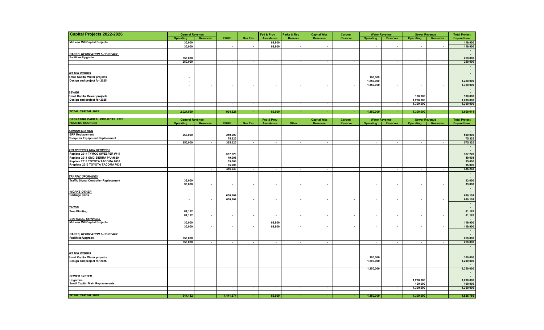| <b>Capital Projects 2022-2026</b>                                       | <b>General Revenue</b>   |                          |                          |                          | Fed & Prov               | Parks & Rec    | <b>Capital Wks</b>       |                          | Carbon<br><b>Water Revenue</b><br><b>Sewer Revenue</b> |                            |                          | <b>Total Project</b>     |                                    |
|-------------------------------------------------------------------------|--------------------------|--------------------------|--------------------------|--------------------------|--------------------------|----------------|--------------------------|--------------------------|--------------------------------------------------------|----------------------------|--------------------------|--------------------------|------------------------------------|
|                                                                         | Operating                | <b>Reserves</b>          | <b>ERRF</b>              | <b>Gas Tax</b>           | Assistance               | <b>Reserve</b> | <b>Reserves</b>          | <b>Reserve</b>           | <b>Operating</b>                                       | <b>Reserves</b>            | <b>Operating</b>         | <b>Reserves</b>          | <b>Expenditure</b>                 |
| <b>McLean Mill Capital Projects</b>                                     | 30,000                   |                          |                          |                          | 89,900                   |                |                          |                          |                                                        |                            |                          |                          | 119,900                            |
|                                                                         | 30,000                   |                          | $\sim$                   | $\overline{\phantom{a}}$ | 89,900                   | $\sim$         | $\sim$                   |                          | $\overline{\phantom{a}}$                               | $\overline{\phantom{a}}$   | $\blacksquare$           | $\sim$                   | 119,900                            |
|                                                                         |                          |                          |                          |                          |                          |                |                          |                          |                                                        |                            |                          |                          | $\sim$                             |
| <b>PARKS, RECREATION &amp; HERITAGE</b>                                 |                          |                          |                          |                          |                          |                |                          |                          |                                                        |                            |                          |                          | $\sim$                             |
| <b>Facilities Upgrade</b>                                               | 250,000                  |                          |                          |                          |                          |                |                          |                          |                                                        |                            |                          |                          | 250,000                            |
|                                                                         | 250,000                  |                          | J,                       | $\overline{\phantom{a}}$ | ÷                        | $\sim$         | $\sim$                   | $\overline{\phantom{a}}$ | $\sim$                                                 | $\sim$                     | $\overline{\phantom{a}}$ | $\overline{\phantom{a}}$ | 250,000                            |
|                                                                         |                          |                          |                          |                          |                          |                |                          |                          |                                                        |                            |                          |                          | $\sim$                             |
|                                                                         |                          |                          |                          |                          |                          |                |                          |                          |                                                        |                            |                          |                          | $\sim$                             |
| <b>WATER WORKS</b>                                                      |                          |                          |                          |                          |                          |                |                          |                          |                                                        |                            |                          |                          | $\sim$                             |
| Small Capital Water projects                                            | $\overline{\phantom{a}}$ |                          |                          |                          |                          |                |                          |                          | 100,000                                                |                            |                          |                          |                                    |
| Design and project for 2025                                             | $\blacksquare$           |                          |                          | $\sim$                   |                          |                |                          | $\overline{\phantom{a}}$ | 1,250,000                                              |                            | $\sim$                   | $\sim$                   | 1,250,000                          |
|                                                                         | ł,                       | $\overline{\phantom{a}}$ | ÷                        |                          | $\blacksquare$           | $\blacksquare$ | $\sim$                   |                          | 1,350,000                                              | Ξ                          |                          |                          | 1,350,000                          |
| <b>SEWER</b>                                                            |                          |                          |                          |                          |                          |                |                          |                          |                                                        |                            |                          |                          | $\overline{\phantom{a}}$<br>$\sim$ |
| <b>Small Capital Sewer projects</b>                                     |                          |                          |                          |                          |                          |                |                          |                          |                                                        |                            | 100,000                  |                          | 100,000                            |
| Design and project for 2025                                             |                          |                          |                          |                          |                          |                |                          |                          |                                                        |                            | 1,200,000                |                          | 1,200,000                          |
|                                                                         | $\sim$                   | $\sim$                   | $\sim$                   | $\sim$                   | $\sim$                   | $\sim$         | $\sim$                   |                          | $\sim$                                                 | $\sim$                     | 1,300,000                | $\sim$                   | 1,300,000                          |
|                                                                         |                          |                          |                          |                          |                          |                |                          |                          |                                                        |                            |                          |                          | $\sim$                             |
| <b>TOTAL CAPITAL 2025</b>                                               | 2,024,590                |                          | 904,521                  | a.                       | 89,900                   |                |                          |                          | 1,350,000                                              | $\mathcal{L}_{\mathbf{r}}$ | 1,300,000                |                          | 5,669,011                          |
|                                                                         |                          |                          |                          |                          |                          |                |                          |                          |                                                        |                            |                          |                          |                                    |
| <b>OPERATING CAPITAL PROJECTS 2026</b>                                  | <b>General Revenue</b>   |                          |                          |                          | Fed & Prov               |                | <b>Capital Wks</b>       | Carbon                   |                                                        | <b>Water Revenue</b>       | <b>Sewer Revenue</b>     |                          | <b>Total Project</b>               |
| <b>FUNDING SOURCES</b>                                                  | <b>Operating</b>         | <b>Reserves</b>          | <b>ERRF</b>              | <b>Gas Tax</b>           | Assistance               | Other          | <b>Reserves</b>          | <b>Reserve</b>           | <b>Operating</b>                                       | <b>Reserves</b>            | <b>Operating</b>         | <b>Reserves</b>          | <b>Expenditure</b>                 |
| <b>ADMINISTRATION</b>                                                   |                          |                          |                          |                          |                          |                |                          |                          |                                                        |                            |                          |                          |                                    |
| <b>ERP Replacement</b>                                                  | 250,000                  |                          | 250,000                  |                          |                          |                |                          |                          |                                                        |                            |                          |                          | 500,000                            |
| <b>Computer Equipment Replacement</b>                                   |                          |                          | 75,325                   |                          |                          |                |                          |                          |                                                        |                            |                          |                          | 75,325                             |
|                                                                         | 250,000                  | $\sim$                   | 325,325                  | $\sim$                   | $\overline{\phantom{a}}$ | $\sim$         | $\sim$                   |                          | $\overline{\phantom{a}}$                               | $\overline{\phantom{a}}$   | $\sim$                   | $\sim$                   | 575,325                            |
|                                                                         |                          |                          |                          |                          |                          |                |                          |                          |                                                        |                            |                          |                          | ٠.                                 |
| <b>TRANSPORTATION SERVICES</b>                                          |                          |                          |                          |                          |                          |                |                          |                          |                                                        |                            |                          |                          | $\sim$                             |
| Replace 2014 TYMCO SWEEPER #411                                         |                          |                          | 367,220                  |                          |                          |                |                          |                          |                                                        |                            |                          |                          | 367,220                            |
| Replace 2011 GMC SIERRA P/U #629                                        |                          |                          | 49,008                   |                          |                          |                |                          |                          |                                                        |                            |                          |                          | 49,008                             |
| Replace 2013 TOYOTA TACOMA #630                                         |                          |                          | 35,006                   |                          |                          |                |                          |                          |                                                        |                            |                          |                          | 35,006                             |
| Rreplace 2013 TOYOTA TACOMA #632                                        |                          |                          | 35,006                   |                          |                          |                |                          |                          |                                                        |                            |                          |                          | 35,006                             |
|                                                                         |                          | $\sim$                   | 486,240                  | $\overline{a}$           | $\sim$                   | $\sim$         | $\sim$                   |                          | $\sim$                                                 | $\overline{\phantom{a}}$   | $\sim$                   | $\sim$                   | 486,240                            |
|                                                                         |                          |                          |                          |                          |                          |                |                          |                          |                                                        |                            |                          |                          | $\sim$                             |
| <b>TRAFFIC UPGRADES</b><br><b>Traffic Signal Controller Replacement</b> | 33,000                   |                          |                          |                          |                          |                |                          |                          |                                                        |                            |                          |                          | $\sim$<br>33,000                   |
|                                                                         | 33,000                   | $\overline{\phantom{a}}$ | $\overline{\phantom{a}}$ |                          |                          |                | $\overline{\phantom{a}}$ |                          | $\overline{\phantom{a}}$                               | $\overline{\phantom{a}}$   |                          |                          | 33,000                             |
|                                                                         |                          |                          |                          |                          |                          |                |                          |                          |                                                        |                            |                          |                          | $\sim$                             |
| <b>WORKS-OTHER</b>                                                      |                          |                          |                          |                          |                          |                |                          |                          |                                                        |                            |                          |                          |                                    |
| <b>Garbage Carts</b>                                                    |                          |                          | 630,109                  |                          |                          |                |                          |                          |                                                        |                            |                          |                          | 630,109                            |
|                                                                         | $\sim$                   | $\sim$                   | 630,109                  | $\sim$                   | $\overline{\phantom{a}}$ | $\sim$         | $\sim$                   | $\sim$                   | $\overline{\phantom{a}}$                               | $\blacksquare$             | $\overline{\phantom{a}}$ | $\sim$                   | 630,109                            |
|                                                                         |                          |                          |                          |                          |                          |                |                          |                          |                                                        |                            |                          |                          | $\sim$                             |
| <b>PARKS</b>                                                            |                          |                          |                          |                          |                          |                |                          |                          |                                                        |                            |                          |                          | $\sim$                             |
| <b>Tree Planting</b>                                                    | 81,182                   |                          |                          |                          |                          |                |                          |                          |                                                        |                            |                          |                          | 81,182                             |
|                                                                         | 81,182                   | $\overline{\phantom{a}}$ | $\overline{\phantom{a}}$ |                          |                          |                | ٠                        |                          | $\overline{\phantom{a}}$                               | $\overline{\phantom{a}}$   | $\overline{\phantom{a}}$ |                          | 81,182                             |
| <b>CULTURAL SERVICES</b>                                                |                          |                          |                          |                          |                          |                |                          |                          |                                                        |                            |                          |                          |                                    |
| <b>McLean Mill Capital Projects</b>                                     | 30,000                   |                          |                          |                          | 89,900                   |                |                          |                          |                                                        |                            |                          |                          | 119,900                            |
|                                                                         | 30,000                   | $\sim$                   | $\sim$                   | $\overline{\phantom{a}}$ | 89,900                   | $\blacksquare$ | $\overline{\phantom{a}}$ | $\blacksquare$           | $\overline{\phantom{a}}$                               | $\blacksquare$             | $\overline{\phantom{a}}$ | $\overline{\phantom{a}}$ | 119,900<br>$\sim$                  |
| <b>PARKS, RECREATION &amp; HERITAGE</b>                                 |                          |                          |                          |                          |                          |                |                          |                          |                                                        |                            |                          |                          | $\sim$                             |
| <b>Facilities Upgrade</b>                                               | 250,000                  |                          |                          |                          |                          |                |                          |                          |                                                        |                            |                          |                          | 250,000                            |
|                                                                         | 250,000                  | $\overline{\phantom{a}}$ | $\sim$                   | $\sim$                   | $\blacksquare$           | $\sim$         | $\sim$                   |                          | $\sim$                                                 | $\mathbf{r}$               | $\sim$                   | $\sim$                   | 250,000                            |
|                                                                         |                          |                          |                          |                          |                          |                |                          |                          |                                                        |                            |                          |                          | $\sim$                             |
|                                                                         |                          |                          |                          |                          |                          |                |                          |                          |                                                        |                            |                          |                          |                                    |
| <b>WATER WORKS</b>                                                      |                          |                          |                          |                          |                          |                |                          |                          |                                                        |                            |                          |                          |                                    |
| <b>Small Capital Water projects</b>                                     |                          |                          |                          |                          |                          |                |                          |                          | 100,000                                                |                            |                          |                          | 100,000                            |
| Design and project for 2026                                             |                          |                          |                          |                          |                          |                |                          |                          | 1,200,000                                              |                            |                          |                          | 1,200,000                          |
|                                                                         |                          |                          |                          |                          |                          |                |                          |                          |                                                        |                            |                          |                          |                                    |
|                                                                         |                          |                          |                          |                          |                          |                |                          |                          | 1,350,000                                              |                            |                          |                          | 1,350,000                          |
| <b>SEWER SYSTEM</b>                                                     |                          |                          |                          |                          |                          |                |                          |                          |                                                        |                            |                          |                          | $\overline{\phantom{a}}$<br>$\sim$ |
| Upgardes                                                                |                          |                          |                          |                          |                          |                |                          |                          |                                                        |                            | 1,200,000                |                          | 1,200,000                          |
| <b>Small Capital Main Replacements</b>                                  |                          |                          |                          |                          |                          |                |                          |                          |                                                        |                            | 100,000                  |                          | 100,000                            |
|                                                                         | $\sim$                   | $\sim$                   | $\sim$                   | $\sim$                   | $\sim$                   | $\sim$         | $\sim$                   |                          | $\overline{\phantom{a}}$                               | $\sim$                     | 1,300,000                | $\sim$                   | 1,300,000                          |
|                                                                         |                          |                          |                          |                          |                          |                |                          |                          |                                                        |                            |                          |                          |                                    |
| <b>TOTAL CAPITAL 2026</b>                                               | 644,182                  | $\sim$                   | 1,441,674                |                          | 89.900                   |                |                          |                          | 1,350,000                                              |                            | 1,300,000                |                          | 4,825,756                          |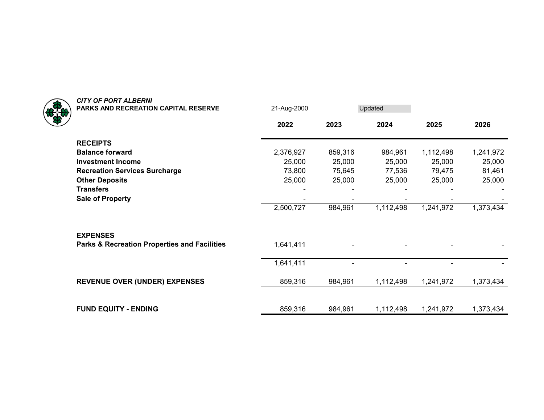

| 2022<br>2023<br>2024<br>2025<br>2026<br><b>RECEIPTS</b><br><b>Balance forward</b><br>2,376,927<br>859,316<br>1,112,498<br>1,241,972<br>984,961<br><b>Investment Income</b><br>25,000<br>25,000<br>25,000<br>25,000<br>25,000<br>73,800<br>77,536<br>81,461<br><b>Recreation Services Surcharge</b><br>75,645<br>79,475<br>25,000<br><b>Other Deposits</b><br>25,000<br>25,000<br>25,000<br>25,000<br><b>Transfers</b><br><b>Sale of Property</b><br>2,500,727<br>984,961<br>1,112,498<br>1,373,434<br>1,241,972<br><b>EXPENSES</b><br><b>Parks &amp; Recreation Properties and Facilities</b><br>1,641,411<br>1,641,411<br>$\overline{\phantom{0}}$<br><b>REVENUE OVER (UNDER) EXPENSES</b><br>859,316<br>984,961<br>1,112,498<br>1,241,972<br>1,373,434<br><b>FUND EQUITY - ENDING</b><br>859,316<br>1,112,498<br>984,961<br>1,241,972<br>1,373,434 | <b>PARKS AND RECREATION CAPITAL RESERVE</b> | 21-Aug-2000 | Updated |  |
|------------------------------------------------------------------------------------------------------------------------------------------------------------------------------------------------------------------------------------------------------------------------------------------------------------------------------------------------------------------------------------------------------------------------------------------------------------------------------------------------------------------------------------------------------------------------------------------------------------------------------------------------------------------------------------------------------------------------------------------------------------------------------------------------------------------------------------------------------|---------------------------------------------|-------------|---------|--|
|                                                                                                                                                                                                                                                                                                                                                                                                                                                                                                                                                                                                                                                                                                                                                                                                                                                      |                                             |             |         |  |
|                                                                                                                                                                                                                                                                                                                                                                                                                                                                                                                                                                                                                                                                                                                                                                                                                                                      |                                             |             |         |  |
|                                                                                                                                                                                                                                                                                                                                                                                                                                                                                                                                                                                                                                                                                                                                                                                                                                                      |                                             |             |         |  |
|                                                                                                                                                                                                                                                                                                                                                                                                                                                                                                                                                                                                                                                                                                                                                                                                                                                      |                                             |             |         |  |
|                                                                                                                                                                                                                                                                                                                                                                                                                                                                                                                                                                                                                                                                                                                                                                                                                                                      |                                             |             |         |  |
|                                                                                                                                                                                                                                                                                                                                                                                                                                                                                                                                                                                                                                                                                                                                                                                                                                                      |                                             |             |         |  |
|                                                                                                                                                                                                                                                                                                                                                                                                                                                                                                                                                                                                                                                                                                                                                                                                                                                      |                                             |             |         |  |
|                                                                                                                                                                                                                                                                                                                                                                                                                                                                                                                                                                                                                                                                                                                                                                                                                                                      |                                             |             |         |  |
|                                                                                                                                                                                                                                                                                                                                                                                                                                                                                                                                                                                                                                                                                                                                                                                                                                                      |                                             |             |         |  |
|                                                                                                                                                                                                                                                                                                                                                                                                                                                                                                                                                                                                                                                                                                                                                                                                                                                      |                                             |             |         |  |
|                                                                                                                                                                                                                                                                                                                                                                                                                                                                                                                                                                                                                                                                                                                                                                                                                                                      |                                             |             |         |  |
|                                                                                                                                                                                                                                                                                                                                                                                                                                                                                                                                                                                                                                                                                                                                                                                                                                                      |                                             |             |         |  |
|                                                                                                                                                                                                                                                                                                                                                                                                                                                                                                                                                                                                                                                                                                                                                                                                                                                      |                                             |             |         |  |
|                                                                                                                                                                                                                                                                                                                                                                                                                                                                                                                                                                                                                                                                                                                                                                                                                                                      |                                             |             |         |  |
|                                                                                                                                                                                                                                                                                                                                                                                                                                                                                                                                                                                                                                                                                                                                                                                                                                                      |                                             |             |         |  |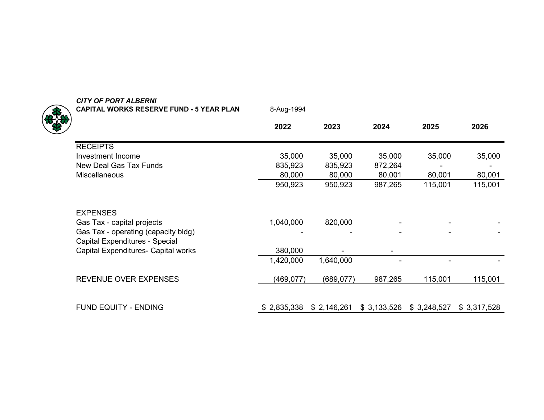| <b>CAPITAL WORKS RESERVE FUND - 5 YEAR PLAN</b>                       | 8-Aug-1994  |             |             |             |             |
|-----------------------------------------------------------------------|-------------|-------------|-------------|-------------|-------------|
|                                                                       | 2022        | 2023        | 2024        | 2025        | 2026        |
| <b>RECEIPTS</b>                                                       |             |             |             |             |             |
| Investment Income                                                     | 35,000      | 35,000      | 35,000      | 35,000      | 35,000      |
| New Deal Gas Tax Funds                                                | 835,923     | 835,923     | 872,264     |             |             |
| Miscellaneous                                                         | 80,000      | 80,000      | 80,001      | 80,001      | 80,001      |
|                                                                       | 950,923     | 950,923     | 987,265     | 115,001     | 115,001     |
| <b>EXPENSES</b>                                                       |             |             |             |             |             |
| Gas Tax - capital projects                                            | 1,040,000   | 820,000     |             |             |             |
| Gas Tax - operating (capacity bldg)<br>Capital Expenditures - Special |             |             |             |             |             |
| Capital Expenditures- Capital works                                   | 380,000     |             |             |             |             |
|                                                                       | 1,420,000   | 1,640,000   |             |             |             |
| <b>REVENUE OVER EXPENSES</b>                                          | (469, 077)  | (689, 077)  | 987,265     | 115,001     | 115,001     |
| <b>FUND EQUITY - ENDING</b>                                           | \$2,835,338 | \$2,146,261 | \$3,133,526 | \$3,248,527 | \$3,317,528 |
|                                                                       |             |             |             |             |             |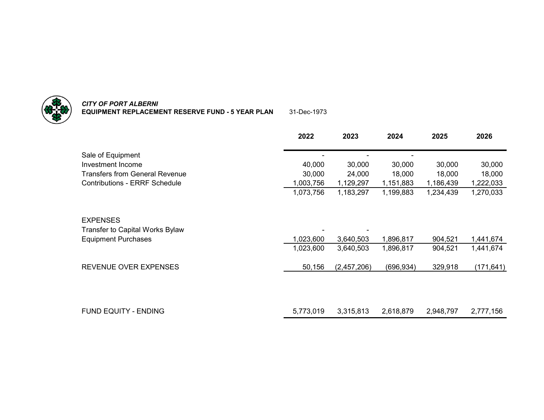

*CITY OF PORT ALBERNI* **EQUIPMENT REPLACEMENT RESERVE FUND - 5 YEAR PLAN** 31-Dec-1973

|                                       | 2022      | 2023        | 2024      | 2025      | 2026       |
|---------------------------------------|-----------|-------------|-----------|-----------|------------|
| Sale of Equipment                     |           |             |           |           |            |
| Investment Income                     | 40,000    | 30,000      | 30,000    | 30,000    | 30,000     |
| <b>Transfers from General Revenue</b> | 30,000    | 24,000      | 18,000    | 18,000    | 18,000     |
| <b>Contributions - ERRF Schedule</b>  | 1,003,756 | 1,129,297   | 1,151,883 | 1,186,439 | 1,222,033  |
|                                       | 1,073,756 | 1,183,297   | 1,199,883 | 1,234,439 | 1,270,033  |
| <b>EXPENSES</b>                       |           |             |           |           |            |
| Transfer to Capital Works Bylaw       |           |             |           |           |            |
| <b>Equipment Purchases</b>            | 1,023,600 | 3,640,503   | 1,896,817 | 904,521   | 1,441,674  |
|                                       | 1,023,600 | 3,640,503   | 1,896,817 | 904,521   | 1,441,674  |
| REVENUE OVER EXPENSES                 | 50,156    | (2,457,206) | (696,934) | 329,918   | (171, 641) |
|                                       |           |             |           |           |            |
| <b>FUND EQUITY - ENDING</b>           | 5,773,019 | 3,315,813   | 2,618,879 | 2,948,797 | 2,777,156  |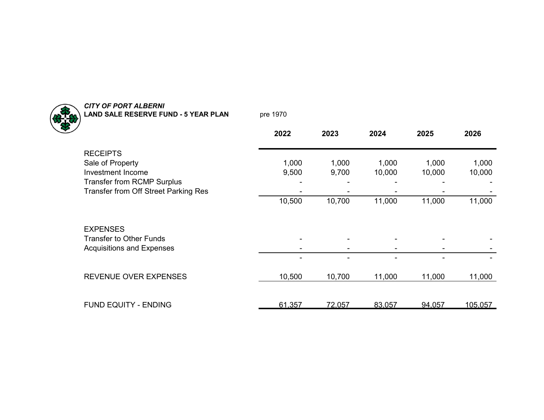

## *CITY OF PORT ALBERNI* **LAND SALE RESERVE FUND - 5 YEAR PLAN** pre 1970

|                                      | 2022   | 2023   | 2024   | 2025   | 2026    |
|--------------------------------------|--------|--------|--------|--------|---------|
| <b>RECEIPTS</b>                      |        |        |        |        |         |
| Sale of Property                     | 1,000  | 1,000  | 1,000  | 1,000  | 1,000   |
| Investment Income                    | 9,500  | 9,700  | 10,000 | 10,000 | 10,000  |
| <b>Transfer from RCMP Surplus</b>    |        |        |        |        |         |
| Transfer from Off Street Parking Res |        |        |        |        |         |
|                                      | 10,500 | 10,700 | 11,000 | 11,000 | 11,000  |
| <b>EXPENSES</b>                      |        |        |        |        |         |
| <b>Transfer to Other Funds</b>       |        |        |        |        |         |
| <b>Acquisitions and Expenses</b>     |        |        |        |        |         |
|                                      |        |        |        |        |         |
| <b>REVENUE OVER EXPENSES</b>         | 10,500 | 10,700 | 11,000 | 11,000 | 11,000  |
|                                      |        |        |        |        |         |
| <b>FUND EQUITY - ENDING</b>          | 61,357 | 72,057 | 83,057 | 94,057 | 105,057 |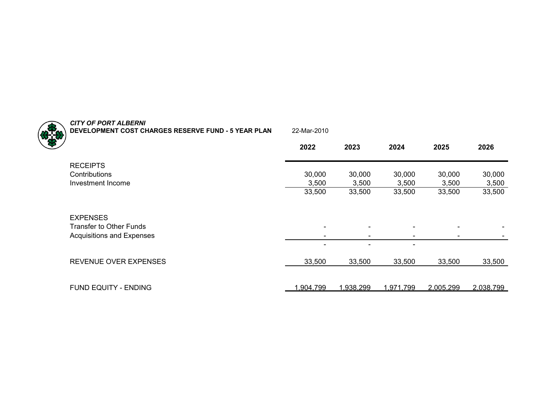| <b>CITY OF PORT ALBERNI</b><br>DEVELOPMENT COST CHARGES RESERVE FUND - 5 YEAR PLAN | 22-Mar-2010              |                          |                          |           |           |
|------------------------------------------------------------------------------------|--------------------------|--------------------------|--------------------------|-----------|-----------|
|                                                                                    | 2022                     | 2023                     | 2024                     | 2025      | 2026      |
| <b>RECEIPTS</b>                                                                    |                          |                          |                          |           |           |
| Contributions                                                                      | 30,000                   | 30,000                   | 30,000                   | 30,000    | 30,000    |
| Investment Income                                                                  | 3,500                    | 3,500                    | 3,500                    | 3,500     | 3,500     |
|                                                                                    | 33,500                   | 33,500                   | 33,500                   | 33,500    | 33,500    |
| <b>EXPENSES</b>                                                                    |                          |                          |                          |           |           |
| <b>Transfer to Other Funds</b>                                                     | $\blacksquare$           | $\overline{\phantom{0}}$ | $\overline{\phantom{0}}$ |           |           |
| Acquisitions and Expenses                                                          | $\overline{\phantom{0}}$ | $\blacksquare$           | $\overline{\phantom{0}}$ |           |           |
|                                                                                    | $\blacksquare$           | $\overline{\phantom{0}}$ | $\blacksquare$           |           |           |
| <b>REVENUE OVER EXPENSES</b>                                                       | 33,500                   | 33,500                   | 33,500                   | 33,500    | 33,500    |
| FUND EQUITY - ENDING                                                               | 1,904,799                | 1,938,299                | 1,971,799                | 2,005,299 | 2,038,799 |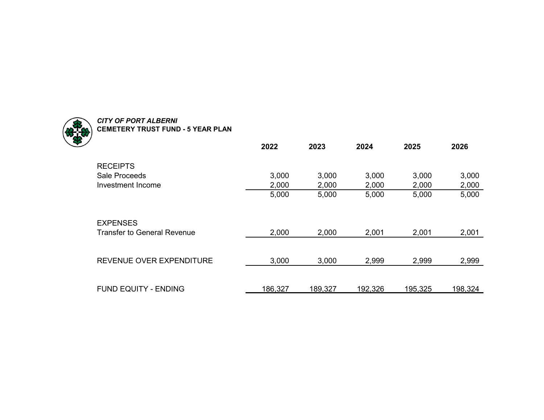

## *CITY OF PORT ALBERNI* **CEMETERY TRUST FUND - 5 YEAR PLAN**

|                                    | 2022    | 2023    | 2024    | 2025    | 2026    |
|------------------------------------|---------|---------|---------|---------|---------|
| <b>RECEIPTS</b>                    |         |         |         |         |         |
| <b>Sale Proceeds</b>               | 3,000   | 3,000   | 3,000   | 3,000   | 3,000   |
| Investment Income                  | 2,000   | 2,000   | 2,000   | 2,000   | 2,000   |
|                                    | 5,000   | 5,000   | 5,000   | 5,000   | 5,000   |
|                                    |         |         |         |         |         |
| <b>EXPENSES</b>                    |         |         |         |         |         |
| <b>Transfer to General Revenue</b> | 2,000   | 2,000   | 2,001   | 2,001   | 2,001   |
|                                    |         |         |         |         |         |
| REVENUE OVER EXPENDITURE           | 3,000   | 3,000   | 2,999   | 2,999   | 2,999   |
|                                    |         |         |         |         |         |
|                                    |         |         |         |         |         |
| <b>FUND EQUITY - ENDING</b>        | 186,327 | 189,327 | 192,326 | 195,325 | 198,324 |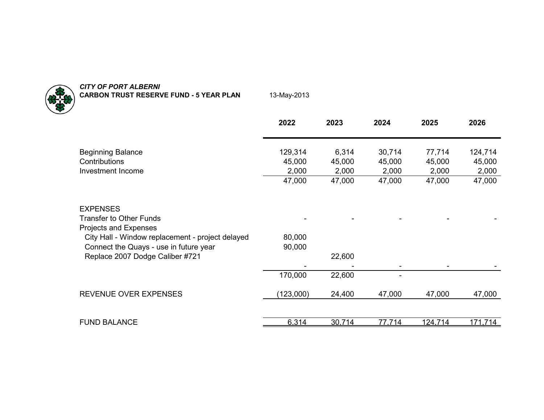

*CITY OF PORT ALBERNI* **CARBON TRUST RESERVE FUND - 5 YEAR PLAN** 13-May-2013

|                                                                                            | 2022             | 2023            | 2024            | 2025            | 2026            |
|--------------------------------------------------------------------------------------------|------------------|-----------------|-----------------|-----------------|-----------------|
| <b>Beginning Balance</b>                                                                   | 129,314          | 6,314           | 30,714          | 77,714          | 124,714         |
| Contributions<br>Investment Income                                                         | 45,000<br>2,000  | 45,000<br>2,000 | 45,000<br>2,000 | 45,000<br>2,000 | 45,000<br>2,000 |
|                                                                                            | 47,000           | 47,000          | 47,000          | 47,000          | 47,000          |
| <b>EXPENSES</b><br><b>Transfer to Other Funds</b><br>Projects and Expenses                 |                  |                 |                 |                 |                 |
| City Hall - Window replacement - project delayed<br>Connect the Quays - use in future year | 80,000<br>90,000 |                 |                 |                 |                 |
| Replace 2007 Dodge Caliber #721                                                            |                  | 22,600          |                 |                 |                 |
|                                                                                            | 170,000          | 22,600          |                 |                 |                 |
| REVENUE OVER EXPENSES                                                                      | (123,000)        | 24,400          | 47,000          | 47,000          | 47,000          |
|                                                                                            |                  |                 |                 |                 |                 |
| <b>FUND BALANCE</b>                                                                        | 6.314            | 30.714          | 77.714          | 124.714         | 171.714         |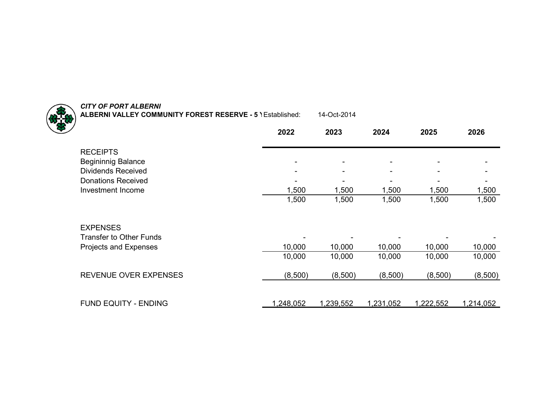

*CITY OF PORT ALBERNI* **ALBERNI VALLEY COMMUNITY FOREST RESERVE - 5 Y**Established: 14-Oct-2014

|                                | 2022      | 2023      | 2024      | 2025      | 2026      |
|--------------------------------|-----------|-----------|-----------|-----------|-----------|
| <b>RECEIPTS</b>                |           |           |           |           |           |
| <b>Begininnig Balance</b>      |           |           | -         |           |           |
| <b>Dividends Received</b>      |           |           |           |           |           |
| <b>Donations Received</b>      |           |           |           |           |           |
| Investment Income              | 1,500     | 1,500     | 1,500     | 1,500     | 1,500     |
|                                | 1,500     | 1,500     | 1,500     | 1,500     | 1,500     |
| <b>EXPENSES</b>                |           |           |           |           |           |
| <b>Transfer to Other Funds</b> |           |           |           |           |           |
| Projects and Expenses          | 10,000    | 10,000    | 10,000    | 10,000    | 10,000    |
|                                | 10,000    | 10,000    | 10,000    | 10,000    | 10,000    |
| REVENUE OVER EXPENSES          | (8,500)   | (8,500)   | (8,500)   | (8,500)   | (8,500)   |
| <b>FUND EQUITY - ENDING</b>    | 1,248,052 | 1,239,552 | 1,231,052 | 1.222,552 | 1,214,052 |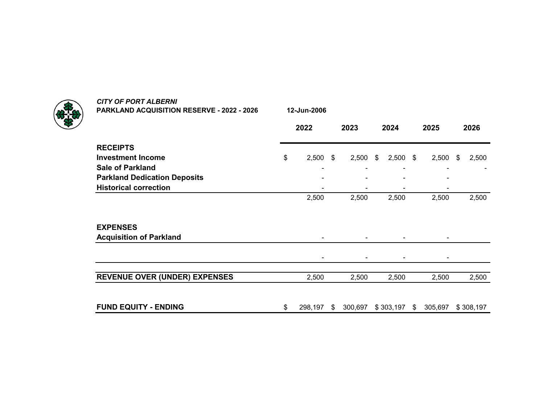**PARKLAND ACQUISITION RESERVE - 2022 - 2026 12-Jun-2006**

**2022 2023 2024 2025 2026**2026 **RECEIPTSInvestment Income** \$ 2,500 2,500 \$ 2,500 \$ 2,500 \$ 2,500 \$ **Sale of Parkland** - - - - - **Parkland Dedication Deposits** and the set of the set of the set of the set of the set of the set of the set of the set of the set of the set of the set of the set of the set of the set of the set of the set of the set of **Historical correction** - - - - 2,500 2,500 2,500 2,500 2,500 **EXPENSESAcquisition of Parkland** and the set of the set of the set of the set of the set of the set of the set of the set of the set of the set of the set of the set of the set of the set of the set of the set of the set of the s - - - - **REVENUE OVER (UNDER) EXPENSES** 2,500 2,500 2,500 2,500 2,500 **FUND EQUITY - ENDING**  $$ 298,197 $ 300,697 $ 303,197 $ 305,697 $ 308,197$